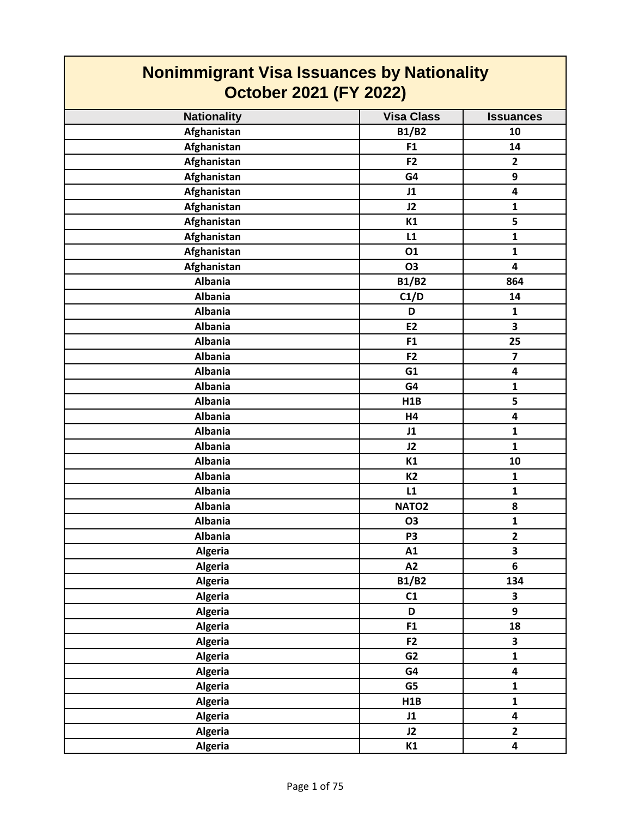| <b>Nonimmigrant Visa Issuances by Nationality</b><br><b>October 2021 (FY 2022)</b> |                   |                         |
|------------------------------------------------------------------------------------|-------------------|-------------------------|
| <b>Nationality</b>                                                                 | <b>Visa Class</b> | <b>Issuances</b>        |
| Afghanistan                                                                        | <b>B1/B2</b>      | 10                      |
| Afghanistan                                                                        | F <sub>1</sub>    | 14                      |
| Afghanistan                                                                        | F <sub>2</sub>    | $\overline{2}$          |
| Afghanistan                                                                        | G4                | 9                       |
| Afghanistan                                                                        | J1                | 4                       |
| Afghanistan                                                                        | J2                | $\mathbf{1}$            |
| Afghanistan                                                                        | K1                | 5                       |
| Afghanistan                                                                        | L1                | $\mathbf{1}$            |
| Afghanistan                                                                        | 01                | $\mathbf{1}$            |
| Afghanistan                                                                        | O3                | 4                       |
| <b>Albania</b>                                                                     | <b>B1/B2</b>      | 864                     |
| <b>Albania</b>                                                                     | C1/D              | 14                      |
| <b>Albania</b>                                                                     | D                 | $\mathbf{1}$            |
| <b>Albania</b>                                                                     | E2                | 3                       |
| <b>Albania</b>                                                                     | F1                | 25                      |
| <b>Albania</b>                                                                     | F <sub>2</sub>    | $\overline{7}$          |
| <b>Albania</b>                                                                     | G1                | 4                       |
| <b>Albania</b>                                                                     | G4                | $\mathbf{1}$            |
| <b>Albania</b>                                                                     | H1B               | 5                       |
| <b>Albania</b>                                                                     | H4                | 4                       |
| <b>Albania</b>                                                                     | J1                | $\mathbf{1}$            |
| <b>Albania</b>                                                                     | J2                | $\mathbf{1}$            |
| <b>Albania</b>                                                                     | K1                | 10                      |
| <b>Albania</b>                                                                     | <b>K2</b>         | $\mathbf{1}$            |
| <b>Albania</b>                                                                     | L1                | $\mathbf{1}$            |
| <b>Albania</b>                                                                     | NATO <sub>2</sub> | 8                       |
| <b>Albania</b>                                                                     | <b>O3</b>         | $\mathbf{1}$            |
| <b>Albania</b>                                                                     | P <sub>3</sub>    | $\mathbf{2}$            |
| <b>Algeria</b>                                                                     | A1                | 3                       |
| <b>Algeria</b>                                                                     | A2                | 6                       |
| Algeria                                                                            | <b>B1/B2</b>      | 134                     |
| Algeria                                                                            | C1                | 3                       |
| <b>Algeria</b>                                                                     | D                 | 9                       |
| <b>Algeria</b>                                                                     | F1                | 18                      |
| Algeria                                                                            | F <sub>2</sub>    | $\overline{\mathbf{3}}$ |
| <b>Algeria</b>                                                                     | G <sub>2</sub>    | $\mathbf{1}$            |
| <b>Algeria</b>                                                                     | G4                | 4                       |
| <b>Algeria</b>                                                                     | G5                | $\mathbf{1}$            |
| <b>Algeria</b>                                                                     | H1B               | $\mathbf{1}$            |
| <b>Algeria</b>                                                                     | J1                | 4                       |
| <b>Algeria</b>                                                                     | J2                | $\overline{2}$          |
| <b>Algeria</b>                                                                     | K1                | 4                       |

 $\mathcal{L}^{\text{max}}$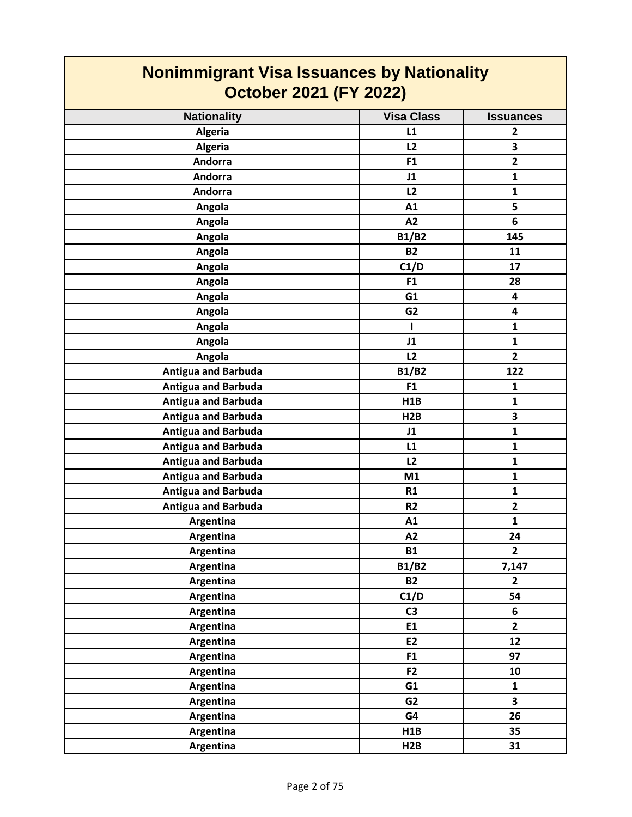| <b>Nonimmigrant Visa Issuances by Nationality</b><br><b>October 2021 (FY 2022)</b> |                   |                         |
|------------------------------------------------------------------------------------|-------------------|-------------------------|
| <b>Nationality</b>                                                                 | <b>Visa Class</b> | <b>Issuances</b>        |
| <b>Algeria</b>                                                                     | L1                | $\overline{2}$          |
| <b>Algeria</b>                                                                     | L2                | 3                       |
| <b>Andorra</b>                                                                     | F1                | $\overline{2}$          |
| Andorra                                                                            | J1                | $\mathbf{1}$            |
| Andorra                                                                            | L2                | $\mathbf{1}$            |
| Angola                                                                             | A1                | 5                       |
| Angola                                                                             | A2                | 6                       |
| Angola                                                                             | <b>B1/B2</b>      | 145                     |
| Angola                                                                             | <b>B2</b>         | 11                      |
| Angola                                                                             | C1/D              | 17                      |
| Angola                                                                             | F <sub>1</sub>    | 28                      |
| Angola                                                                             | G1                | 4                       |
| Angola                                                                             | G <sub>2</sub>    | 4                       |
| Angola                                                                             | I                 | $\mathbf{1}$            |
| Angola                                                                             | J1                | $\mathbf{1}$            |
| Angola                                                                             | L2                | $\overline{2}$          |
| <b>Antigua and Barbuda</b>                                                         | <b>B1/B2</b>      | 122                     |
| <b>Antigua and Barbuda</b>                                                         | F1                | $\mathbf{1}$            |
| <b>Antigua and Barbuda</b>                                                         | H <sub>1</sub> B  | $\mathbf{1}$            |
| <b>Antigua and Barbuda</b>                                                         | H2B               | 3                       |
| <b>Antigua and Barbuda</b>                                                         | J1                | $\mathbf{1}$            |
| <b>Antigua and Barbuda</b>                                                         | L1                | $\mathbf{1}$            |
| <b>Antigua and Barbuda</b>                                                         | L2                | $\mathbf{1}$            |
| <b>Antigua and Barbuda</b>                                                         | M1                | $\mathbf{1}$            |
| <b>Antigua and Barbuda</b>                                                         | R1                | $\mathbf{1}$            |
| <b>Antigua and Barbuda</b>                                                         | R <sub>2</sub>    | $\overline{2}$          |
| Argentina                                                                          | A1                | $\mathbf{1}$            |
| Argentina                                                                          | A2                | 24                      |
| Argentina                                                                          | <b>B1</b>         | $\overline{2}$          |
| Argentina                                                                          | <b>B1/B2</b>      | 7,147                   |
| Argentina                                                                          | <b>B2</b>         | $\mathbf{2}$            |
| Argentina                                                                          | C1/D              | 54                      |
| Argentina                                                                          | C <sub>3</sub>    | 6                       |
| Argentina                                                                          | E1                | $\overline{2}$          |
| Argentina                                                                          | E2                | 12                      |
| Argentina                                                                          | F <sub>1</sub>    | 97                      |
| Argentina                                                                          | F <sub>2</sub>    | 10                      |
| Argentina                                                                          | G1                | $\mathbf{1}$            |
| Argentina                                                                          | G <sub>2</sub>    | $\overline{\mathbf{3}}$ |
| Argentina                                                                          | G4                | 26                      |
| Argentina                                                                          | H1B               | 35                      |
| Argentina                                                                          | H2B               | 31                      |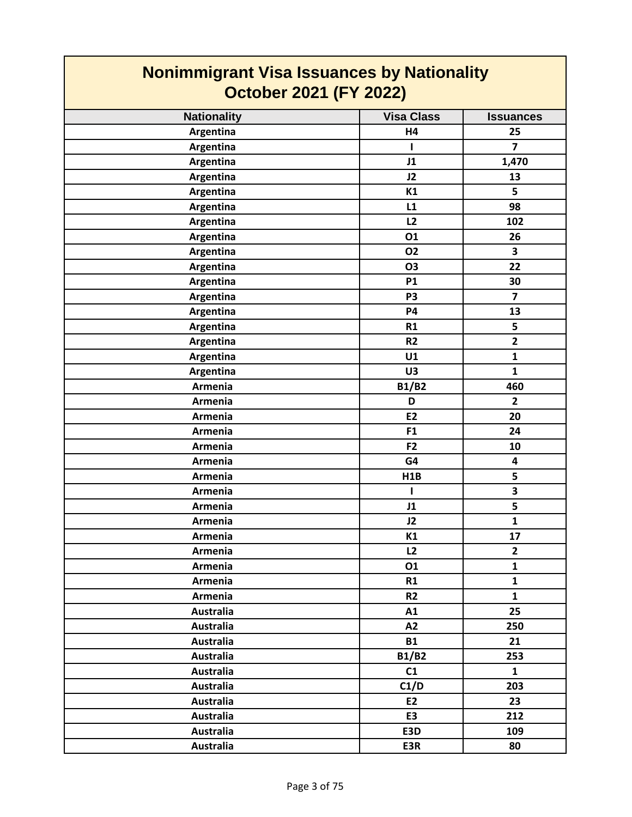| <b>Nonimmigrant Visa Issuances by Nationality</b><br><b>October 2021 (FY 2022)</b> |                   |                         |
|------------------------------------------------------------------------------------|-------------------|-------------------------|
|                                                                                    |                   |                         |
| <b>Nationality</b>                                                                 | <b>Visa Class</b> | <b>Issuances</b>        |
| Argentina                                                                          | <b>H4</b>         | 25                      |
| Argentina                                                                          | ı                 | $\overline{7}$          |
| Argentina                                                                          | J1                | 1,470                   |
| Argentina                                                                          | J2                | 13                      |
| Argentina                                                                          | K1                | 5                       |
| Argentina                                                                          | L1                | 98                      |
| Argentina                                                                          | L2                | 102                     |
| Argentina                                                                          | 01                | 26                      |
| Argentina                                                                          | 02                | 3                       |
| Argentina                                                                          | O3                | 22                      |
| Argentina                                                                          | <b>P1</b>         | 30                      |
| Argentina                                                                          | P <sub>3</sub>    | $\overline{7}$          |
| Argentina                                                                          | <b>P4</b>         | 13                      |
| Argentina                                                                          | R1                | 5                       |
| Argentina                                                                          | R <sub>2</sub>    | $\overline{2}$          |
| Argentina                                                                          | U1                | $\mathbf{1}$            |
| Argentina                                                                          | U3                | $\mathbf{1}$            |
| Armenia                                                                            | <b>B1/B2</b>      | 460                     |
| Armenia                                                                            | D                 | $\overline{2}$          |
| Armenia                                                                            | E2                | 20                      |
| Armenia                                                                            | F <sub>1</sub>    | 24                      |
| Armenia                                                                            | F <sub>2</sub>    | 10                      |
| Armenia                                                                            | G4                | $\overline{\mathbf{4}}$ |
| Armenia                                                                            | H1B               | 5                       |
| Armenia                                                                            | L                 | $\overline{\mathbf{3}}$ |
| Armenia                                                                            | J1                | 5                       |
| Armenia                                                                            | J2                | $\mathbf{1}$            |
| Armenia                                                                            | K1                | 17                      |
| Armenia                                                                            | L2                | $\mathbf{2}$            |
| Armenia                                                                            | 01                | $\mathbf{1}$            |
| Armenia                                                                            | R1                | $\mathbf{1}$            |
| Armenia                                                                            | R <sub>2</sub>    | $\mathbf{1}$            |
| <b>Australia</b>                                                                   | A1                | 25                      |
| <b>Australia</b>                                                                   | A2                | 250                     |
| <b>Australia</b>                                                                   | <b>B1</b>         | 21                      |
| Australia                                                                          | <b>B1/B2</b>      | 253                     |
| <b>Australia</b>                                                                   | C1                | $\mathbf{1}$            |
| <b>Australia</b>                                                                   | C1/D              | 203                     |
| <b>Australia</b>                                                                   | E2                | 23                      |
| <b>Australia</b>                                                                   | E <sub>3</sub>    | 212                     |
| <b>Australia</b>                                                                   | E3D               | 109                     |
| <b>Australia</b>                                                                   | E3R               | 80                      |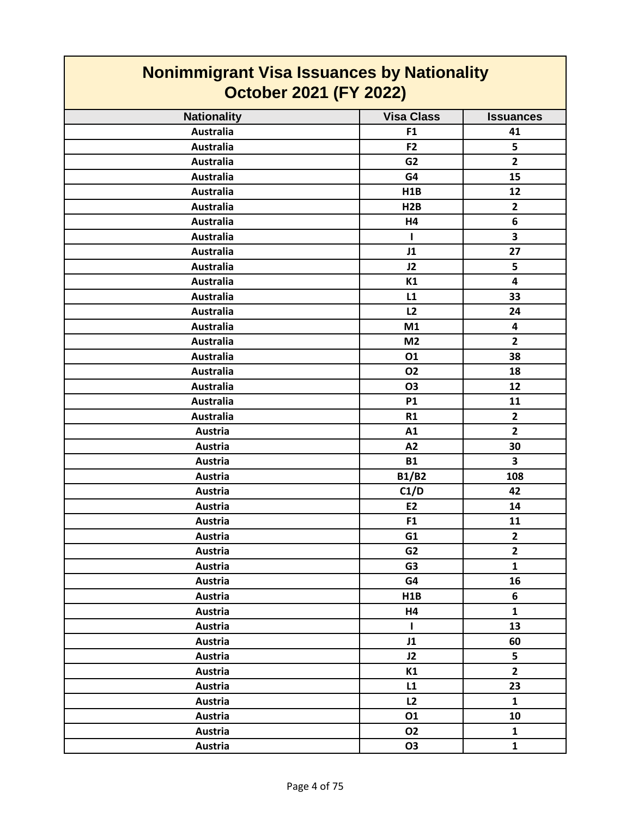| <b>Nonimmigrant Visa Issuances by Nationality</b><br><b>October 2021 (FY 2022)</b> |                   |                         |
|------------------------------------------------------------------------------------|-------------------|-------------------------|
| <b>Nationality</b>                                                                 | <b>Visa Class</b> | <b>Issuances</b>        |
| <b>Australia</b>                                                                   | F <sub>1</sub>    | 41                      |
| <b>Australia</b>                                                                   | F <sub>2</sub>    | 5                       |
| <b>Australia</b>                                                                   | G <sub>2</sub>    | $\overline{2}$          |
| <b>Australia</b>                                                                   | G4                | 15                      |
| <b>Australia</b>                                                                   | H1B               | 12                      |
| <b>Australia</b>                                                                   | H2B               | $\overline{2}$          |
| <b>Australia</b>                                                                   | H4                | 6                       |
| <b>Australia</b>                                                                   | н                 | 3                       |
| <b>Australia</b>                                                                   | J1                | 27                      |
| <b>Australia</b>                                                                   | J2                | 5                       |
| <b>Australia</b>                                                                   | K1                | 4                       |
| <b>Australia</b>                                                                   | L1                | 33                      |
| <b>Australia</b>                                                                   | L <sub>2</sub>    | 24                      |
| <b>Australia</b>                                                                   | M1                | 4                       |
| <b>Australia</b>                                                                   | M <sub>2</sub>    | $\overline{2}$          |
| <b>Australia</b>                                                                   | 01                | 38                      |
| <b>Australia</b>                                                                   | 02                | 18                      |
| <b>Australia</b>                                                                   | <b>O3</b>         | 12                      |
| <b>Australia</b>                                                                   | <b>P1</b>         | 11                      |
| <b>Australia</b>                                                                   | R1                | $\overline{2}$          |
| Austria                                                                            | A1                | $\overline{2}$          |
| Austria                                                                            | A2                | 30                      |
| <b>Austria</b>                                                                     | <b>B1</b>         | $\overline{\mathbf{3}}$ |
| Austria                                                                            | <b>B1/B2</b>      | 108                     |
| Austria                                                                            | C1/D              | 42                      |
| Austria                                                                            | <b>E2</b>         | 14                      |
| Austria                                                                            | F <sub>1</sub>    | 11                      |
| Austria                                                                            | G1                | $\overline{2}$          |
| Austria                                                                            | G <sub>2</sub>    | $\mathbf{2}$            |
| <b>Austria</b>                                                                     | G <sub>3</sub>    | $\mathbf{1}$            |
| Austria                                                                            | G4                | 16                      |
| Austria                                                                            | H1B               | 6                       |
| Austria                                                                            | H4                | $\mathbf{1}$            |
| Austria                                                                            | L                 | 13                      |
| Austria                                                                            | J1                | 60                      |
| Austria                                                                            | J2                | 5                       |
| Austria                                                                            | K1                | $\overline{2}$          |
| Austria                                                                            | L1                | 23                      |
| Austria                                                                            | L2                | $\mathbf{1}$            |
| Austria                                                                            | 01                | 10                      |
| Austria                                                                            | <b>O2</b>         | $\mathbf{1}$            |
| <b>Austria</b>                                                                     | <b>O3</b>         | $\mathbf{1}$            |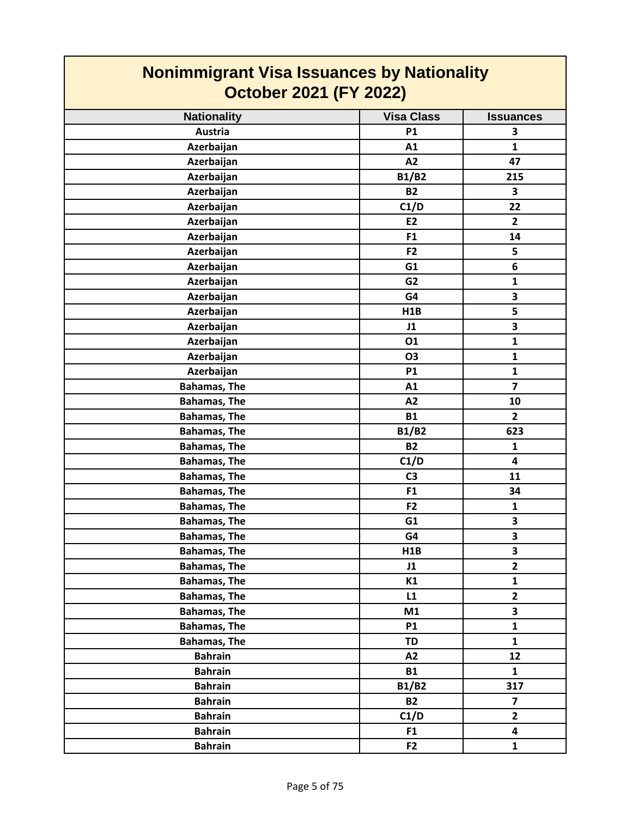| <b>Nonimmigrant Visa Issuances by Nationality</b><br><b>October 2021 (FY 2022)</b> |                   |                         |
|------------------------------------------------------------------------------------|-------------------|-------------------------|
| <b>Nationality</b>                                                                 | <b>Visa Class</b> | <b>Issuances</b>        |
| Austria                                                                            | <b>P1</b>         | 3                       |
| Azerbaijan                                                                         | A1                | $\mathbf{1}$            |
| Azerbaijan                                                                         | A2                | 47                      |
| Azerbaijan                                                                         | <b>B1/B2</b>      | 215                     |
| Azerbaijan                                                                         | <b>B2</b>         | 3                       |
| Azerbaijan                                                                         | C1/D              | 22                      |
| Azerbaijan                                                                         | E2                | $\overline{2}$          |
| Azerbaijan                                                                         | F <sub>1</sub>    | 14                      |
| Azerbaijan                                                                         | F <sub>2</sub>    | 5                       |
| Azerbaijan                                                                         | G1                | 6                       |
| Azerbaijan                                                                         | G <sub>2</sub>    | $\mathbf{1}$            |
| Azerbaijan                                                                         | G4                | 3                       |
| Azerbaijan                                                                         | H1B               | 5                       |
| Azerbaijan                                                                         | J1                | 3                       |
| Azerbaijan                                                                         | 01                | $\mathbf{1}$            |
| Azerbaijan                                                                         | <b>O3</b>         | $\mathbf{1}$            |
| Azerbaijan                                                                         | <b>P1</b>         | $\mathbf{1}$            |
| <b>Bahamas, The</b>                                                                | A1                | $\overline{7}$          |
| <b>Bahamas, The</b>                                                                | A2                | 10                      |
| <b>Bahamas, The</b>                                                                | <b>B1</b>         | $\mathbf{2}$            |
| <b>Bahamas, The</b>                                                                | <b>B1/B2</b>      | 623                     |
| <b>Bahamas, The</b>                                                                | <b>B2</b>         | $\mathbf{1}$            |
| <b>Bahamas, The</b>                                                                | C1/D              | $\overline{\mathbf{4}}$ |
| <b>Bahamas, The</b>                                                                | C <sub>3</sub>    | 11                      |
| <b>Bahamas, The</b>                                                                | F <sub>1</sub>    | 34                      |
| <b>Bahamas, The</b>                                                                | F <sub>2</sub>    | $\mathbf{1}$            |
| <b>Bahamas, The</b>                                                                | G <sub>1</sub>    | 3                       |
| <b>Bahamas, The</b>                                                                | G4                | 3                       |
| <b>Bahamas, The</b>                                                                | H1B               | 3                       |
| <b>Bahamas, The</b>                                                                | J1                | $\overline{2}$          |
| <b>Bahamas, The</b>                                                                | K1                | $\mathbf{1}$            |
| <b>Bahamas, The</b>                                                                | L1                | $\mathbf{2}$            |
| <b>Bahamas, The</b>                                                                | M1                | 3                       |
| <b>Bahamas, The</b>                                                                | <b>P1</b>         | $\mathbf{1}$            |
| <b>Bahamas, The</b>                                                                | <b>TD</b>         | $\mathbf{1}$            |
| <b>Bahrain</b>                                                                     | A2                | 12                      |
| <b>Bahrain</b>                                                                     | <b>B1</b>         | $\mathbf{1}$            |
| <b>Bahrain</b>                                                                     | <b>B1/B2</b>      | 317                     |
| <b>Bahrain</b>                                                                     | <b>B2</b>         | $\overline{\mathbf{z}}$ |
| <b>Bahrain</b>                                                                     | C1/D              | $\overline{2}$          |
| <b>Bahrain</b>                                                                     | F <sub>1</sub>    | 4                       |
| <b>Bahrain</b>                                                                     | F <sub>2</sub>    | $\mathbf{1}$            |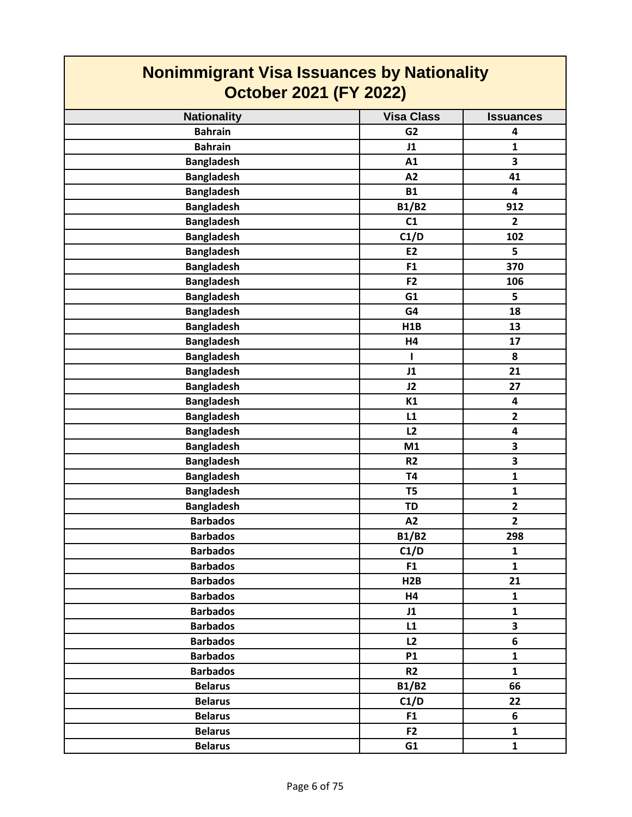| <b>Nonimmigrant Visa Issuances by Nationality</b> |                   |                         |
|---------------------------------------------------|-------------------|-------------------------|
| <b>October 2021 (FY 2022)</b>                     |                   |                         |
| <b>Nationality</b>                                | <b>Visa Class</b> | <b>Issuances</b>        |
| <b>Bahrain</b>                                    | G <sub>2</sub>    | 4                       |
| <b>Bahrain</b>                                    | J1                | $\mathbf{1}$            |
| <b>Bangladesh</b>                                 | A1                | 3                       |
| <b>Bangladesh</b>                                 | A2                | 41                      |
| <b>Bangladesh</b>                                 | <b>B1</b>         | 4                       |
| <b>Bangladesh</b>                                 | <b>B1/B2</b>      | 912                     |
| <b>Bangladesh</b>                                 | C1                | $\overline{2}$          |
| <b>Bangladesh</b>                                 | C1/D              | 102                     |
| <b>Bangladesh</b>                                 | E2                | 5                       |
| <b>Bangladesh</b>                                 | F <sub>1</sub>    | 370                     |
| <b>Bangladesh</b>                                 | F <sub>2</sub>    | 106                     |
| <b>Bangladesh</b>                                 | G1                | 5                       |
| <b>Bangladesh</b>                                 | G4                | 18                      |
| <b>Bangladesh</b>                                 | H1B               | 13                      |
| <b>Bangladesh</b>                                 | H4                | 17                      |
| <b>Bangladesh</b>                                 | ш                 | 8                       |
| <b>Bangladesh</b>                                 | J1                | 21                      |
| <b>Bangladesh</b>                                 | J2                | 27                      |
| <b>Bangladesh</b>                                 | K1                | 4                       |
| <b>Bangladesh</b>                                 | L1                | $\overline{2}$          |
| <b>Bangladesh</b>                                 | L2                | 4                       |
| <b>Bangladesh</b>                                 | M1                | 3                       |
| <b>Bangladesh</b>                                 | R <sub>2</sub>    | 3                       |
| <b>Bangladesh</b>                                 | <b>T4</b>         | $\mathbf{1}$            |
| <b>Bangladesh</b>                                 | T5                | $\mathbf{1}$            |
| <b>Bangladesh</b>                                 | <b>TD</b>         | $\overline{2}$          |
| <b>Barbados</b>                                   | A2                | $\overline{2}$          |
| <b>Barbados</b>                                   | <b>B1/B2</b>      | 298                     |
| <b>Barbados</b>                                   | C1/D              | $\mathbf{1}$            |
| <b>Barbados</b>                                   | F <sub>1</sub>    | $\mathbf{1}$            |
| <b>Barbados</b>                                   | H2B               | 21                      |
| <b>Barbados</b>                                   | H4                | $\mathbf{1}$            |
| <b>Barbados</b>                                   | J1                | $\mathbf{1}$            |
| <b>Barbados</b>                                   | L1                | $\overline{\mathbf{3}}$ |
| <b>Barbados</b>                                   | L2                | 6                       |
| <b>Barbados</b>                                   | <b>P1</b>         | $\mathbf{1}$            |
| <b>Barbados</b>                                   | R2                | $\mathbf{1}$            |
| <b>Belarus</b>                                    | <b>B1/B2</b>      | 66                      |
| <b>Belarus</b>                                    | C1/D              | 22                      |
| <b>Belarus</b>                                    | F <sub>1</sub>    | 6                       |
| <b>Belarus</b>                                    | F <sub>2</sub>    | $\mathbf{1}$            |
| <b>Belarus</b>                                    | G1                | $\mathbf{1}$            |
|                                                   |                   |                         |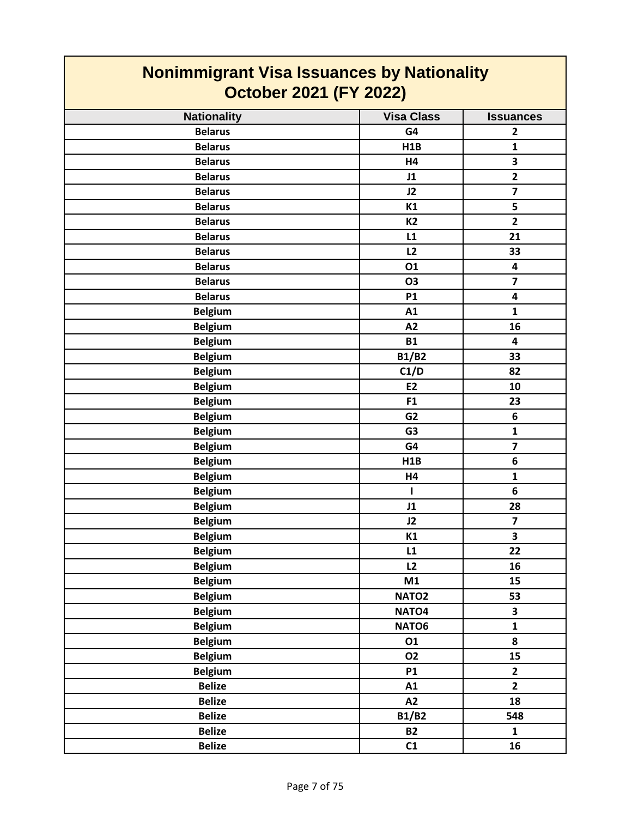| <b>Nonimmigrant Visa Issuances by Nationality</b><br><b>October 2021 (FY 2022)</b> |                   |                         |
|------------------------------------------------------------------------------------|-------------------|-------------------------|
| <b>Nationality</b>                                                                 | <b>Visa Class</b> | <b>Issuances</b>        |
| <b>Belarus</b>                                                                     | G4                | $\mathbf{2}$            |
| <b>Belarus</b>                                                                     | H1B               | $\mathbf{1}$            |
| <b>Belarus</b>                                                                     | H4                | 3                       |
| <b>Belarus</b>                                                                     | J1                | $\overline{\mathbf{2}}$ |
| <b>Belarus</b>                                                                     | J2                | $\overline{\mathbf{z}}$ |
| <b>Belarus</b>                                                                     | K1                | 5                       |
| <b>Belarus</b>                                                                     | K <sub>2</sub>    | $\overline{2}$          |
| <b>Belarus</b>                                                                     | L1                | 21                      |
| <b>Belarus</b>                                                                     | L2                | 33                      |
| <b>Belarus</b>                                                                     | 01                | 4                       |
| <b>Belarus</b>                                                                     | <b>O3</b>         | $\overline{\mathbf{z}}$ |
| <b>Belarus</b>                                                                     | <b>P1</b>         | 4                       |
| <b>Belgium</b>                                                                     | A1                | $\mathbf{1}$            |
| <b>Belgium</b>                                                                     | A2                | 16                      |
| <b>Belgium</b>                                                                     | <b>B1</b>         | $\overline{\mathbf{4}}$ |
| <b>Belgium</b>                                                                     | <b>B1/B2</b>      | 33                      |
| <b>Belgium</b>                                                                     | C1/D              | 82                      |
| <b>Belgium</b>                                                                     | E <sub>2</sub>    | 10                      |
| <b>Belgium</b>                                                                     | F1                | 23                      |
| <b>Belgium</b>                                                                     | G <sub>2</sub>    | 6                       |
| <b>Belgium</b>                                                                     | G <sub>3</sub>    | $\mathbf 1$             |
| <b>Belgium</b>                                                                     | G4                | $\overline{\mathbf{z}}$ |
| <b>Belgium</b>                                                                     | H1B               | 6                       |
| <b>Belgium</b>                                                                     | H4                | $\mathbf{1}$            |
| <b>Belgium</b>                                                                     | ı                 | 6                       |
| <b>Belgium</b>                                                                     | J1                | 28                      |
| <b>Belgium</b>                                                                     | J2                | $\overline{\mathbf{z}}$ |
| <b>Belgium</b>                                                                     | K1                | $\overline{\mathbf{3}}$ |
| <b>Belgium</b>                                                                     | L1                | 22                      |
| <b>Belgium</b>                                                                     | L2                | 16                      |
| <b>Belgium</b>                                                                     | M1                | 15                      |
| <b>Belgium</b>                                                                     | NATO <sub>2</sub> | 53                      |
| <b>Belgium</b>                                                                     | NATO <sub>4</sub> | 3                       |
| <b>Belgium</b>                                                                     | NATO6             | $\mathbf{1}$            |
| <b>Belgium</b>                                                                     | 01                | 8                       |
| <b>Belgium</b>                                                                     | <b>O2</b>         | 15                      |
| <b>Belgium</b>                                                                     | P1                | $\mathbf{2}$            |
| <b>Belize</b>                                                                      | A1                | $\overline{2}$          |
| <b>Belize</b>                                                                      | A2                | 18                      |
| <b>Belize</b>                                                                      | <b>B1/B2</b>      | 548                     |
| <b>Belize</b>                                                                      | <b>B2</b>         | $\mathbf{1}$            |
| <b>Belize</b>                                                                      | C1                | 16                      |

┓

 $\mathcal{L}^{\text{max}}_{\text{max}}$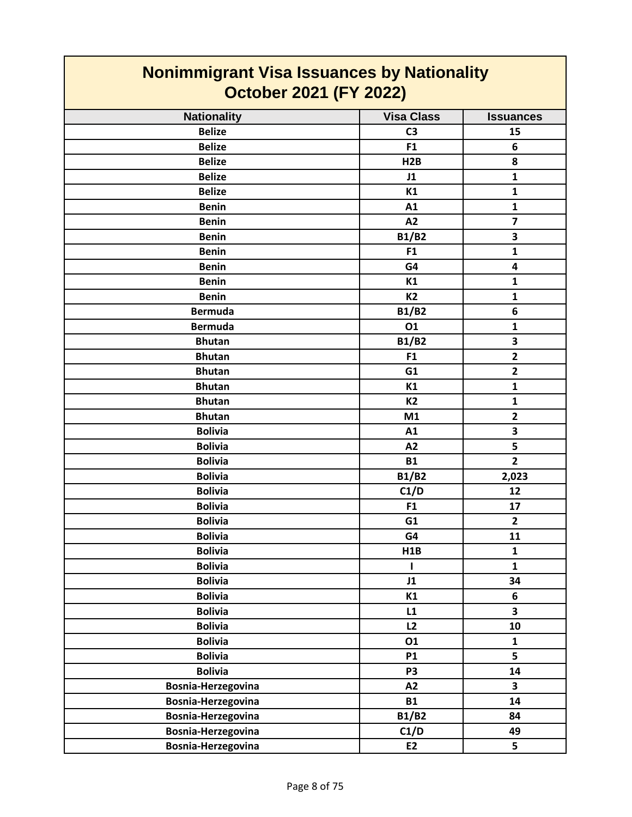| <b>Nonimmigrant Visa Issuances by Nationality</b><br><b>October 2021 (FY 2022)</b> |                   |                         |
|------------------------------------------------------------------------------------|-------------------|-------------------------|
| <b>Nationality</b>                                                                 | <b>Visa Class</b> | <b>Issuances</b>        |
| <b>Belize</b>                                                                      | C <sub>3</sub>    | 15                      |
| <b>Belize</b>                                                                      | F1                | 6                       |
| <b>Belize</b>                                                                      | H2B               | 8                       |
| <b>Belize</b>                                                                      | J1                | $\mathbf{1}$            |
| <b>Belize</b>                                                                      | K1                | $\mathbf{1}$            |
| <b>Benin</b>                                                                       | A1                | $\mathbf{1}$            |
| <b>Benin</b>                                                                       | A2                | $\overline{\mathbf{z}}$ |
| <b>Benin</b>                                                                       | <b>B1/B2</b>      | 3                       |
| <b>Benin</b>                                                                       | F1                | $\mathbf{1}$            |
| <b>Benin</b>                                                                       | G4                | $\overline{\mathbf{4}}$ |
| <b>Benin</b>                                                                       | K1                | 1                       |
| <b>Benin</b>                                                                       | <b>K2</b>         | 1                       |
| <b>Bermuda</b>                                                                     | <b>B1/B2</b>      | 6                       |
| <b>Bermuda</b>                                                                     | 01                | $\mathbf{1}$            |
| <b>Bhutan</b>                                                                      | <b>B1/B2</b>      | 3                       |
| <b>Bhutan</b>                                                                      | F <sub>1</sub>    | $\overline{2}$          |
| <b>Bhutan</b>                                                                      | G1                | $\overline{2}$          |
| <b>Bhutan</b>                                                                      | K1                | 1                       |
| <b>Bhutan</b>                                                                      | <b>K2</b>         | $\mathbf{1}$            |
| <b>Bhutan</b>                                                                      | M1                | $\overline{2}$          |
| <b>Bolivia</b>                                                                     | A1                | 3                       |
| <b>Bolivia</b>                                                                     | A2                | 5                       |
| <b>Bolivia</b>                                                                     | <b>B1</b>         | $\overline{2}$          |
| <b>Bolivia</b>                                                                     | <b>B1/B2</b>      | 2,023                   |
| <b>Bolivia</b>                                                                     | C1/D              | 12                      |
| <b>Bolivia</b>                                                                     | F <sub>1</sub>    | 17                      |
| <b>Bolivia</b>                                                                     | G1                | $\overline{2}$          |
| <b>Bolivia</b>                                                                     | G4                | 11                      |
| <b>Bolivia</b>                                                                     | H1B               | $\mathbf{1}$            |
| <b>Bolivia</b>                                                                     | L                 | $\mathbf{1}$            |
| <b>Bolivia</b>                                                                     | J1                | 34                      |
| <b>Bolivia</b>                                                                     | K1                | 6                       |
| <b>Bolivia</b>                                                                     | L1                | $\overline{\mathbf{3}}$ |
| <b>Bolivia</b>                                                                     | L2                | 10                      |
| <b>Bolivia</b>                                                                     | 01                | $\mathbf{1}$            |
| <b>Bolivia</b>                                                                     | <b>P1</b>         | 5                       |
| <b>Bolivia</b>                                                                     | P <sub>3</sub>    | 14                      |
| Bosnia-Herzegovina                                                                 | A2                | 3                       |
| Bosnia-Herzegovina                                                                 | <b>B1</b>         | 14                      |
| Bosnia-Herzegovina                                                                 | <b>B1/B2</b>      | 84                      |
| Bosnia-Herzegovina                                                                 | C1/D              | 49                      |
| Bosnia-Herzegovina                                                                 | E2                | 5                       |

T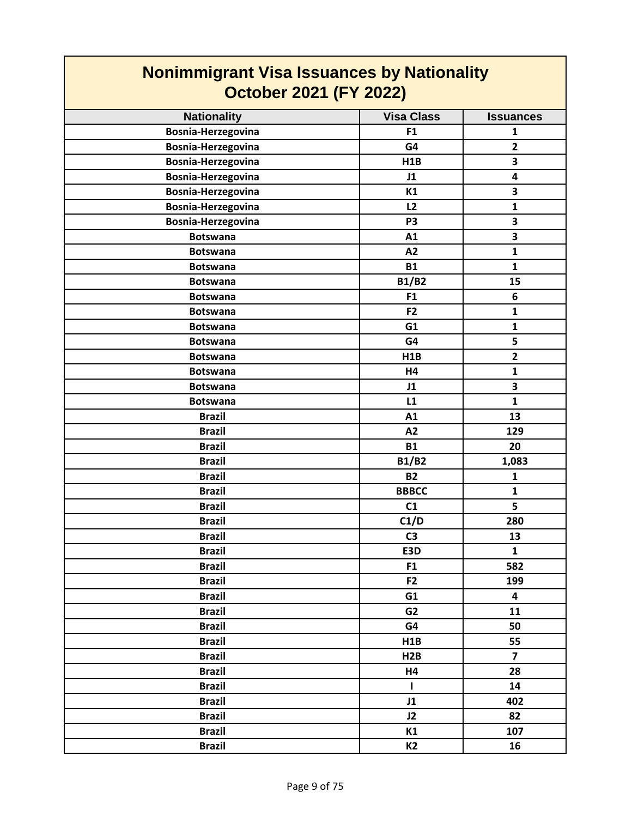| <b>Nonimmigrant Visa Issuances by Nationality</b><br><b>October 2021 (FY 2022)</b> |                   |                         |
|------------------------------------------------------------------------------------|-------------------|-------------------------|
| <b>Nationality</b>                                                                 | <b>Visa Class</b> | <b>Issuances</b>        |
| Bosnia-Herzegovina                                                                 | F <sub>1</sub>    | $\mathbf{1}$            |
| Bosnia-Herzegovina                                                                 | G4                | $\overline{2}$          |
| Bosnia-Herzegovina                                                                 | H1B               | $\overline{\mathbf{3}}$ |
| Bosnia-Herzegovina                                                                 | J1                | $\overline{\mathbf{4}}$ |
| Bosnia-Herzegovina                                                                 | K1                | 3                       |
| Bosnia-Herzegovina                                                                 | L2                | 1                       |
| Bosnia-Herzegovina                                                                 | P <sub>3</sub>    | $\overline{\mathbf{3}}$ |
| <b>Botswana</b>                                                                    | A1                | 3                       |
| <b>Botswana</b>                                                                    | A2                | $\mathbf{1}$            |
| <b>Botswana</b>                                                                    | <b>B1</b>         | $\mathbf{1}$            |
| <b>Botswana</b>                                                                    | <b>B1/B2</b>      | 15                      |
| <b>Botswana</b>                                                                    | F <sub>1</sub>    | 6                       |
| <b>Botswana</b>                                                                    | F <sub>2</sub>    | $\mathbf{1}$            |
| <b>Botswana</b>                                                                    | G1                | $\mathbf{1}$            |
| <b>Botswana</b>                                                                    | G4                | 5                       |
| <b>Botswana</b>                                                                    | H1B               | $\overline{2}$          |
| <b>Botswana</b>                                                                    | H4                | $\mathbf{1}$            |
| <b>Botswana</b>                                                                    | J1                | 3                       |
| <b>Botswana</b>                                                                    | L1                | $\mathbf{1}$            |
| <b>Brazil</b>                                                                      | A1                | 13                      |
| <b>Brazil</b>                                                                      | A2                | 129                     |
| <b>Brazil</b>                                                                      | <b>B1</b>         | 20                      |
| <b>Brazil</b>                                                                      | <b>B1/B2</b>      | 1,083                   |
| <b>Brazil</b>                                                                      | <b>B2</b>         | $\mathbf{1}$            |
| <b>Brazil</b>                                                                      | <b>BBBCC</b>      | 1                       |
| <b>Brazil</b>                                                                      | C1                | 5                       |
| <b>Brazil</b>                                                                      | C1/D              | 280                     |
| <b>Brazil</b>                                                                      | C <sub>3</sub>    | 13                      |
| <b>Brazil</b>                                                                      | E3D               | $\mathbf{1}$            |
| <b>Brazil</b>                                                                      | F <sub>1</sub>    | 582                     |
| <b>Brazil</b>                                                                      | F <sub>2</sub>    | 199                     |
| <b>Brazil</b>                                                                      | G1                | $\overline{\mathbf{4}}$ |
| <b>Brazil</b>                                                                      | G <sub>2</sub>    | 11                      |
| <b>Brazil</b>                                                                      | G4                | 50                      |
| <b>Brazil</b>                                                                      | H1B               | 55                      |
| <b>Brazil</b>                                                                      | H2B               | $\overline{\mathbf{z}}$ |
| <b>Brazil</b>                                                                      | H4                | 28                      |
| <b>Brazil</b>                                                                      | $\mathbf{I}$      | 14                      |
| <b>Brazil</b>                                                                      | J1                | 402                     |
| <b>Brazil</b>                                                                      | J2                | 82                      |
| <b>Brazil</b>                                                                      | K1                | 107                     |
| <b>Brazil</b>                                                                      | K <sub>2</sub>    | 16                      |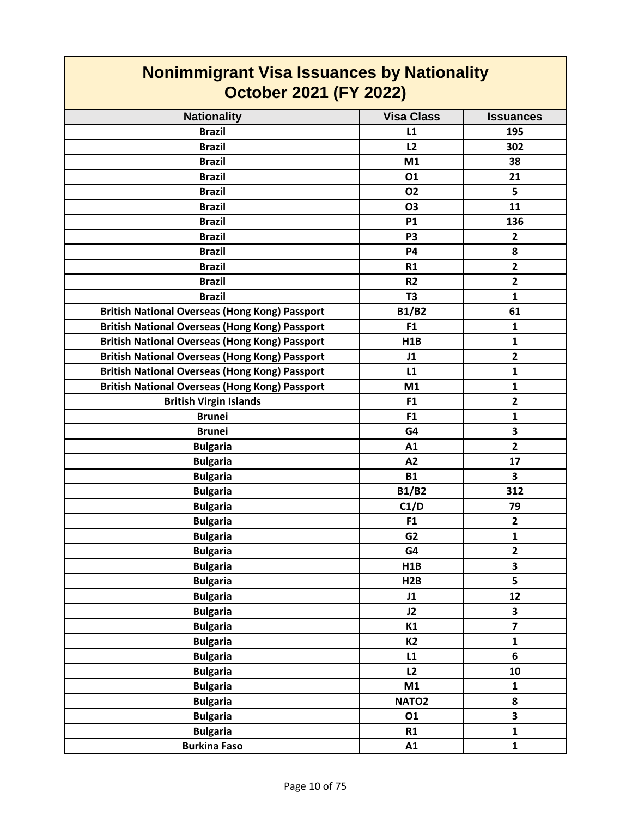| <b>Nonimmigrant Visa Issuances by Nationality</b><br><b>October 2021 (FY 2022)</b> |                   |                         |
|------------------------------------------------------------------------------------|-------------------|-------------------------|
| <b>Nationality</b>                                                                 | <b>Visa Class</b> | <b>Issuances</b>        |
| <b>Brazil</b>                                                                      | L1                | 195                     |
| <b>Brazil</b>                                                                      | L <sub>2</sub>    | 302                     |
| <b>Brazil</b>                                                                      | M1                | 38                      |
| <b>Brazil</b>                                                                      | 01                | 21                      |
| <b>Brazil</b>                                                                      | <b>O2</b>         | 5                       |
| <b>Brazil</b>                                                                      | <b>O3</b>         | 11                      |
| <b>Brazil</b>                                                                      | <b>P1</b>         | 136                     |
| <b>Brazil</b>                                                                      | P <sub>3</sub>    | $\overline{2}$          |
| <b>Brazil</b>                                                                      | <b>P4</b>         | 8                       |
| <b>Brazil</b>                                                                      | R1                | $\mathbf{2}$            |
| <b>Brazil</b>                                                                      | <b>R2</b>         | $\overline{2}$          |
| <b>Brazil</b>                                                                      | T <sub>3</sub>    | 1                       |
| <b>British National Overseas (Hong Kong) Passport</b>                              | <b>B1/B2</b>      | 61                      |
| <b>British National Overseas (Hong Kong) Passport</b>                              | F <sub>1</sub>    | $\mathbf{1}$            |
| <b>British National Overseas (Hong Kong) Passport</b>                              | H1B               | 1                       |
| <b>British National Overseas (Hong Kong) Passport</b>                              | J1                | $\overline{2}$          |
| <b>British National Overseas (Hong Kong) Passport</b>                              | L1                | 1                       |
| <b>British National Overseas (Hong Kong) Passport</b>                              | M1                | 1                       |
| <b>British Virgin Islands</b>                                                      | F <sub>1</sub>    | $\overline{2}$          |
| <b>Brunei</b>                                                                      | F <sub>1</sub>    | 1                       |
| <b>Brunei</b>                                                                      | G4                | 3                       |
| <b>Bulgaria</b>                                                                    | A1                | $\overline{2}$          |
| <b>Bulgaria</b>                                                                    | A2                | 17                      |
| <b>Bulgaria</b>                                                                    | <b>B1</b>         | 3                       |
| <b>Bulgaria</b>                                                                    | <b>B1/B2</b>      | 312                     |
| <b>Bulgaria</b>                                                                    | C1/D              | 79                      |
| <b>Bulgaria</b>                                                                    | F1                | 2                       |
| <b>Bulgaria</b>                                                                    | G <sub>2</sub>    | $\mathbf{1}$            |
| <b>Bulgaria</b>                                                                    | G4                | $\mathbf{2}$            |
| <b>Bulgaria</b>                                                                    | H1B               | 3                       |
| <b>Bulgaria</b>                                                                    | H2B               | $\overline{\mathbf{5}}$ |
| <b>Bulgaria</b>                                                                    | J1                | 12                      |
| <b>Bulgaria</b>                                                                    | J2                | 3                       |
| <b>Bulgaria</b>                                                                    | K1                | $\overline{7}$          |
| <b>Bulgaria</b>                                                                    | <b>K2</b>         | $\mathbf{1}$            |
| <b>Bulgaria</b>                                                                    | L1                | 6                       |
| <b>Bulgaria</b>                                                                    | L2                | 10                      |
| <b>Bulgaria</b>                                                                    | M1                | 1                       |
| <b>Bulgaria</b>                                                                    | NATO <sub>2</sub> | 8                       |
| <b>Bulgaria</b>                                                                    | 01                | 3                       |
| <b>Bulgaria</b>                                                                    | R1                | $\mathbf{1}$            |
| <b>Burkina Faso</b>                                                                | A1                | $\mathbf{1}$            |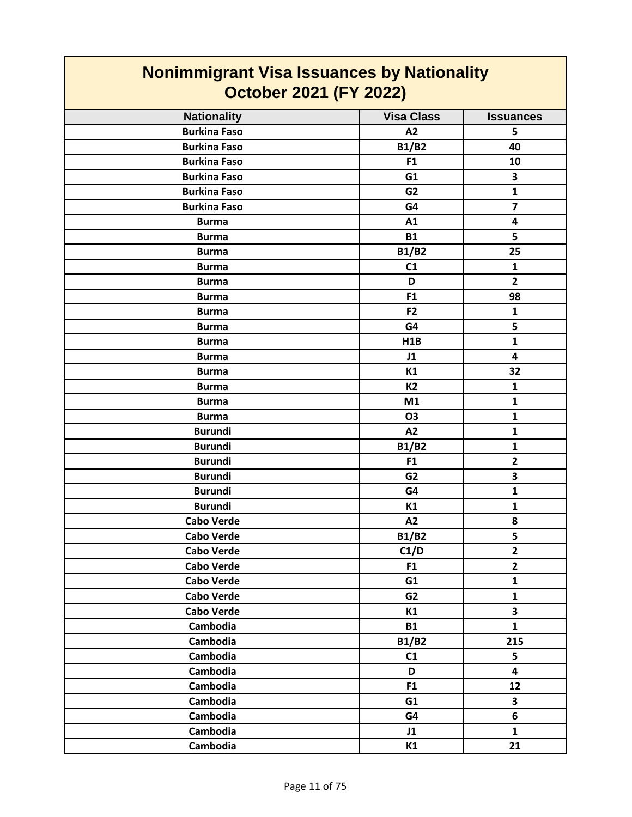| <b>Nonimmigrant Visa Issuances by Nationality</b><br><b>October 2021 (FY 2022)</b> |                                                                                                                                                                                                                                                                                                             |  |
|------------------------------------------------------------------------------------|-------------------------------------------------------------------------------------------------------------------------------------------------------------------------------------------------------------------------------------------------------------------------------------------------------------|--|
| <b>Visa Class</b>                                                                  | <b>Issuances</b>                                                                                                                                                                                                                                                                                            |  |
| A2                                                                                 | 5                                                                                                                                                                                                                                                                                                           |  |
|                                                                                    | 40                                                                                                                                                                                                                                                                                                          |  |
| F <sub>1</sub>                                                                     | 10                                                                                                                                                                                                                                                                                                          |  |
| G1                                                                                 | 3                                                                                                                                                                                                                                                                                                           |  |
| G <sub>2</sub>                                                                     | $\mathbf{1}$                                                                                                                                                                                                                                                                                                |  |
| G4                                                                                 | $\overline{7}$                                                                                                                                                                                                                                                                                              |  |
| A1                                                                                 | 4                                                                                                                                                                                                                                                                                                           |  |
| <b>B1</b>                                                                          | 5                                                                                                                                                                                                                                                                                                           |  |
| <b>B1/B2</b>                                                                       | 25                                                                                                                                                                                                                                                                                                          |  |
| C1                                                                                 | $\mathbf{1}$                                                                                                                                                                                                                                                                                                |  |
| D                                                                                  | $\overline{2}$                                                                                                                                                                                                                                                                                              |  |
| F <sub>1</sub>                                                                     | 98                                                                                                                                                                                                                                                                                                          |  |
| F <sub>2</sub>                                                                     | $\mathbf{1}$                                                                                                                                                                                                                                                                                                |  |
|                                                                                    | 5                                                                                                                                                                                                                                                                                                           |  |
|                                                                                    | $\mathbf{1}$                                                                                                                                                                                                                                                                                                |  |
|                                                                                    | 4                                                                                                                                                                                                                                                                                                           |  |
|                                                                                    | 32                                                                                                                                                                                                                                                                                                          |  |
|                                                                                    | $\mathbf{1}$                                                                                                                                                                                                                                                                                                |  |
|                                                                                    | $\mathbf{1}$                                                                                                                                                                                                                                                                                                |  |
|                                                                                    | $\mathbf{1}$                                                                                                                                                                                                                                                                                                |  |
|                                                                                    | $\mathbf{1}$                                                                                                                                                                                                                                                                                                |  |
|                                                                                    | $\mathbf{1}$                                                                                                                                                                                                                                                                                                |  |
|                                                                                    | $\overline{2}$                                                                                                                                                                                                                                                                                              |  |
|                                                                                    | 3                                                                                                                                                                                                                                                                                                           |  |
|                                                                                    | $\mathbf{1}$                                                                                                                                                                                                                                                                                                |  |
|                                                                                    | 1                                                                                                                                                                                                                                                                                                           |  |
|                                                                                    | 8                                                                                                                                                                                                                                                                                                           |  |
|                                                                                    | 5                                                                                                                                                                                                                                                                                                           |  |
|                                                                                    | $\mathbf{2}$                                                                                                                                                                                                                                                                                                |  |
|                                                                                    | $\overline{2}$                                                                                                                                                                                                                                                                                              |  |
|                                                                                    | $\mathbf{1}$                                                                                                                                                                                                                                                                                                |  |
|                                                                                    | $\mathbf{1}$                                                                                                                                                                                                                                                                                                |  |
|                                                                                    | $\overline{\mathbf{3}}$                                                                                                                                                                                                                                                                                     |  |
|                                                                                    | $\mathbf{1}$                                                                                                                                                                                                                                                                                                |  |
|                                                                                    | 215                                                                                                                                                                                                                                                                                                         |  |
|                                                                                    | 5                                                                                                                                                                                                                                                                                                           |  |
|                                                                                    | 4                                                                                                                                                                                                                                                                                                           |  |
|                                                                                    | 12                                                                                                                                                                                                                                                                                                          |  |
|                                                                                    | $\overline{\mathbf{3}}$                                                                                                                                                                                                                                                                                     |  |
|                                                                                    | 6                                                                                                                                                                                                                                                                                                           |  |
|                                                                                    | $\mathbf{1}$                                                                                                                                                                                                                                                                                                |  |
|                                                                                    | 21                                                                                                                                                                                                                                                                                                          |  |
|                                                                                    | <b>B1/B2</b><br>G4<br>H1B<br>J1<br>K1<br><b>K2</b><br>M1<br><b>O3</b><br>A2<br><b>B1/B2</b><br>F <sub>1</sub><br>G <sub>2</sub><br>G4<br>K1<br>A2<br><b>B1/B2</b><br>C1/D<br>F <sub>1</sub><br>G1<br>G <sub>2</sub><br>K1<br><b>B1</b><br><b>B1/B2</b><br>C1<br>D<br>F <sub>1</sub><br>G1<br>G4<br>J1<br>K1 |  |

┓

 $\blacksquare$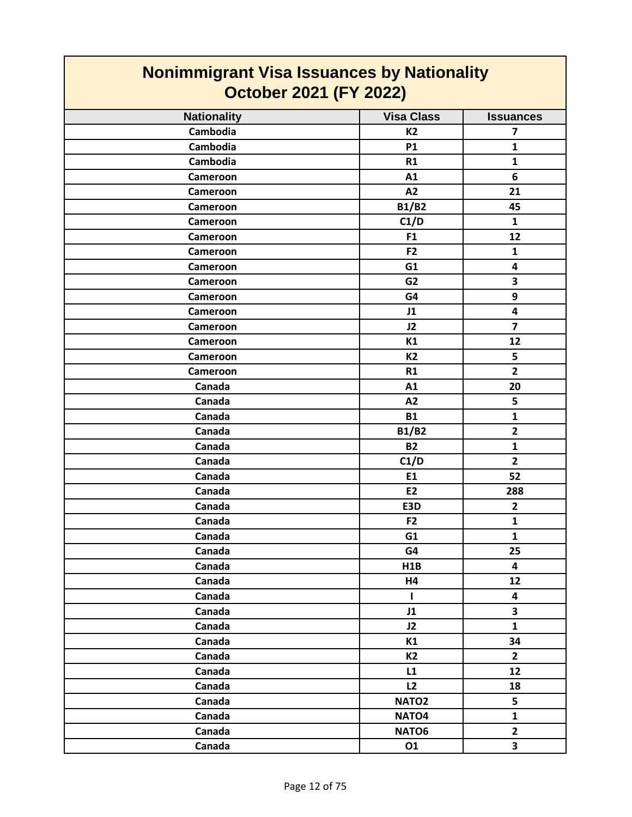| <b>Nonimmigrant Visa Issuances by Nationality</b><br><b>October 2021 (FY 2022)</b> |                   |                         |
|------------------------------------------------------------------------------------|-------------------|-------------------------|
| <b>Nationality</b>                                                                 | <b>Visa Class</b> | <b>Issuances</b>        |
| Cambodia                                                                           | <b>K2</b>         | 7                       |
| Cambodia                                                                           | <b>P1</b>         | 1                       |
| Cambodia                                                                           | <b>R1</b>         | 1                       |
| Cameroon                                                                           | A1                | 6                       |
| Cameroon                                                                           | A2                | 21                      |
| Cameroon                                                                           | <b>B1/B2</b>      | 45                      |
| Cameroon                                                                           | C1/D              | $\mathbf{1}$            |
| Cameroon                                                                           | F1                | 12                      |
| Cameroon                                                                           | F <sub>2</sub>    | 1                       |
| Cameroon                                                                           | G1                | 4                       |
| Cameroon                                                                           | G <sub>2</sub>    | 3                       |
| Cameroon                                                                           | G4                | 9                       |
| Cameroon                                                                           | J1                | 4                       |
| Cameroon                                                                           | J2                | 7                       |
| Cameroon                                                                           | K1                | 12                      |
| Cameroon                                                                           | <b>K2</b>         | 5                       |
| Cameroon                                                                           | R1                | $\overline{2}$          |
| Canada                                                                             | A1                | 20                      |
| Canada                                                                             | A2                | 5                       |
| Canada                                                                             | <b>B1</b>         | $\mathbf{1}$            |
| Canada                                                                             | <b>B1/B2</b>      | $\overline{2}$          |
| Canada                                                                             | <b>B2</b>         | 1                       |
| Canada                                                                             | C1/D              | $\overline{2}$          |
| Canada                                                                             | E1                | 52                      |
| Canada                                                                             | E <sub>2</sub>    | 288                     |
| Canada                                                                             | E3D               | $\overline{2}$          |
| Canada                                                                             | F <sub>2</sub>    | 1                       |
| Canada                                                                             | G1                | $\mathbf{1}$            |
| Canada                                                                             | G4                | 25                      |
| Canada                                                                             | H1B               | $\overline{\mathbf{4}}$ |
| Canada                                                                             | <b>H4</b>         | 12                      |
| Canada                                                                             | $\mathbf{I}$      | $\overline{\mathbf{4}}$ |
| Canada                                                                             | J1                | 3                       |
| Canada                                                                             | J2                | $\mathbf{1}$            |
| Canada                                                                             | K1                | 34                      |
| Canada                                                                             | K2                | $\mathbf{2}$            |
| Canada                                                                             | L1                | 12                      |
| Canada                                                                             | L2                | 18                      |
| Canada                                                                             | NATO <sub>2</sub> | 5                       |
| Canada                                                                             | NATO <sub>4</sub> | $\mathbf{1}$            |
| Canada                                                                             | NATO6             | $\mathbf{2}$            |
| Canada                                                                             | 01                | $\overline{\mathbf{3}}$ |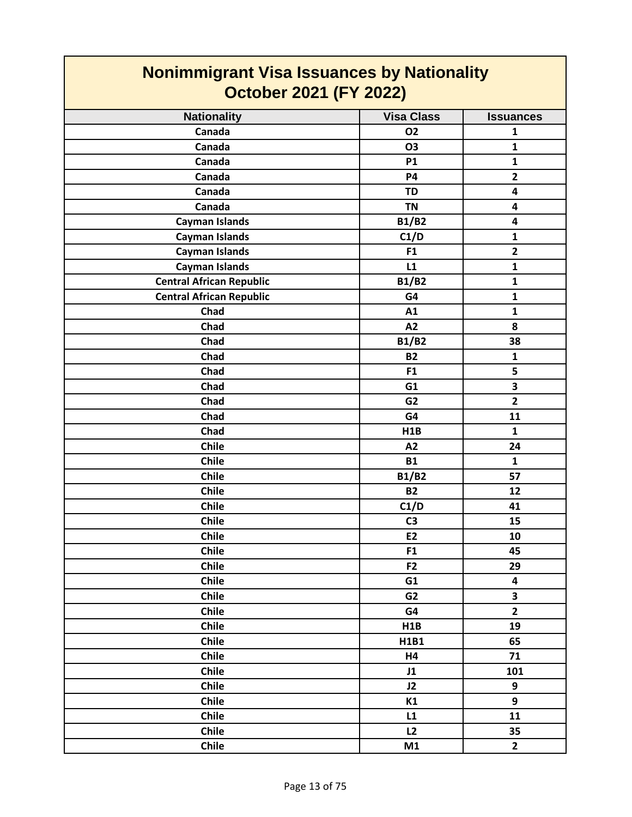| <b>Nonimmigrant Visa Issuances by Nationality</b><br><b>October 2021 (FY 2022)</b> |                   |                         |
|------------------------------------------------------------------------------------|-------------------|-------------------------|
| <b>Nationality</b>                                                                 | <b>Visa Class</b> | <b>Issuances</b>        |
| Canada                                                                             | <b>O2</b>         | 1                       |
| Canada                                                                             | <b>O3</b>         | 1                       |
| Canada                                                                             | <b>P1</b>         | $\mathbf{1}$            |
| Canada                                                                             | <b>P4</b>         | $\overline{2}$          |
| Canada                                                                             | TD                | 4                       |
| Canada                                                                             | <b>TN</b>         | 4                       |
| <b>Cayman Islands</b>                                                              | <b>B1/B2</b>      | 4                       |
| <b>Cayman Islands</b>                                                              | C1/D              | 1                       |
| <b>Cayman Islands</b>                                                              | F <sub>1</sub>    | $\overline{2}$          |
| <b>Cayman Islands</b>                                                              | L1                | $\mathbf{1}$            |
| <b>Central African Republic</b>                                                    | <b>B1/B2</b>      | 1                       |
| <b>Central African Republic</b>                                                    | G4                | 1                       |
| Chad                                                                               | A1                | 1                       |
| Chad                                                                               | A2                | 8                       |
| Chad                                                                               | <b>B1/B2</b>      | 38                      |
| Chad                                                                               | <b>B2</b>         | 1                       |
| Chad                                                                               | F <sub>1</sub>    | 5                       |
| Chad                                                                               | G1                | $\overline{\mathbf{3}}$ |
| Chad                                                                               | G <sub>2</sub>    | $\overline{2}$          |
| Chad                                                                               | G4                | 11                      |
| Chad                                                                               | H1B               | $\mathbf{1}$            |
| <b>Chile</b>                                                                       | A2                | 24                      |
| Chile                                                                              | <b>B1</b>         | $\mathbf{1}$            |
| <b>Chile</b>                                                                       | <b>B1/B2</b>      | 57                      |
| <b>Chile</b>                                                                       | <b>B2</b>         | 12                      |
| Chile                                                                              | C1/D              | 41                      |
| Chile                                                                              | C <sub>3</sub>    | 15                      |
| <b>Chile</b>                                                                       | E2                | 10                      |
| Chile                                                                              | F1                | 45                      |
| Chile                                                                              | F <sub>2</sub>    | 29                      |
| Chile                                                                              | G1                | $\overline{\mathbf{4}}$ |
| Chile                                                                              | G <sub>2</sub>    | 3                       |
| Chile                                                                              | G4                | $\overline{2}$          |
| <b>Chile</b>                                                                       | H1B               | 19                      |
| Chile                                                                              | H1B1              | 65                      |
| Chile                                                                              | H4                | 71                      |
| Chile                                                                              | J1                | 101                     |
| Chile                                                                              | J2                | 9                       |
| Chile                                                                              | K1                | 9                       |
| Chile                                                                              | L1                | 11                      |
| Chile                                                                              | L2                | 35                      |
| Chile                                                                              | M1                | $\overline{2}$          |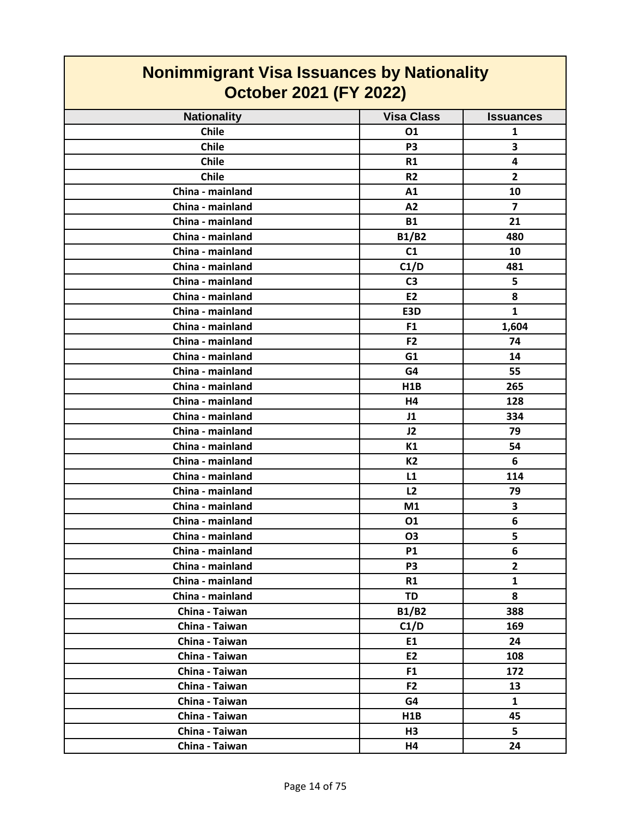| <u></u> .<br><b>October 2021 (FY 2022)</b> |                   |                  |
|--------------------------------------------|-------------------|------------------|
| <b>Nationality</b>                         | <b>Visa Class</b> | <b>Issuances</b> |
| <b>Chile</b>                               | 01                | 1                |
| <b>Chile</b>                               | P <sub>3</sub>    | 3                |
| <b>Chile</b>                               | R1                | 4                |
| Chile                                      | R <sub>2</sub>    | $\overline{2}$   |
| China - mainland                           | A1                | 10               |
| China - mainland                           | A2                | $\overline{7}$   |
| China - mainland                           | <b>B1</b>         | 21               |
| China - mainland                           | <b>B1/B2</b>      | 480              |
| China - mainland                           | C1                | 10               |
| China - mainland                           | C1/D              | 481              |
| China - mainland                           | C <sub>3</sub>    | 5                |
| China - mainland                           | <b>E2</b>         | 8                |
| China - mainland                           | E3D               | $\mathbf{1}$     |
| China - mainland                           | F <sub>1</sub>    | 1,604            |
| China - mainland                           | F <sub>2</sub>    | 74               |
| China - mainland                           | G1                | 14               |
| China - mainland                           | G4                | 55               |
| China - mainland                           | <b>H1B</b>        | 265              |
| China - mainland                           | H4                | 128              |
| China - mainland                           | J1                | 334              |
| China - mainland                           | J2                | 79               |
| China - mainland                           | K1                | 54               |
| China - mainland                           | <b>K2</b>         | 6                |
| China - mainland                           | L1                | 114              |
| China - mainland                           | L2                | 79               |
| China - mainland                           | M1                | 3                |
| China - mainland                           | 01                | 6                |
| China - mainland                           | O <sub>3</sub>    | 5                |
| China - mainland                           | <b>P1</b>         | 6                |
| China - mainland                           | P3                | $\overline{2}$   |
| China - mainland                           | R1                | $\mathbf{1}$     |
| China - mainland                           | <b>TD</b>         | 8                |
| China - Taiwan                             | B1/B2             | 388              |
| China - Taiwan                             | C1/D              | 169              |
| China - Taiwan                             | E1                | 24               |
| China - Taiwan                             | E2                | 108              |
| China - Taiwan                             | F <sub>1</sub>    | 172              |
| China - Taiwan                             | F <sub>2</sub>    | 13               |
| China - Taiwan                             | G4                | $\mathbf{1}$     |
| China - Taiwan                             | H1B               | 45               |
| China - Taiwan                             | H3                | 5                |
| China - Taiwan                             | H4                | 24               |

# **Nonimmigrant Visa Issuances by Nationality**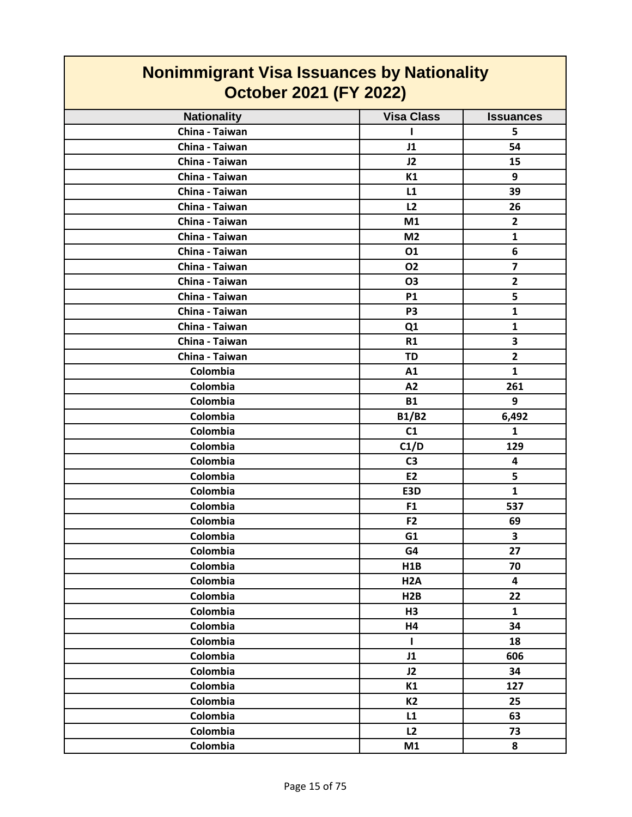| <b>Nonimmigrant Visa Issuances by Nationality</b> |                   |                  |
|---------------------------------------------------|-------------------|------------------|
| <b>October 2021 (FY 2022)</b>                     |                   |                  |
| <b>Nationality</b>                                | <b>Visa Class</b> | <b>Issuances</b> |
| China - Taiwan                                    |                   | 5                |
| China - Taiwan                                    | J1                | 54               |
| China - Taiwan                                    | J2                | 15               |
| China - Taiwan                                    | K1                | 9                |
| China - Taiwan                                    | L1                | 39               |
| China - Taiwan                                    | L2                | 26               |
| China - Taiwan                                    | M1                | $\overline{2}$   |
| China - Taiwan                                    | M <sub>2</sub>    | $\mathbf{1}$     |
| China - Taiwan                                    | 01                | 6                |
| China - Taiwan                                    | 02                | $\overline{7}$   |
| China - Taiwan                                    | <b>O3</b>         | $\overline{2}$   |
| China - Taiwan                                    | <b>P1</b>         | 5                |
| China - Taiwan                                    | P <sub>3</sub>    | $\mathbf{1}$     |
| China - Taiwan                                    | Q1                | $\mathbf{1}$     |
| China - Taiwan                                    | R1                | 3                |
| China - Taiwan                                    | <b>TD</b>         | $\overline{2}$   |
| Colombia                                          | A1                | $\mathbf{1}$     |
| Colombia                                          | A2                | 261              |
| Colombia                                          | <b>B1</b>         | 9                |
| Colombia                                          | <b>B1/B2</b>      | 6,492            |
| Colombia                                          | C1                | $\mathbf{1}$     |
| Colombia                                          | C1/D              | 129              |
| Colombia                                          | C <sub>3</sub>    | 4                |
| Colombia                                          | <b>E2</b>         | 5                |
| Colombia                                          | E3D               | $\mathbf{1}$     |
| Colombia                                          | F <sub>1</sub>    | 537              |
| Colombia                                          | F <sub>2</sub>    | 69               |
| Colombia                                          | G1                | 3                |
| Colombia                                          | G4                | 27               |
| Colombia                                          | H1B               | 70               |
| Colombia                                          | H <sub>2</sub> A  | 4                |
| Colombia                                          | H2B               | 22               |
| Colombia                                          | H3                | $\mathbf{1}$     |
| Colombia                                          | H4                | 34               |
| Colombia                                          | T                 | 18               |
| Colombia                                          | J1                | 606              |
| Colombia                                          | J2                | 34               |
| Colombia                                          | K1                | 127              |
| Colombia                                          | <b>K2</b>         | 25               |
| Colombia                                          | L1                | 63               |
| Colombia                                          | L2                | 73               |
| Colombia                                          | M1                | 8                |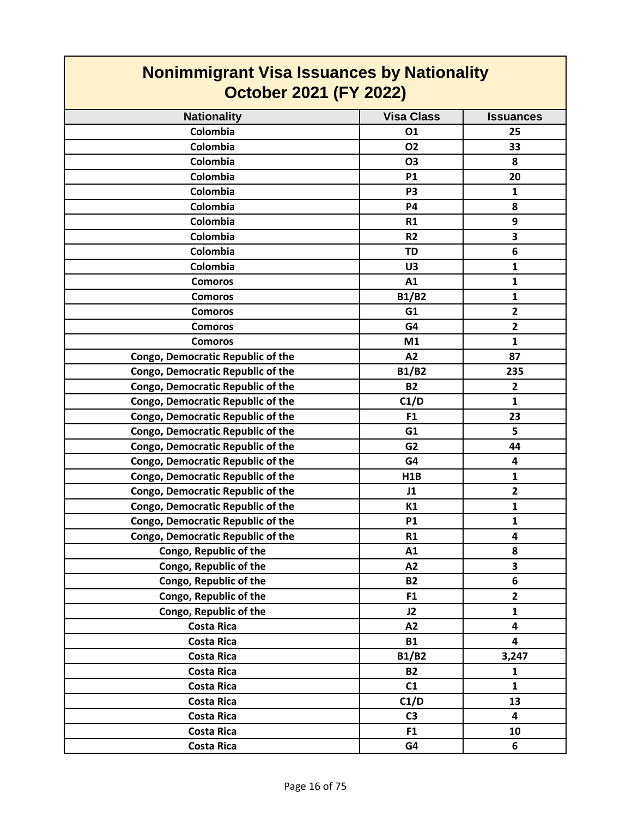| <b>Nonimmigrant Visa Issuances by Nationality</b><br><b>October 2021 (FY 2022)</b> |                   |                         |
|------------------------------------------------------------------------------------|-------------------|-------------------------|
| <b>Nationality</b>                                                                 | <b>Visa Class</b> | <b>Issuances</b>        |
| Colombia                                                                           | 01                | 25                      |
| Colombia                                                                           | 02                | 33                      |
| Colombia                                                                           | <b>O3</b>         | 8                       |
| Colombia                                                                           | <b>P1</b>         | 20                      |
| Colombia                                                                           | P <sub>3</sub>    | $\mathbf{1}$            |
| Colombia                                                                           | <b>P4</b>         | 8                       |
| Colombia                                                                           | R1                | 9                       |
| Colombia                                                                           | R <sub>2</sub>    | 3                       |
| Colombia                                                                           | <b>TD</b>         | 6                       |
| Colombia                                                                           | U3                | $\mathbf{1}$            |
| <b>Comoros</b>                                                                     | A1                | $\mathbf{1}$            |
| <b>Comoros</b>                                                                     | <b>B1/B2</b>      | $\mathbf{1}$            |
| <b>Comoros</b>                                                                     | G <sub>1</sub>    | $\overline{2}$          |
| <b>Comoros</b>                                                                     | G4                | $\overline{2}$          |
| <b>Comoros</b>                                                                     | M1                | $\mathbf{1}$            |
| <b>Congo, Democratic Republic of the</b>                                           | A2                | 87                      |
| Congo, Democratic Republic of the                                                  | <b>B1/B2</b>      | 235                     |
| Congo, Democratic Republic of the                                                  | <b>B2</b>         | $\overline{2}$          |
| Congo, Democratic Republic of the                                                  | C1/D              | $\mathbf{1}$            |
| Congo, Democratic Republic of the                                                  | F <sub>1</sub>    | 23                      |
| Congo, Democratic Republic of the                                                  | G1                | 5                       |
| Congo, Democratic Republic of the                                                  | G <sub>2</sub>    | 44                      |
| Congo, Democratic Republic of the                                                  | G4                | $\overline{\mathbf{4}}$ |
| Congo, Democratic Republic of the                                                  | H1B               | $\mathbf{1}$            |
| Congo, Democratic Republic of the                                                  | J1                | $\overline{2}$          |
| Congo, Democratic Republic of the                                                  | K1                | 1                       |
| Congo, Democratic Republic of the                                                  | <b>P1</b>         | $\mathbf{1}$            |
| <b>Congo, Democratic Republic of the</b>                                           | R1                | 4                       |
| Congo, Republic of the                                                             | A1                | 8                       |
| Congo, Republic of the                                                             | A2                | 3                       |
| Congo, Republic of the                                                             | <b>B2</b>         | 6                       |
| Congo, Republic of the                                                             | F <sub>1</sub>    | $\overline{2}$          |
| Congo, Republic of the                                                             | J2                | 1                       |
| <b>Costa Rica</b>                                                                  | A2                | $\overline{\mathbf{4}}$ |
| <b>Costa Rica</b>                                                                  | <b>B1</b>         | $\overline{\mathbf{4}}$ |
| <b>Costa Rica</b>                                                                  | B1/B2             | 3,247                   |
| <b>Costa Rica</b>                                                                  | <b>B2</b>         | $\mathbf{1}$            |
| <b>Costa Rica</b>                                                                  | C1                | $\mathbf{1}$            |
| <b>Costa Rica</b>                                                                  | C1/D              | 13                      |
| <b>Costa Rica</b>                                                                  | C <sub>3</sub>    | 4                       |
| <b>Costa Rica</b>                                                                  | F1                | 10                      |
| <b>Costa Rica</b>                                                                  | G4                | 6                       |

┑

 $\Gamma$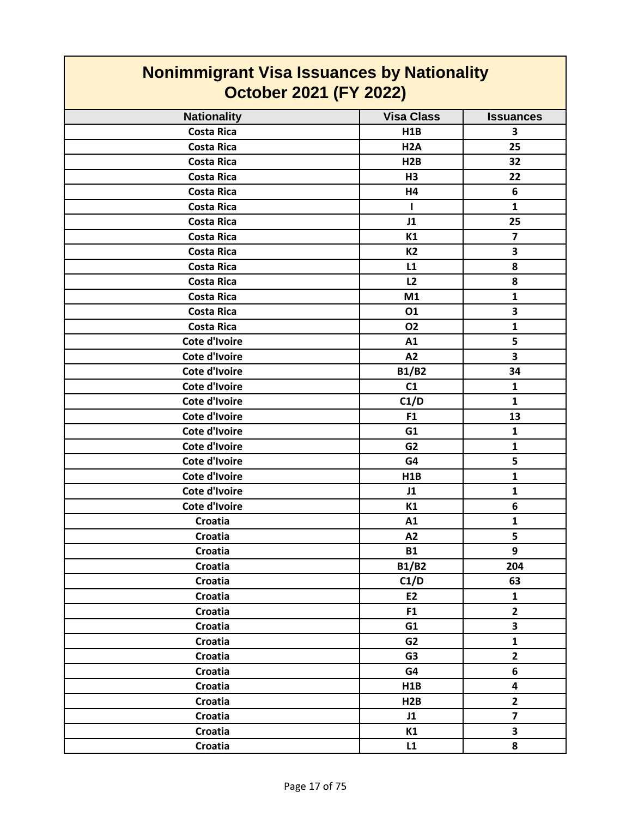| <b>Nonimmigrant Visa Issuances by Nationality</b><br><b>October 2021 (FY 2022)</b> |                   |                         |
|------------------------------------------------------------------------------------|-------------------|-------------------------|
| <b>Nationality</b>                                                                 | <b>Visa Class</b> | <b>Issuances</b>        |
| <b>Costa Rica</b>                                                                  | H1B               | 3                       |
| <b>Costa Rica</b>                                                                  | H <sub>2</sub> A  | 25                      |
| <b>Costa Rica</b>                                                                  | H <sub>2</sub> B  | 32                      |
| <b>Costa Rica</b>                                                                  | H3                | 22                      |
| <b>Costa Rica</b>                                                                  | H4                | 6                       |
| <b>Costa Rica</b>                                                                  | п                 | $\mathbf{1}$            |
| <b>Costa Rica</b>                                                                  | J1                | 25                      |
| <b>Costa Rica</b>                                                                  | K1                | $\overline{ }$          |
| <b>Costa Rica</b>                                                                  | <b>K2</b>         | 3                       |
| <b>Costa Rica</b>                                                                  | L1                | 8                       |
| <b>Costa Rica</b>                                                                  | L2                | 8                       |
| <b>Costa Rica</b>                                                                  | M1                | $\mathbf{1}$            |
| <b>Costa Rica</b>                                                                  | 01                | 3                       |
| <b>Costa Rica</b>                                                                  | 02                | $\mathbf{1}$            |
| Cote d'Ivoire                                                                      | A1                | 5                       |
| Cote d'Ivoire                                                                      | A2                | 3                       |
| Cote d'Ivoire                                                                      | <b>B1/B2</b>      | 34                      |
| <b>Cote d'Ivoire</b>                                                               | C1                | 1                       |
| <b>Cote d'Ivoire</b>                                                               | C1/D              | $\mathbf{1}$            |
| Cote d'Ivoire                                                                      | F <sub>1</sub>    | 13                      |
| Cote d'Ivoire                                                                      | G1                | $\mathbf{1}$            |
| <b>Cote d'Ivoire</b>                                                               | G <sub>2</sub>    | 1                       |
| Cote d'Ivoire                                                                      | G4                | 5                       |
| <b>Cote d'Ivoire</b>                                                               | <b>H1B</b>        | $\mathbf{1}$            |
| Cote d'Ivoire                                                                      | J1                | 1                       |
| <b>Cote d'Ivoire</b>                                                               | K1                | 6                       |
| Croatia                                                                            | A1                | 1                       |
| Croatia                                                                            | A2                | 5                       |
| Croatia                                                                            | <b>B1</b>         | 9                       |
| Croatia                                                                            | <b>B1/B2</b>      | 204                     |
| Croatia                                                                            | C1/D              | 63                      |
| Croatia                                                                            | E2                | $\mathbf{1}$            |
| Croatia                                                                            | F1                | $\overline{2}$          |
| Croatia                                                                            | G1                | $\overline{\mathbf{3}}$ |
| Croatia                                                                            | G <sub>2</sub>    | $\mathbf{1}$            |
| Croatia                                                                            | G <sub>3</sub>    | $\mathbf{2}$            |
| Croatia                                                                            | G4                | 6                       |
| Croatia                                                                            | H1B               | $\overline{\mathbf{4}}$ |
| Croatia                                                                            | H2B               | $\mathbf{2}$            |
| Croatia                                                                            | J1                | $\overline{\mathbf{z}}$ |
| Croatia                                                                            | K1                | 3                       |
| Croatia                                                                            | L1                | 8                       |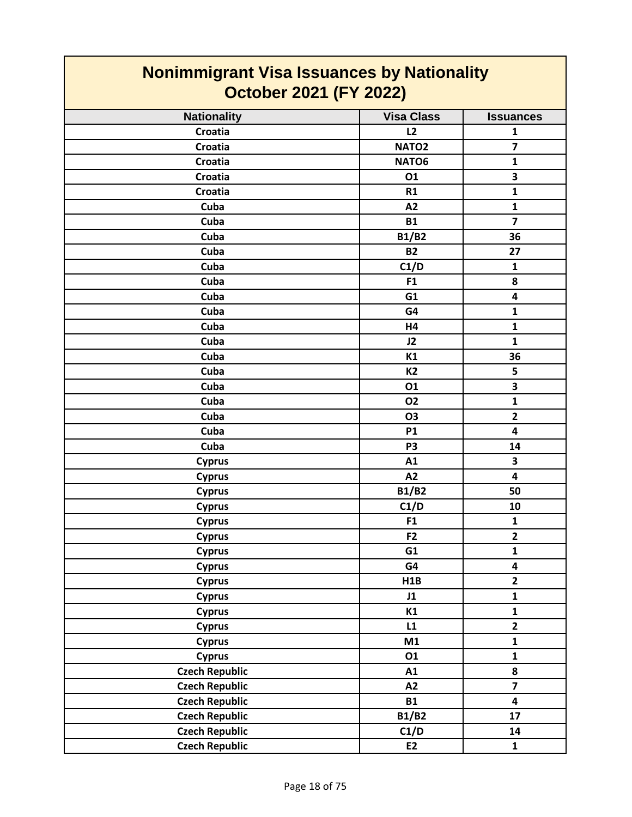| <b>Nonimmigrant Visa Issuances by Nationality</b><br><b>October 2021 (FY 2022)</b> |                   |                         |
|------------------------------------------------------------------------------------|-------------------|-------------------------|
| <b>Nationality</b>                                                                 | <b>Visa Class</b> | <b>Issuances</b>        |
| Croatia                                                                            | L2                | $\mathbf{1}$            |
| <b>Croatia</b>                                                                     | NATO <sub>2</sub> | $\overline{\mathbf{z}}$ |
| Croatia                                                                            | NATO6             | $\mathbf{1}$            |
| <b>Croatia</b>                                                                     | 01                | 3                       |
| <b>Croatia</b>                                                                     | R1                | $\mathbf{1}$            |
| Cuba                                                                               | A2                | $\mathbf{1}$            |
| Cuba                                                                               | <b>B1</b>         | $\overline{\mathbf{z}}$ |
| Cuba                                                                               | <b>B1/B2</b>      | 36                      |
| Cuba                                                                               | <b>B2</b>         | 27                      |
| Cuba                                                                               | C1/D              | $\mathbf{1}$            |
| Cuba                                                                               | F <sub>1</sub>    | 8                       |
| Cuba                                                                               | G1                | 4                       |
| Cuba                                                                               | G4                | $\mathbf{1}$            |
| Cuba                                                                               | H4                | $\mathbf{1}$            |
| Cuba                                                                               | J2                | $\mathbf{1}$            |
| Cuba                                                                               | K1                | 36                      |
| Cuba                                                                               | <b>K2</b>         | 5                       |
| Cuba                                                                               | 01                | 3                       |
| Cuba                                                                               | <b>O2</b>         | $\mathbf{1}$            |
| Cuba                                                                               | O <sub>3</sub>    | $\overline{2}$          |
| Cuba                                                                               | <b>P1</b>         | 4                       |
| Cuba                                                                               | P <sub>3</sub>    | 14                      |
| <b>Cyprus</b>                                                                      | A1                | 3                       |
| <b>Cyprus</b>                                                                      | A2                | 4                       |
| <b>Cyprus</b>                                                                      | <b>B1/B2</b>      | 50                      |
| <b>Cyprus</b>                                                                      | C1/D              | 10                      |
| <b>Cyprus</b>                                                                      | F1                | $\mathbf{1}$            |
| <b>Cyprus</b>                                                                      | F <sub>2</sub>    | $\mathbf{2}$            |
| <b>Cyprus</b>                                                                      | G1                | $\mathbf{1}$            |
| <b>Cyprus</b>                                                                      | G4                | 4                       |
| <b>Cyprus</b>                                                                      | H1B               | $\overline{2}$          |
| <b>Cyprus</b>                                                                      | J1                | $\mathbf{1}$            |
| <b>Cyprus</b>                                                                      | K1                | $\mathbf{1}$            |
| <b>Cyprus</b>                                                                      | L1                | $\overline{2}$          |
| <b>Cyprus</b>                                                                      | M1                | $\mathbf{1}$            |
| <b>Cyprus</b>                                                                      | 01                | $\mathbf{1}$            |
| <b>Czech Republic</b>                                                              | A1                | 8                       |
| <b>Czech Republic</b>                                                              | A2                | $\overline{\mathbf{z}}$ |
| <b>Czech Republic</b>                                                              | <b>B1</b>         | 4                       |
| <b>Czech Republic</b>                                                              | B1/B2             | 17                      |
| <b>Czech Republic</b>                                                              | C1/D              | 14                      |
| <b>Czech Republic</b>                                                              | E2                | $\mathbf{1}$            |

┑

 $\Gamma$ 

### Page 18 of 75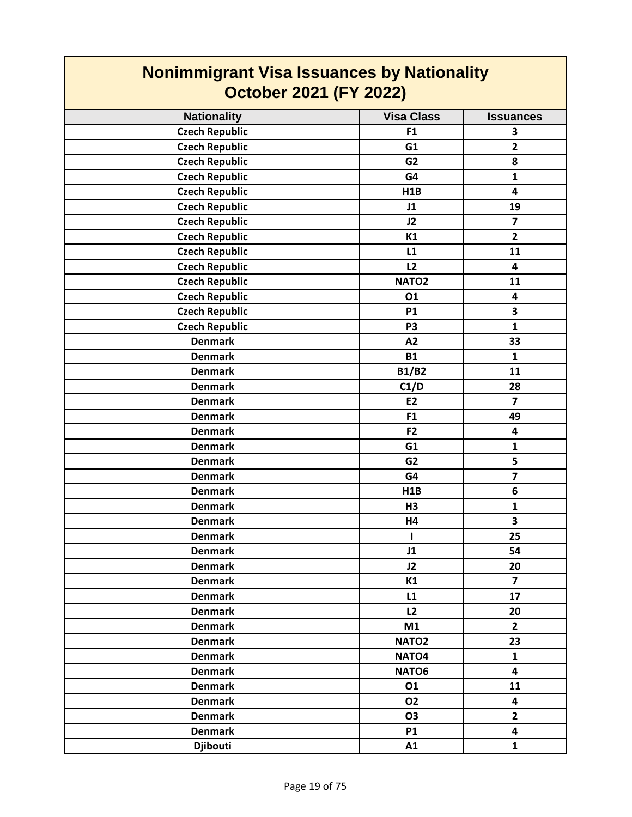| <b>Nonimmigrant Visa Issuances by Nationality</b><br><b>October 2021 (FY 2022)</b> |                   |                         |
|------------------------------------------------------------------------------------|-------------------|-------------------------|
| <b>Nationality</b>                                                                 | <b>Visa Class</b> | <b>Issuances</b>        |
| <b>Czech Republic</b>                                                              | F <sub>1</sub>    | 3                       |
| <b>Czech Republic</b>                                                              | G1                | $\overline{2}$          |
| <b>Czech Republic</b>                                                              | G <sub>2</sub>    | 8                       |
| <b>Czech Republic</b>                                                              | G4                | $\mathbf{1}$            |
| <b>Czech Republic</b>                                                              | H1B               | 4                       |
| <b>Czech Republic</b>                                                              | J1                | 19                      |
| <b>Czech Republic</b>                                                              | J2                | $\overline{\mathbf{z}}$ |
| <b>Czech Republic</b>                                                              | K1                | $\overline{2}$          |
| <b>Czech Republic</b>                                                              | L1                | 11                      |
| <b>Czech Republic</b>                                                              | L2                | 4                       |
| <b>Czech Republic</b>                                                              | NATO <sub>2</sub> | 11                      |
| <b>Czech Republic</b>                                                              | 01                | 4                       |
| <b>Czech Republic</b>                                                              | <b>P1</b>         | 3                       |
| <b>Czech Republic</b>                                                              | P <sub>3</sub>    | $\mathbf{1}$            |
| <b>Denmark</b>                                                                     | A2                | 33                      |
| <b>Denmark</b>                                                                     | <b>B1</b>         | $\mathbf{1}$            |
| <b>Denmark</b>                                                                     | <b>B1/B2</b>      | 11                      |
| <b>Denmark</b>                                                                     | C1/D              | 28                      |
| <b>Denmark</b>                                                                     | E <sub>2</sub>    | $\overline{7}$          |
| <b>Denmark</b>                                                                     | F <sub>1</sub>    | 49                      |
| <b>Denmark</b>                                                                     | F <sub>2</sub>    | 4                       |
| <b>Denmark</b>                                                                     | G1                | $\mathbf{1}$            |
| <b>Denmark</b>                                                                     | G <sub>2</sub>    | 5                       |
| <b>Denmark</b>                                                                     | G4                | $\overline{\mathbf{z}}$ |
| <b>Denmark</b>                                                                     | H1B               | 6                       |
| <b>Denmark</b>                                                                     | H3                | 1                       |
| <b>Denmark</b>                                                                     | H4                | 3                       |
| <b>Denmark</b>                                                                     | $\mathbf{I}$      | 25                      |
| <b>Denmark</b>                                                                     | J1                | 54                      |
| <b>Denmark</b>                                                                     | J2                | 20                      |
| <b>Denmark</b>                                                                     | K1                | $\overline{\mathbf{z}}$ |
| <b>Denmark</b>                                                                     | L1                | 17                      |
| <b>Denmark</b>                                                                     | L2                | 20                      |
| <b>Denmark</b>                                                                     | M1                | $\mathbf{2}$            |
| <b>Denmark</b>                                                                     | NATO <sub>2</sub> | 23                      |
| <b>Denmark</b>                                                                     | NATO <sub>4</sub> | $\mathbf{1}$            |
| <b>Denmark</b>                                                                     | NATO6             | 4                       |
| <b>Denmark</b>                                                                     | 01                | 11                      |
| <b>Denmark</b>                                                                     | 02                | 4                       |
| <b>Denmark</b>                                                                     | 03                | $\overline{2}$          |
| <b>Denmark</b>                                                                     | <b>P1</b>         | 4                       |
| <b>Djibouti</b>                                                                    | A1                | $\mathbf{1}$            |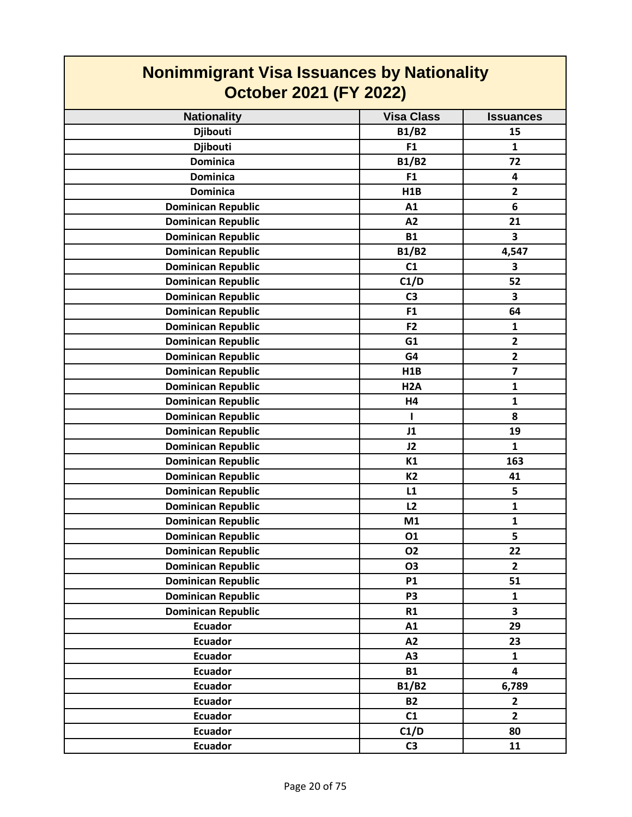| <b>Nonimmigrant Visa Issuances by Nationality</b> |                   |                              |
|---------------------------------------------------|-------------------|------------------------------|
| <b>October 2021 (FY 2022)</b>                     |                   |                              |
| <b>Nationality</b>                                | <b>Visa Class</b> | <b>Issuances</b>             |
| <b>Djibouti</b>                                   | <b>B1/B2</b>      | 15                           |
| <b>Djibouti</b>                                   | F <sub>1</sub>    | $\mathbf{1}$                 |
| <b>Dominica</b>                                   | <b>B1/B2</b>      | 72                           |
| <b>Dominica</b>                                   | F <sub>1</sub>    | 4                            |
| <b>Dominica</b>                                   | H1B               | $\overline{2}$               |
| <b>Dominican Republic</b>                         | A1                | 6                            |
| <b>Dominican Republic</b>                         | A2                | 21                           |
| <b>Dominican Republic</b>                         | <b>B1</b>         | 3                            |
| <b>Dominican Republic</b>                         | <b>B1/B2</b>      | 4,547                        |
| <b>Dominican Republic</b>                         | C1                | 3                            |
| <b>Dominican Republic</b>                         | C1/D              | 52                           |
| <b>Dominican Republic</b>                         | C <sub>3</sub>    | 3                            |
| <b>Dominican Republic</b>                         | F1                | 64                           |
| <b>Dominican Republic</b>                         | F <sub>2</sub>    | $\mathbf{1}$                 |
| <b>Dominican Republic</b>                         | G1                | $\overline{2}$               |
| <b>Dominican Republic</b>                         | G4                | $\mathbf{2}$                 |
| <b>Dominican Republic</b>                         | H <sub>1</sub> B  | $\overline{7}$               |
| <b>Dominican Republic</b>                         | H <sub>2</sub> A  | $\mathbf{1}$                 |
| <b>Dominican Republic</b>                         | H4                | $\mathbf{1}$                 |
| <b>Dominican Republic</b>                         | L                 | 8                            |
| <b>Dominican Republic</b>                         | J1                | 19                           |
|                                                   | J2                | $\mathbf{1}$                 |
| <b>Dominican Republic</b>                         | K1                | 163                          |
| <b>Dominican Republic</b>                         | <b>K2</b>         | 41                           |
| <b>Dominican Republic</b>                         |                   |                              |
| <b>Dominican Republic</b>                         | L1                | 5                            |
| <b>Dominican Republic</b>                         | L2                | $\mathbf{1}$<br>$\mathbf{1}$ |
| <b>Dominican Republic</b>                         | M1                |                              |
| <b>Dominican Republic</b>                         | 01                | 5                            |
| <b>Dominican Republic</b>                         | <b>O2</b>         | 22                           |
| <b>Dominican Republic</b>                         | <b>O3</b>         | $\overline{2}$               |
| <b>Dominican Republic</b>                         | <b>P1</b>         | 51                           |
| <b>Dominican Republic</b>                         | P <sub>3</sub>    | $\mathbf{1}$                 |
| <b>Dominican Republic</b>                         | R1                | 3                            |
| <b>Ecuador</b>                                    | A1                | 29                           |
| <b>Ecuador</b>                                    | A2                | 23                           |
| <b>Ecuador</b>                                    | A3                | $\mathbf{1}$                 |
| <b>Ecuador</b>                                    | <b>B1</b>         | 4                            |
| <b>Ecuador</b>                                    | <b>B1/B2</b>      | 6,789                        |
| <b>Ecuador</b>                                    | <b>B2</b>         | $\mathbf{2}$                 |
| <b>Ecuador</b>                                    | C1                | $\overline{2}$               |
| <b>Ecuador</b>                                    | C1/D              | 80                           |
| <b>Ecuador</b>                                    | C <sub>3</sub>    | 11                           |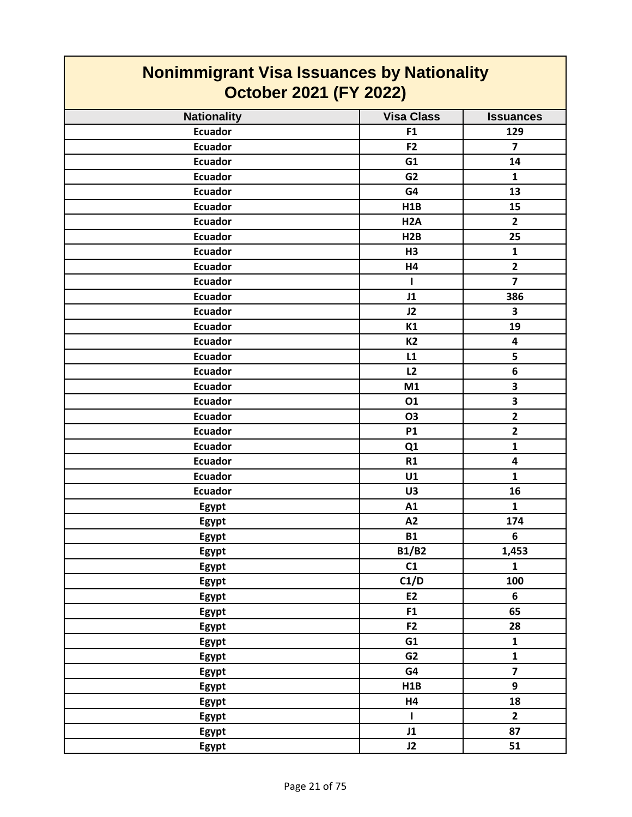| <b>Nonimmigrant Visa Issuances by Nationality</b><br><b>October 2021 (FY 2022)</b> |                   |                         |
|------------------------------------------------------------------------------------|-------------------|-------------------------|
| <b>Nationality</b>                                                                 | <b>Visa Class</b> | <b>Issuances</b>        |
| <b>Ecuador</b>                                                                     | F <sub>1</sub>    | 129                     |
| <b>Ecuador</b>                                                                     | F <sub>2</sub>    | $\overline{7}$          |
| <b>Ecuador</b>                                                                     | G1                | 14                      |
| <b>Ecuador</b>                                                                     | G <sub>2</sub>    | $\mathbf{1}$            |
| <b>Ecuador</b>                                                                     | G4                | 13                      |
| <b>Ecuador</b>                                                                     | H1B               | 15                      |
| <b>Ecuador</b>                                                                     | H <sub>2</sub> A  | $\overline{2}$          |
| <b>Ecuador</b>                                                                     | H2B               | 25                      |
| <b>Ecuador</b>                                                                     | H3                | $\mathbf{1}$            |
| <b>Ecuador</b>                                                                     | H4                | $\overline{2}$          |
| <b>Ecuador</b>                                                                     | п                 | $\overline{7}$          |
| <b>Ecuador</b>                                                                     | J1                | 386                     |
| <b>Ecuador</b>                                                                     | J2                | 3                       |
| <b>Ecuador</b>                                                                     | K1                | 19                      |
| <b>Ecuador</b>                                                                     | <b>K2</b>         | $\overline{\mathbf{4}}$ |
| <b>Ecuador</b>                                                                     | L1                | 5                       |
| <b>Ecuador</b>                                                                     | L2                | 6                       |
| <b>Ecuador</b>                                                                     | M1                | 3                       |
| <b>Ecuador</b>                                                                     | 01                | 3                       |
| <b>Ecuador</b>                                                                     | <b>O3</b>         | $\overline{\mathbf{2}}$ |
| <b>Ecuador</b>                                                                     | <b>P1</b>         | $\overline{2}$          |
| <b>Ecuador</b>                                                                     | Q1                | 1                       |
| <b>Ecuador</b>                                                                     | R1                | 4                       |
| <b>Ecuador</b>                                                                     | U1                | $\mathbf{1}$            |
| <b>Ecuador</b>                                                                     | U3                | 16                      |
| Egypt                                                                              | A1                | $\mathbf{1}$            |
| Egypt                                                                              | A2                | 174                     |
| Egypt                                                                              | <b>B1</b>         | 6                       |
| Egypt                                                                              | <b>B1/B2</b>      | 1,453                   |
| <b>Egypt</b>                                                                       | C1                | $\mathbf{1}$            |
| Egypt                                                                              | C1/D              | 100                     |
| Egypt                                                                              | E <sub>2</sub>    | 6                       |
| Egypt                                                                              | F1                | 65                      |
| Egypt                                                                              | F <sub>2</sub>    | 28                      |
| Egypt                                                                              | G1                | $\mathbf{1}$            |
| Egypt                                                                              | G2                | $\mathbf{1}$            |
| <b>Egypt</b>                                                                       | G4                | $\overline{7}$          |
| Egypt                                                                              | H1B               | 9                       |
| Egypt                                                                              | <b>H4</b>         | 18                      |
| Egypt                                                                              | L                 | $\mathbf{2}$            |
| Egypt                                                                              | J1                | 87                      |
| Egypt                                                                              | J2                | 51                      |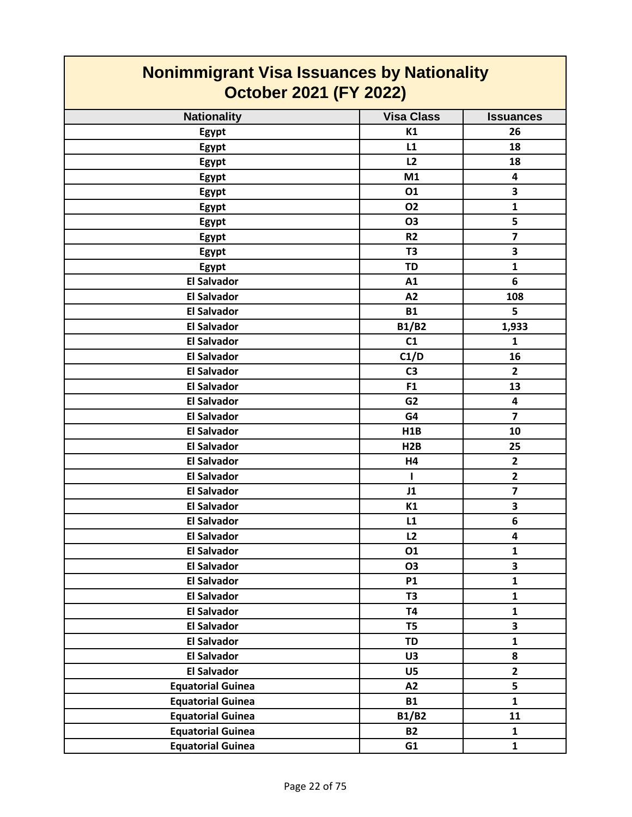| <b>Nonimmigrant Visa Issuances by Nationality</b><br><b>October 2021 (FY 2022)</b> |                   |                         |
|------------------------------------------------------------------------------------|-------------------|-------------------------|
| <b>Nationality</b>                                                                 | <b>Visa Class</b> | <b>Issuances</b>        |
| Egypt                                                                              | K1                | 26                      |
| Egypt                                                                              | L1                | 18                      |
| Egypt                                                                              | L2                | 18                      |
| Egypt                                                                              | M1                | 4                       |
| Egypt                                                                              | 01                | 3                       |
| Egypt                                                                              | 02                | $\mathbf{1}$            |
| Egypt                                                                              | 03                | 5                       |
| Egypt                                                                              | R <sub>2</sub>    | $\overline{7}$          |
| Egypt                                                                              | T <sub>3</sub>    | 3                       |
| Egypt                                                                              | <b>TD</b>         | $\mathbf{1}$            |
| <b>El Salvador</b>                                                                 | A1                | 6                       |
| <b>El Salvador</b>                                                                 | A2                | 108                     |
| <b>El Salvador</b>                                                                 | <b>B1</b>         | 5                       |
| <b>El Salvador</b>                                                                 | <b>B1/B2</b>      | 1,933                   |
| <b>El Salvador</b>                                                                 | C1                | $\mathbf{1}$            |
| <b>El Salvador</b>                                                                 | C1/D              | 16                      |
| <b>El Salvador</b>                                                                 | C <sub>3</sub>    | $\overline{2}$          |
| <b>El Salvador</b>                                                                 | F <sub>1</sub>    | 13                      |
| <b>El Salvador</b>                                                                 | G <sub>2</sub>    | 4                       |
| <b>El Salvador</b>                                                                 | G4                | $\overline{7}$          |
| <b>El Salvador</b>                                                                 | H1B               | 10                      |
| <b>El Salvador</b>                                                                 | H <sub>2</sub> B  | 25                      |
| <b>El Salvador</b>                                                                 | H4                | $\mathbf{2}$            |
| <b>El Salvador</b>                                                                 | 1                 | $\mathbf{2}$            |
| <b>El Salvador</b>                                                                 | J1                | $\overline{\mathbf{z}}$ |
| <b>El Salvador</b>                                                                 | K1                | 3                       |
| <b>El Salvador</b>                                                                 | L1                | 6                       |
| <b>El Salvador</b>                                                                 | L2                | 4                       |
| <b>El Salvador</b>                                                                 | 01                | $\mathbf{1}$            |
| <b>El Salvador</b>                                                                 | <b>O3</b>         | 3                       |
| <b>El Salvador</b>                                                                 | <b>P1</b>         | $\mathbf{1}$            |
| <b>El Salvador</b>                                                                 | T <sub>3</sub>    | $\mathbf{1}$            |
| <b>El Salvador</b>                                                                 | <b>T4</b>         | $\mathbf{1}$            |
| <b>El Salvador</b>                                                                 | T <sub>5</sub>    | $\overline{\mathbf{3}}$ |
| <b>El Salvador</b>                                                                 | <b>TD</b>         | $\mathbf{1}$            |
| <b>El Salvador</b>                                                                 | U3                | 8                       |
| <b>El Salvador</b>                                                                 | U5                | $\overline{2}$          |
| <b>Equatorial Guinea</b>                                                           | A2                | 5                       |
| <b>Equatorial Guinea</b>                                                           | <b>B1</b>         | $\mathbf{1}$            |
| <b>Equatorial Guinea</b>                                                           | B1/B2             | 11                      |
| <b>Equatorial Guinea</b>                                                           | <b>B2</b>         | $\mathbf{1}$            |
| <b>Equatorial Guinea</b>                                                           | G1                | $\mathbf{1}$            |

┓

 $\mathcal{L}^{\text{max}}$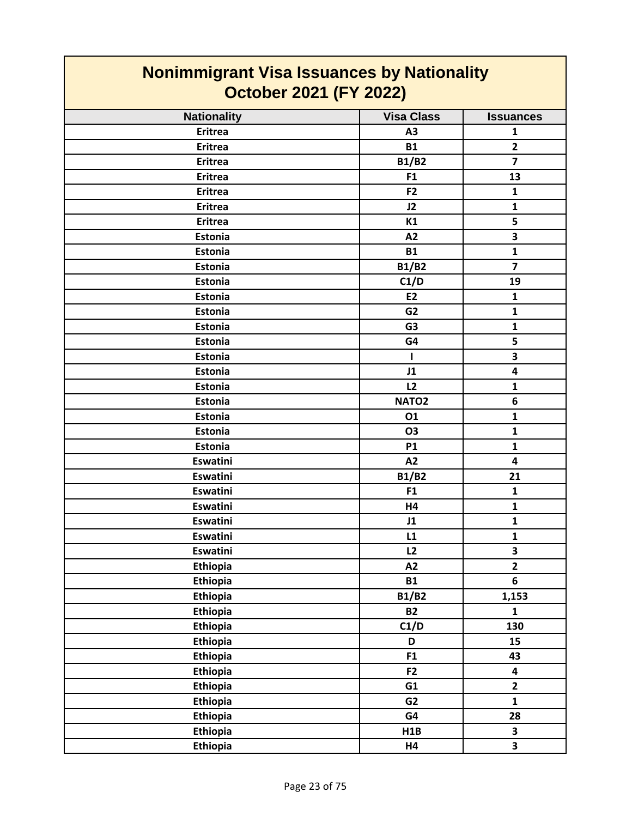| <b>Nonimmigrant Visa Issuances by Nationality</b><br><b>October 2021 (FY 2022)</b> |                   |                         |
|------------------------------------------------------------------------------------|-------------------|-------------------------|
| <b>Nationality</b>                                                                 | <b>Visa Class</b> | <b>Issuances</b>        |
| <b>Eritrea</b>                                                                     | A3                | $\mathbf{1}$            |
| <b>Eritrea</b>                                                                     | <b>B1</b>         | $\mathbf{2}$            |
| <b>Eritrea</b>                                                                     | <b>B1/B2</b>      | $\overline{\mathbf{z}}$ |
| <b>Eritrea</b>                                                                     | F <sub>1</sub>    | 13                      |
| <b>Eritrea</b>                                                                     | F <sub>2</sub>    | $\mathbf{1}$            |
| <b>Eritrea</b>                                                                     | J2                | $\mathbf{1}$            |
| <b>Eritrea</b>                                                                     | K1                | 5                       |
| <b>Estonia</b>                                                                     | A2                | $\overline{\mathbf{3}}$ |
| Estonia                                                                            | <b>B1</b>         | $\mathbf{1}$            |
| <b>Estonia</b>                                                                     | <b>B1/B2</b>      | $\overline{7}$          |
| Estonia                                                                            | C1/D              | 19                      |
| Estonia                                                                            | <b>E2</b>         | $\mathbf{1}$            |
| Estonia                                                                            | G <sub>2</sub>    | $\mathbf{1}$            |
| Estonia                                                                            | G <sub>3</sub>    | $\mathbf{1}$            |
| Estonia                                                                            | G4                | 5                       |
| Estonia                                                                            | 1                 | 3                       |
| Estonia                                                                            | J1                | 4                       |
| Estonia                                                                            | L2                | 1                       |
| Estonia                                                                            | NATO <sub>2</sub> | 6                       |
| Estonia                                                                            | 01                | $\mathbf{1}$            |
| Estonia                                                                            | O <sub>3</sub>    | $\mathbf{1}$            |
| Estonia                                                                            | <b>P1</b>         | $\mathbf{1}$            |
| <b>Eswatini</b>                                                                    | A2                | 4                       |
| <b>Eswatini</b>                                                                    | <b>B1/B2</b>      | 21                      |
| Eswatini                                                                           | F1                | $\mathbf{1}$            |
| Eswatini                                                                           | Η4                | 1                       |
| Eswatini                                                                           | J1                | $\mathbf{1}$            |
| Eswatini                                                                           | L1                | $\mathbf 1$             |
| <b>Eswatini</b>                                                                    | L2                | $\overline{\mathbf{3}}$ |
| <b>Ethiopia</b>                                                                    | A2                | $\overline{2}$          |
| <b>Ethiopia</b>                                                                    | <b>B1</b>         | 6                       |
| Ethiopia                                                                           | <b>B1/B2</b>      | 1,153                   |
| Ethiopia                                                                           | <b>B2</b>         | 1                       |
| <b>Ethiopia</b>                                                                    | C1/D              | 130                     |
| <b>Ethiopia</b>                                                                    | D                 | 15                      |
| <b>Ethiopia</b>                                                                    | F1                | 43                      |
| <b>Ethiopia</b>                                                                    | F <sub>2</sub>    | $\overline{\mathbf{4}}$ |
| <b>Ethiopia</b>                                                                    | G1                | $\mathbf{2}$            |
| <b>Ethiopia</b>                                                                    | G <sub>2</sub>    | $\mathbf{1}$            |
| <b>Ethiopia</b>                                                                    | G4                | 28                      |
| <b>Ethiopia</b>                                                                    | H1B               | $\overline{\mathbf{3}}$ |
| Ethiopia                                                                           | H4                | 3                       |

┓

 $\mathcal{L}^{\text{max}}$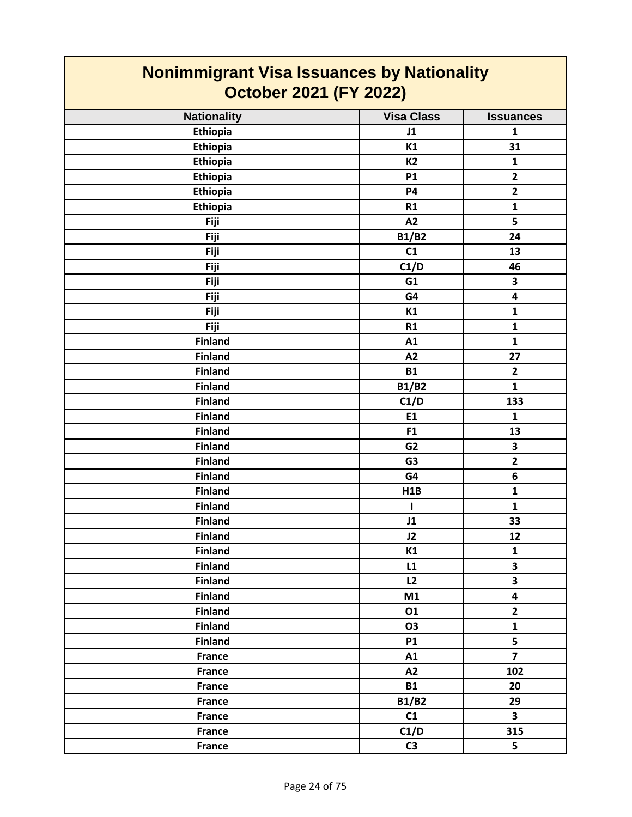| <b>Nonimmigrant Visa Issuances by Nationality</b><br><b>October 2021 (FY 2022)</b> |                   |                         |
|------------------------------------------------------------------------------------|-------------------|-------------------------|
| <b>Nationality</b>                                                                 | <b>Visa Class</b> | <b>Issuances</b>        |
| <b>Ethiopia</b>                                                                    | J1                | $\mathbf{1}$            |
| Ethiopia                                                                           | K1                | 31                      |
| Ethiopia                                                                           | <b>K2</b>         | $\mathbf{1}$            |
| <b>Ethiopia</b>                                                                    | <b>P1</b>         | $\overline{2}$          |
| Ethiopia                                                                           | <b>P4</b>         | $\overline{\mathbf{2}}$ |
| Ethiopia                                                                           | R1                | $\mathbf{1}$            |
| Fiji                                                                               | A2                | 5                       |
| Fiji                                                                               | <b>B1/B2</b>      | 24                      |
| Fiji                                                                               | C1                | 13                      |
| Fiji                                                                               | C1/D              | 46                      |
| Fiji                                                                               | G1                | 3                       |
| Fiji                                                                               | G4                | $\overline{\mathbf{4}}$ |
| Fiji                                                                               | K1                | $\mathbf{1}$            |
| Fiji                                                                               | R1                | $\mathbf{1}$            |
| <b>Finland</b>                                                                     | A1                | $\mathbf{1}$            |
| <b>Finland</b>                                                                     | A2                | 27                      |
| <b>Finland</b>                                                                     | <b>B1</b>         | $\mathbf{2}$            |
| <b>Finland</b>                                                                     | <b>B1/B2</b>      | $\mathbf{1}$            |
| <b>Finland</b>                                                                     | C1/D              | 133                     |
| <b>Finland</b>                                                                     | <b>E1</b>         | $\mathbf{1}$            |
| <b>Finland</b>                                                                     | F <sub>1</sub>    | 13                      |
| <b>Finland</b>                                                                     | G <sub>2</sub>    | 3                       |
| <b>Finland</b>                                                                     | G <sub>3</sub>    | $\overline{2}$          |
| <b>Finland</b>                                                                     | G4                | 6                       |
| <b>Finland</b>                                                                     | H1B               | $\mathbf{1}$            |
| <b>Finland</b>                                                                     | ı                 | $\mathbf{1}$            |
| <b>Finland</b>                                                                     | J1                | 33                      |
| <b>Finland</b>                                                                     | J2                | 12                      |
| <b>Finland</b>                                                                     | K1                | $\mathbf{1}$            |
| <b>Finland</b>                                                                     | L1                | $\overline{\mathbf{3}}$ |
| <b>Finland</b>                                                                     | L2                | $\overline{\mathbf{3}}$ |
| <b>Finland</b>                                                                     | M1                | $\overline{\mathbf{4}}$ |
| <b>Finland</b>                                                                     | 01                | $\mathbf{2}$            |
| <b>Finland</b>                                                                     | <b>O3</b>         | $\mathbf{1}$            |
| <b>Finland</b>                                                                     | <b>P1</b>         | 5                       |
| <b>France</b>                                                                      | A1                | $\overline{7}$          |
| France                                                                             | A2                | 102                     |
| <b>France</b>                                                                      | <b>B1</b>         | 20                      |
| <b>France</b>                                                                      | <b>B1/B2</b>      | 29                      |
| <b>France</b>                                                                      | C1                | 3                       |
| <b>France</b>                                                                      | C1/D              | 315                     |
| <b>France</b>                                                                      | C <sub>3</sub>    | 5                       |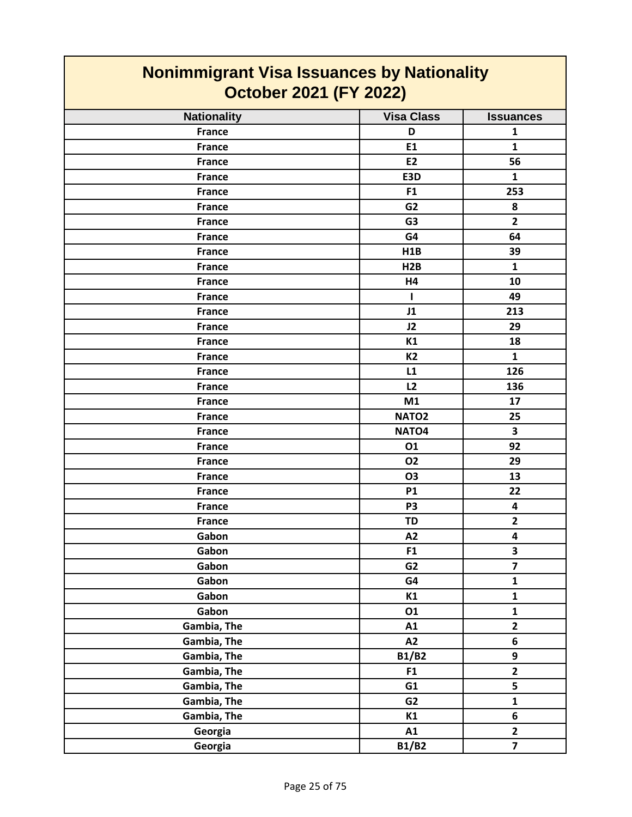| <b>Nonimmigrant Visa Issuances by Nationality</b><br><b>October 2021 (FY 2022)</b> |                   |                         |
|------------------------------------------------------------------------------------|-------------------|-------------------------|
| <b>Nationality</b>                                                                 | <b>Visa Class</b> | <b>Issuances</b>        |
| <b>France</b>                                                                      | D                 | 1                       |
| <b>France</b>                                                                      | E1                | $\mathbf{1}$            |
| <b>France</b>                                                                      | E <sub>2</sub>    | 56                      |
| <b>France</b>                                                                      | E3D               | $\mathbf{1}$            |
| <b>France</b>                                                                      | F <sub>1</sub>    | 253                     |
| <b>France</b>                                                                      | G <sub>2</sub>    | 8                       |
| <b>France</b>                                                                      | G <sub>3</sub>    | $\overline{2}$          |
| <b>France</b>                                                                      | G4                | 64                      |
| <b>France</b>                                                                      | H1B               | 39                      |
| <b>France</b>                                                                      | H2B               | $\mathbf{1}$            |
| <b>France</b>                                                                      | H4                | 10                      |
| <b>France</b>                                                                      | ш                 | 49                      |
| <b>France</b>                                                                      | J1                | 213                     |
| <b>France</b>                                                                      | J2                | 29                      |
| <b>France</b>                                                                      | K1                | 18                      |
| <b>France</b>                                                                      | K <sub>2</sub>    | $\mathbf{1}$            |
| <b>France</b>                                                                      | L1                | 126                     |
| <b>France</b>                                                                      | L2                | 136                     |
| <b>France</b>                                                                      | M1                | 17                      |
| <b>France</b>                                                                      | NATO <sub>2</sub> | 25                      |
| <b>France</b>                                                                      | NATO <sub>4</sub> | 3                       |
| <b>France</b>                                                                      | 01                | 92                      |
| <b>France</b>                                                                      | <b>O2</b>         | 29                      |
| <b>France</b>                                                                      | <b>O3</b>         | 13                      |
| <b>France</b>                                                                      | <b>P1</b>         | 22                      |
| <b>France</b>                                                                      | P <sub>3</sub>    | 4                       |
| <b>France</b>                                                                      | <b>TD</b>         | $\overline{2}$          |
| Gabon                                                                              | A2                | 4                       |
| Gabon                                                                              | F1                | $\overline{\mathbf{3}}$ |
| Gabon                                                                              | G2                | $\overline{7}$          |
| Gabon                                                                              | G4                | $\mathbf 1$             |
| Gabon                                                                              | K1                | $\mathbf{1}$            |
| Gabon                                                                              | 01                | $\mathbf{1}$            |
| Gambia, The                                                                        | A1                | $\overline{2}$          |
| Gambia, The                                                                        | A2                | 6                       |
| Gambia, The                                                                        | <b>B1/B2</b>      | 9                       |
| Gambia, The                                                                        | F1                | $\mathbf{2}$            |
| Gambia, The                                                                        | G1                | 5                       |
| Gambia, The                                                                        | G <sub>2</sub>    | $\mathbf{1}$            |
| Gambia, The                                                                        | K1                | 6                       |
| Georgia                                                                            | A1                | $\overline{2}$          |
| Georgia                                                                            | <b>B1/B2</b>      | $\overline{\mathbf{z}}$ |

┓

 $\mathcal{L}^{\text{max}}$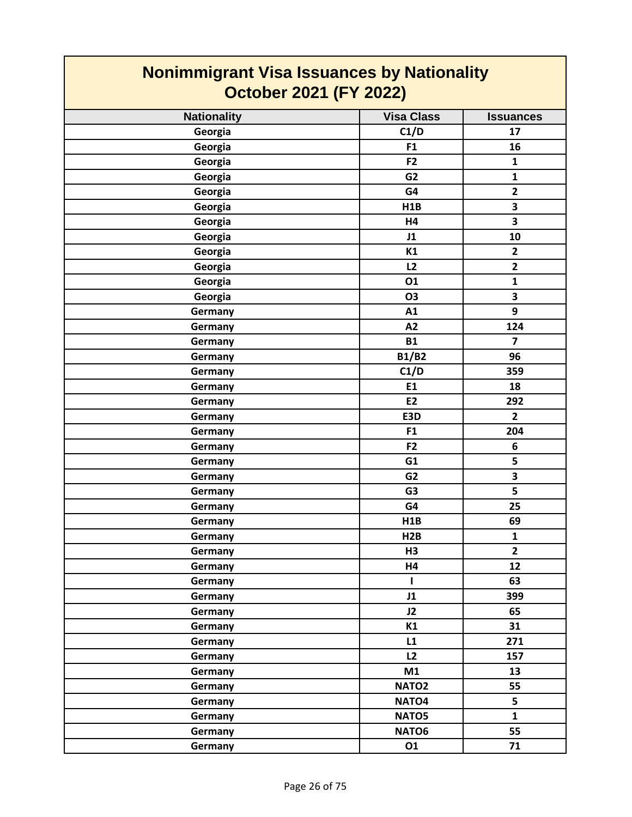| <b>Nonimmigrant Visa Issuances by Nationality</b><br><b>October 2021 (FY 2022)</b> |                   |                  |
|------------------------------------------------------------------------------------|-------------------|------------------|
| <b>Nationality</b>                                                                 | <b>Visa Class</b> | <b>Issuances</b> |
| Georgia                                                                            | C1/D              | 17               |
| Georgia                                                                            | F1                | 16               |
| Georgia                                                                            | F2                | $\mathbf{1}$     |
| Georgia                                                                            | G <sub>2</sub>    | $\mathbf{1}$     |
| Georgia                                                                            | G4                | $\mathbf{2}$     |
| Georgia                                                                            | H <sub>1</sub> B  | 3                |
| Georgia                                                                            | H4                | 3                |
| Georgia                                                                            | J1                | 10               |
| Georgia                                                                            | K1                | $\mathbf{2}$     |
| Georgia                                                                            | L2                | $\overline{2}$   |
| Georgia                                                                            | 01                | $\mathbf{1}$     |
| Georgia                                                                            | O3                | 3                |
| Germany                                                                            | A1                | 9                |
| Germany                                                                            | A2                | 124              |
| Germany                                                                            | <b>B1</b>         | $\overline{7}$   |
| Germany                                                                            | <b>B1/B2</b>      | 96               |
| Germany                                                                            | C1/D              | 359              |
| Germany                                                                            | E1                | 18               |
| Germany                                                                            | <b>E2</b>         | 292              |
| Germany                                                                            | E3D               | $\overline{2}$   |
| Germany                                                                            | F <sub>1</sub>    | 204              |
| Germany                                                                            | F2                | 6                |
| Germany                                                                            | G1                | 5                |
| Germany                                                                            | G <sub>2</sub>    | 3                |
| Germany                                                                            | G <sub>3</sub>    | 5                |
| Germany                                                                            | G4                | 25               |
| Germany                                                                            | H1B               | 69               |
| Germany                                                                            | H2B               | $\mathbf{1}$     |
| Germany                                                                            | H <sub>3</sub>    | $\overline{2}$   |
| Germany                                                                            | H4                | 12               |
| <b>Germany</b>                                                                     | L                 | 63               |
| <b>Germany</b>                                                                     | J1                | 399              |
| Germany                                                                            | J2                | 65               |
| Germany                                                                            | K1                | 31               |
| Germany                                                                            | L1                | 271              |
| Germany                                                                            | L2                | 157              |
| <b>Germany</b>                                                                     | M1                | 13               |
| Germany                                                                            | NATO <sub>2</sub> | 55               |
| Germany                                                                            | NATO <sub>4</sub> | 5                |
| Germany                                                                            | NATO5             | $\mathbf{1}$     |
| Germany                                                                            | NATO6             | 55               |
| Germany                                                                            | 01                | 71               |

 $\mathcal{L}(\mathcal{A})$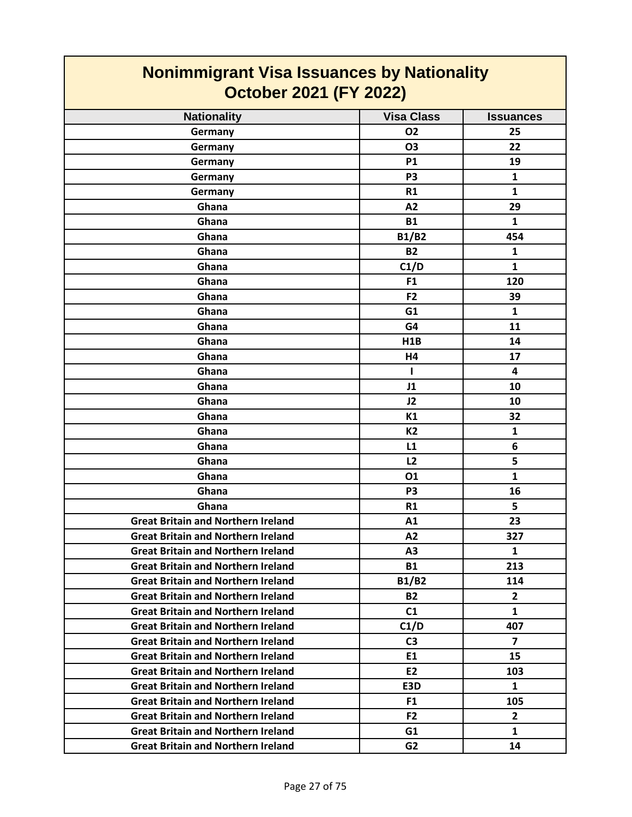| <b>Nonimmigrant Visa Issuances by Nationality</b><br>October 2021 (FY 2022) |                   |                  |
|-----------------------------------------------------------------------------|-------------------|------------------|
| <b>Nationality</b>                                                          | <b>Visa Class</b> | <b>Issuances</b> |
| Germany                                                                     | 02                | 25               |
| Germany                                                                     | <b>O3</b>         | 22               |
| Germany                                                                     | <b>P1</b>         | 19               |
| Germany                                                                     | P <sub>3</sub>    | 1                |
| Germany                                                                     | R1                | $\mathbf{1}$     |
| Ghana                                                                       | A2                | 29               |
| Ghana                                                                       | <b>B1</b>         | 1                |
| Ghana                                                                       | <b>B1/B2</b>      | 454              |
| Ghana                                                                       | <b>B2</b>         | 1                |
| Ghana                                                                       | C1/D              | $\mathbf{1}$     |
| Ghana                                                                       | F1                | 120              |
| Ghana                                                                       | F <sub>2</sub>    | 39               |
| Ghana                                                                       | G <sub>1</sub>    | $\mathbf{1}$     |
| Ghana                                                                       | G4                | 11               |
| Ghana                                                                       | H1B               | 14               |
| Ghana                                                                       | H4                | 17               |
| Ghana                                                                       | I.                | 4                |
| Ghana                                                                       | J1                | 10               |
| Ghana                                                                       | J2                | 10               |
| Ghana                                                                       | K1                | 32               |
| Ghana                                                                       | <b>K2</b>         | 1                |
| Ghana                                                                       | L1                | 6                |
| Ghana                                                                       | L <sub>2</sub>    | 5                |
| Ghana                                                                       | 01                | $\mathbf{1}$     |
| Ghana                                                                       | P3                | 16               |
| Ghana                                                                       | R <sub>1</sub>    | 5                |
| <b>Great Britain and Northern Ireland</b>                                   | A1                | 23               |
| <b>Great Britain and Northern Ireland</b>                                   | A2                | 327              |
| <b>Great Britain and Northern Ireland</b>                                   | A <sub>3</sub>    | $\mathbf{1}$     |
| <b>Great Britain and Northern Ireland</b>                                   | <b>B1</b>         | 213              |
| <b>Great Britain and Northern Ireland</b>                                   | <b>B1/B2</b>      | 114              |
| <b>Great Britain and Northern Ireland</b>                                   | <b>B2</b>         | $\mathbf{2}$     |
| <b>Great Britain and Northern Ireland</b>                                   | C1                | $\mathbf{1}$     |
| <b>Great Britain and Northern Ireland</b>                                   | C1/D              | 407              |
| <b>Great Britain and Northern Ireland</b>                                   | C <sub>3</sub>    | $\overline{7}$   |
| <b>Great Britain and Northern Ireland</b>                                   | E1                | 15               |
| <b>Great Britain and Northern Ireland</b>                                   | E <sub>2</sub>    | 103              |
| <b>Great Britain and Northern Ireland</b>                                   | E3D               | 1                |
| <b>Great Britain and Northern Ireland</b>                                   | F <sub>1</sub>    | 105              |
| <b>Great Britain and Northern Ireland</b>                                   | F <sub>2</sub>    | $\mathbf{2}$     |
| <b>Great Britain and Northern Ireland</b>                                   | G1                | $\mathbf{1}$     |
| <b>Great Britain and Northern Ireland</b>                                   | G <sub>2</sub>    | 14               |

 $\mathcal{L}^{\text{max}}_{\text{max}}$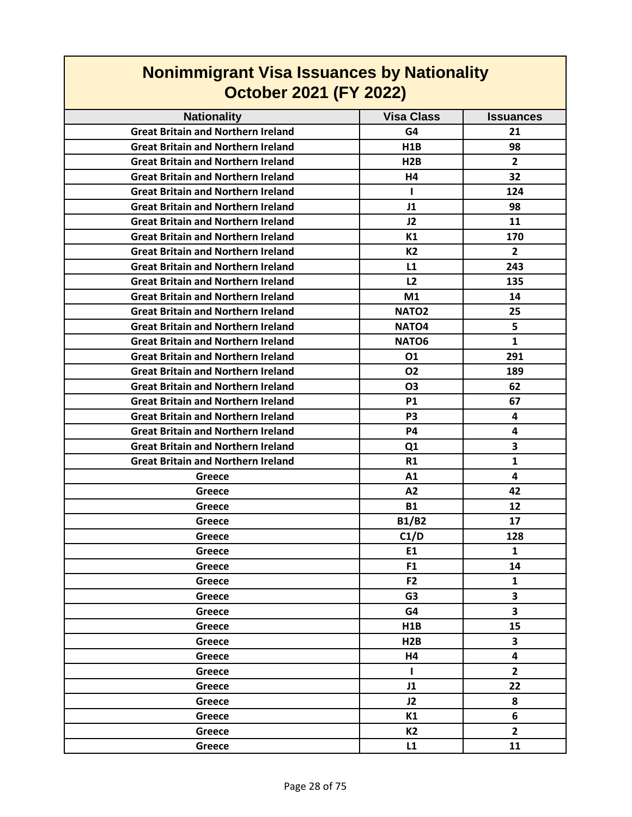| <b>October 2021 (FY 2022)</b>             |                   |                         |
|-------------------------------------------|-------------------|-------------------------|
| <b>Nationality</b>                        | <b>Visa Class</b> | <b>Issuances</b>        |
| <b>Great Britain and Northern Ireland</b> | G4                | 21                      |
| <b>Great Britain and Northern Ireland</b> | H1B               | 98                      |
| <b>Great Britain and Northern Ireland</b> | H2B               | $\overline{2}$          |
| <b>Great Britain and Northern Ireland</b> | H4                | 32                      |
| <b>Great Britain and Northern Ireland</b> | Т.                | 124                     |
| <b>Great Britain and Northern Ireland</b> | J1                | 98                      |
| <b>Great Britain and Northern Ireland</b> | J2                | 11                      |
| <b>Great Britain and Northern Ireland</b> | К1                | 170                     |
| <b>Great Britain and Northern Ireland</b> | K2                | 2                       |
| <b>Great Britain and Northern Ireland</b> | L1                | 243                     |
| <b>Great Britain and Northern Ireland</b> | L <sub>2</sub>    | 135                     |
| <b>Great Britain and Northern Ireland</b> | M1                | 14                      |
| <b>Great Britain and Northern Ireland</b> | <b>NATO2</b>      | 25                      |
| <b>Great Britain and Northern Ireland</b> | NATO4             | 5                       |
| <b>Great Britain and Northern Ireland</b> | NATO <sub>6</sub> | $\mathbf{1}$            |
| <b>Great Britain and Northern Ireland</b> | 01                | 291                     |
| <b>Great Britain and Northern Ireland</b> | <b>O2</b>         | 189                     |
| <b>Great Britain and Northern Ireland</b> | O <sub>3</sub>    | 62                      |
| <b>Great Britain and Northern Ireland</b> | <b>P1</b>         | 67                      |
| <b>Great Britain and Northern Ireland</b> | P3                | 4                       |
| <b>Great Britain and Northern Ireland</b> | P4                | 4                       |
| <b>Great Britain and Northern Ireland</b> | Q <sub>1</sub>    | 3                       |
| <b>Great Britain and Northern Ireland</b> | R1                | $\mathbf{1}$            |
| Greece                                    | A <sub>1</sub>    | 4                       |
| Greece                                    | A2                | 42                      |
| Greece                                    | <b>B1</b>         | 12                      |
| Greece                                    | <b>B1/B2</b>      | 17                      |
| Greece                                    | C1/D              | 128                     |
| Greece                                    | E1                | 1                       |
| Greece                                    | F <sub>1</sub>    | 14                      |
| Greece                                    | F <sub>2</sub>    | $\mathbf{1}$            |
| Greece                                    | G <sub>3</sub>    | 3                       |
| Greece                                    | G4                | 3                       |
| Greece                                    | H <sub>1</sub> B  | 15                      |
| Greece                                    | H <sub>2</sub> B  | 3                       |
| Greece                                    | H4                | $\overline{\mathbf{4}}$ |
| Greece                                    | L                 | $\overline{\mathbf{2}}$ |
| Greece                                    | J1                | 22                      |
| Greece                                    | J2                | 8                       |
| Greece                                    | K1                | 6                       |
| Greece                                    | <b>K2</b>         | $\overline{2}$          |
| Greece                                    | L1                | 11                      |

## **Nonimmigrant Visa Issuances by Nationality**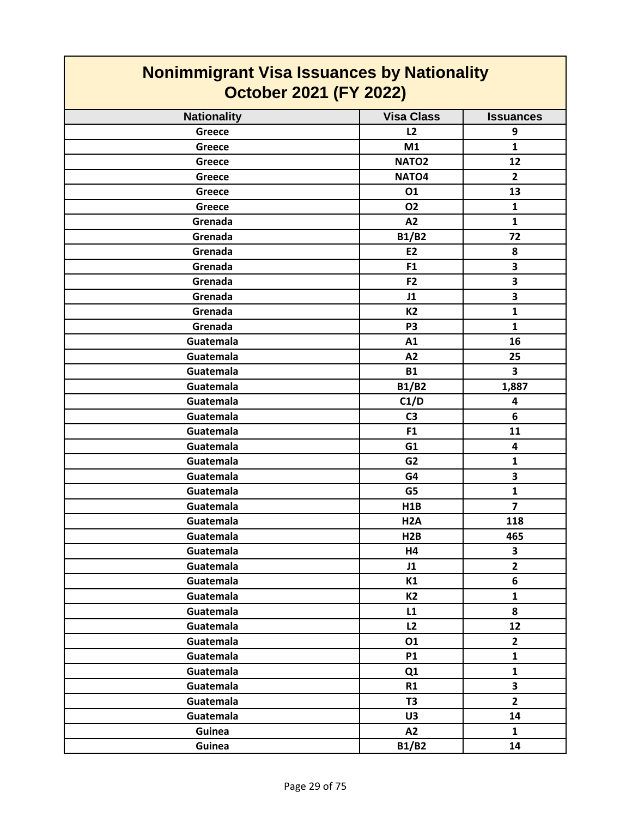| <b>Nonimmigrant Visa Issuances by Nationality</b><br><b>October 2021 (FY 2022)</b> |                   |                         |
|------------------------------------------------------------------------------------|-------------------|-------------------------|
| <b>Nationality</b>                                                                 | <b>Visa Class</b> | <b>Issuances</b>        |
| Greece                                                                             | L <sub>2</sub>    | 9                       |
| Greece                                                                             | M1                | $\mathbf{1}$            |
| Greece                                                                             | NATO <sub>2</sub> | 12                      |
| Greece                                                                             | NATO <sub>4</sub> | $\mathbf{2}$            |
| Greece                                                                             | 01                | 13                      |
| Greece                                                                             | <b>O2</b>         | $\mathbf{1}$            |
| Grenada                                                                            | A2                | 1                       |
| Grenada                                                                            | <b>B1/B2</b>      | 72                      |
| Grenada                                                                            | E <sub>2</sub>    | 8                       |
| Grenada                                                                            | F <sub>1</sub>    | 3                       |
| Grenada                                                                            | F <sub>2</sub>    | 3                       |
| Grenada                                                                            | J1                | 3                       |
| Grenada                                                                            | <b>K2</b>         | $\mathbf{1}$            |
| Grenada                                                                            | P <sub>3</sub>    | $\mathbf{1}$            |
| Guatemala                                                                          | A1                | 16                      |
| Guatemala                                                                          | A2                | 25                      |
| Guatemala                                                                          | <b>B1</b>         | 3                       |
| Guatemala                                                                          | <b>B1/B2</b>      | 1,887                   |
| Guatemala                                                                          | C1/D              | 4                       |
| Guatemala                                                                          | C <sub>3</sub>    | 6                       |
| Guatemala                                                                          | F <sub>1</sub>    | 11                      |
| Guatemala                                                                          | G1                | 4                       |
| Guatemala                                                                          | G <sub>2</sub>    | $\mathbf{1}$            |
| Guatemala                                                                          | G4                | 3                       |
| Guatemala                                                                          | G5                | $\mathbf{1}$            |
| Guatemala                                                                          | H <sub>1</sub> B  | $\overline{ }$          |
| Guatemala                                                                          | H <sub>2</sub> A  | 118                     |
| Guatemala                                                                          | H <sub>2</sub> B  | 465                     |
| Guatemala                                                                          | H4                | $\overline{\mathbf{3}}$ |
| Guatemala                                                                          | J1                | $\overline{2}$          |
| Guatemala                                                                          | K1                | 6                       |
| Guatemala                                                                          | <b>K2</b>         | $\mathbf{1}$            |
| Guatemala                                                                          | L1                | 8                       |
| Guatemala                                                                          | L2                | 12                      |
| Guatemala                                                                          | 01                | $\overline{2}$          |
| Guatemala                                                                          | <b>P1</b>         | $\mathbf{1}$            |
| Guatemala                                                                          | Q1                | $\mathbf{1}$            |
| Guatemala                                                                          | R1                | $\overline{\mathbf{3}}$ |
| Guatemala                                                                          | T <sub>3</sub>    | $\overline{2}$          |
| Guatemala                                                                          | U <sub>3</sub>    | 14                      |
| Guinea                                                                             | A2                | $\mathbf{1}$            |
| Guinea                                                                             | <b>B1/B2</b>      | 14                      |

 $\mathcal{L}(\mathcal{A})$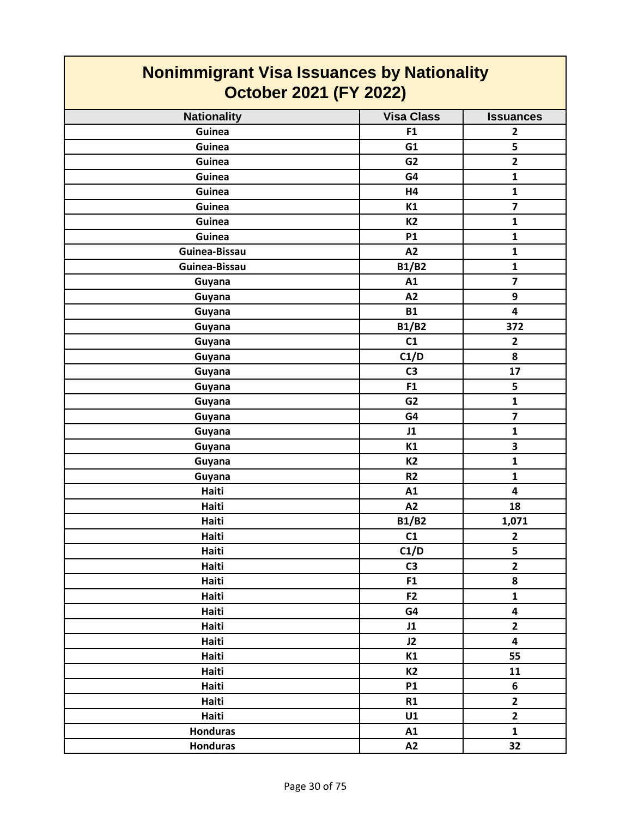| <b>Nonimmigrant Visa Issuances by Nationality</b><br><b>October 2021 (FY 2022)</b> |                   |                         |
|------------------------------------------------------------------------------------|-------------------|-------------------------|
| <b>Nationality</b>                                                                 | <b>Visa Class</b> | <b>Issuances</b>        |
| Guinea                                                                             | F1                | $\overline{2}$          |
| Guinea                                                                             | G1                | 5                       |
| Guinea                                                                             | G <sub>2</sub>    | $\overline{\mathbf{2}}$ |
| Guinea                                                                             | G4                | $\mathbf{1}$            |
| Guinea                                                                             | H4                | $\mathbf{1}$            |
| Guinea                                                                             | K1                | $\overline{\mathbf{z}}$ |
| Guinea                                                                             | K <sub>2</sub>    | $\mathbf{1}$            |
| Guinea                                                                             | <b>P1</b>         | $\mathbf{1}$            |
| Guinea-Bissau                                                                      | A2                | $\mathbf{1}$            |
| Guinea-Bissau                                                                      | <b>B1/B2</b>      | $\mathbf{1}$            |
| Guyana                                                                             | A1                | $\overline{7}$          |
| Guyana                                                                             | A2                | 9                       |
| Guyana                                                                             | <b>B1</b>         | $\overline{\mathbf{4}}$ |
| Guyana                                                                             | <b>B1/B2</b>      | 372                     |
| Guyana                                                                             | C1                | $\overline{2}$          |
| Guyana                                                                             | C1/D              | 8                       |
| Guyana                                                                             | C <sub>3</sub>    | 17                      |
| Guyana                                                                             | F <sub>1</sub>    | 5                       |
| Guyana                                                                             | G <sub>2</sub>    | $\mathbf{1}$            |
| Guyana                                                                             | G4                | $\overline{7}$          |
| Guyana                                                                             | J1                | $\mathbf{1}$            |
| Guyana                                                                             | K1                | 3                       |
| Guyana                                                                             | K <sub>2</sub>    | 1                       |
| Guyana                                                                             | R <sub>2</sub>    | $\mathbf{1}$            |
| Haiti                                                                              | A1                | $\overline{\mathbf{4}}$ |
| Haiti                                                                              | A2                | 18                      |
| Haiti                                                                              | <b>B1/B2</b>      | 1,071                   |
| Haiti                                                                              | C1                | $\mathbf{2}$            |
| Haiti                                                                              | C1/D              | 5                       |
| Haiti                                                                              | C <sub>3</sub>    | $\overline{2}$          |
| Haiti                                                                              | F1                | 8                       |
| Haiti                                                                              | F <sub>2</sub>    | $\mathbf{1}$            |
| Haiti                                                                              | G4                | $\overline{\mathbf{4}}$ |
| Haiti                                                                              | J1                | $\overline{2}$          |
| Haiti                                                                              | J2                | $\overline{\mathbf{4}}$ |
| Haiti                                                                              | K1                | 55                      |
| Haiti                                                                              | <b>K2</b>         | 11                      |
| Haiti                                                                              | <b>P1</b>         | 6                       |
| Haiti                                                                              | R1                | $\overline{2}$          |
| Haiti                                                                              | U1                | $\mathbf{2}$            |
| <b>Honduras</b>                                                                    | A1                | $\mathbf{1}$            |
| <b>Honduras</b>                                                                    | A2                | 32                      |

 $\mathcal{L}(\mathcal{A})$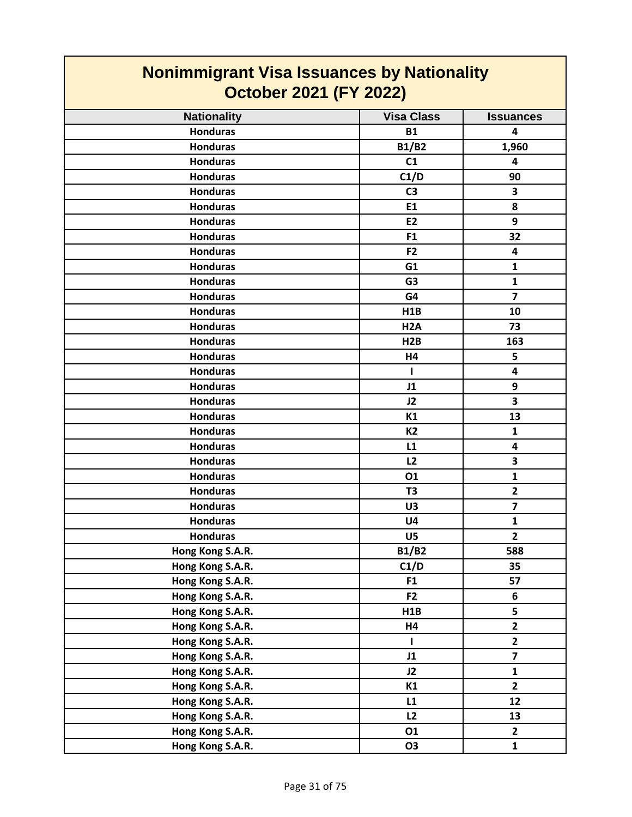| <b>Nonimmigrant Visa Issuances by Nationality</b><br><b>October 2021 (FY 2022)</b> |                   |                         |
|------------------------------------------------------------------------------------|-------------------|-------------------------|
| <b>Nationality</b>                                                                 | <b>Visa Class</b> | <b>Issuances</b>        |
| <b>Honduras</b>                                                                    | <b>B1</b>         | 4                       |
| <b>Honduras</b>                                                                    | <b>B1/B2</b>      | 1,960                   |
| <b>Honduras</b>                                                                    | C1                | 4                       |
| <b>Honduras</b>                                                                    | C1/D              | 90                      |
| <b>Honduras</b>                                                                    | C <sub>3</sub>    | 3                       |
| <b>Honduras</b>                                                                    | E1                | 8                       |
| <b>Honduras</b>                                                                    | E <sub>2</sub>    | 9                       |
| <b>Honduras</b>                                                                    | F <sub>1</sub>    | 32                      |
| <b>Honduras</b>                                                                    | F <sub>2</sub>    | 4                       |
| <b>Honduras</b>                                                                    | G1                | $\mathbf{1}$            |
| <b>Honduras</b>                                                                    | G <sub>3</sub>    | $\mathbf{1}$            |
| <b>Honduras</b>                                                                    | G4                | $\overline{ }$          |
| <b>Honduras</b>                                                                    | H1B               | 10                      |
| <b>Honduras</b>                                                                    | H <sub>2</sub> A  | 73                      |
| <b>Honduras</b>                                                                    | H2B               | 163                     |
| <b>Honduras</b>                                                                    | H4                | 5                       |
| <b>Honduras</b>                                                                    | L                 | 4                       |
| <b>Honduras</b>                                                                    | J1                | 9                       |
| <b>Honduras</b>                                                                    | J2                | 3                       |
| <b>Honduras</b>                                                                    | K1                | 13                      |
| <b>Honduras</b>                                                                    | <b>K2</b>         | $\mathbf{1}$            |
| <b>Honduras</b>                                                                    | L1                | 4                       |
| <b>Honduras</b>                                                                    | L2                | 3                       |
| <b>Honduras</b>                                                                    | 01                | $\mathbf{1}$            |
| <b>Honduras</b>                                                                    | T <sub>3</sub>    | $\overline{2}$          |
| <b>Honduras</b>                                                                    | U3                | $\overline{7}$          |
| <b>Honduras</b>                                                                    | U4                | 1                       |
| <b>Honduras</b>                                                                    | U5                | $\overline{2}$          |
| Hong Kong S.A.R.                                                                   | <b>B1/B2</b>      | 588                     |
| Hong Kong S.A.R.                                                                   | C1/D              | 35                      |
| Hong Kong S.A.R.                                                                   | F <sub>1</sub>    | 57                      |
| Hong Kong S.A.R.                                                                   | F <sub>2</sub>    | 6                       |
| Hong Kong S.A.R.                                                                   | H1B               | 5                       |
| Hong Kong S.A.R.                                                                   | H4                | $\mathbf{2}$            |
| Hong Kong S.A.R.                                                                   | T                 | $\overline{2}$          |
| Hong Kong S.A.R.                                                                   | J1                | $\overline{\mathbf{z}}$ |
| Hong Kong S.A.R.                                                                   | J2                | $\mathbf{1}$            |
| Hong Kong S.A.R.                                                                   | K1                | $\mathbf{2}$            |
| Hong Kong S.A.R.                                                                   | L1                | 12                      |
| Hong Kong S.A.R.                                                                   | L2                | 13                      |
| Hong Kong S.A.R.                                                                   | 01                | $\overline{\mathbf{2}}$ |
| Hong Kong S.A.R.                                                                   | <b>O3</b>         | $\mathbf{1}$            |

 $\mathsf{r}$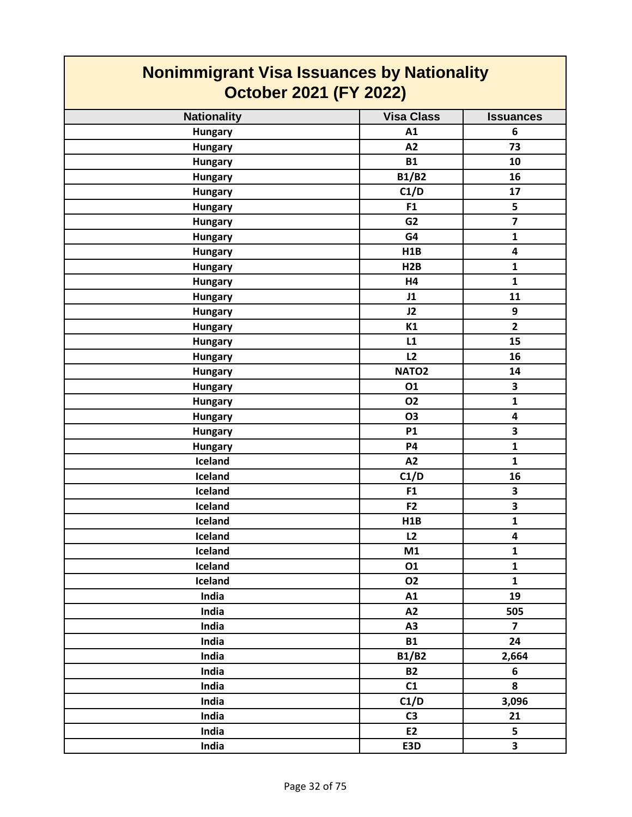| <b>Nonimmigrant Visa Issuances by Nationality</b><br><b>October 2021 (FY 2022)</b> |                   |                         |
|------------------------------------------------------------------------------------|-------------------|-------------------------|
| <b>Nationality</b>                                                                 | <b>Visa Class</b> | <b>Issuances</b>        |
| <b>Hungary</b>                                                                     | A1                | 6                       |
| <b>Hungary</b>                                                                     | A2                | 73                      |
| <b>Hungary</b>                                                                     | <b>B1</b>         | 10                      |
| <b>Hungary</b>                                                                     | <b>B1/B2</b>      | 16                      |
| <b>Hungary</b>                                                                     | C1/D              | 17                      |
| <b>Hungary</b>                                                                     | F <sub>1</sub>    | 5                       |
| <b>Hungary</b>                                                                     | G <sub>2</sub>    | $\overline{\mathbf{z}}$ |
| <b>Hungary</b>                                                                     | G4                | $\mathbf{1}$            |
| <b>Hungary</b>                                                                     | H1B               | 4                       |
| <b>Hungary</b>                                                                     | H2B               | $\mathbf{1}$            |
| <b>Hungary</b>                                                                     | <b>H4</b>         | $\mathbf{1}$            |
| <b>Hungary</b>                                                                     | J1                | 11                      |
| <b>Hungary</b>                                                                     | J2                | 9                       |
| <b>Hungary</b>                                                                     | K1                | $\overline{2}$          |
| <b>Hungary</b>                                                                     | L1                | 15                      |
| <b>Hungary</b>                                                                     | L2                | 16                      |
| <b>Hungary</b>                                                                     | NATO <sub>2</sub> | 14                      |
| <b>Hungary</b>                                                                     | 01                | 3                       |
| <b>Hungary</b>                                                                     | <b>O2</b>         | $\mathbf{1}$            |
| <b>Hungary</b>                                                                     | <b>O3</b>         | 4                       |
| <b>Hungary</b>                                                                     | <b>P1</b>         | 3                       |
| <b>Hungary</b>                                                                     | <b>P4</b>         | $\mathbf{1}$            |
| Iceland                                                                            | A2                | $\mathbf{1}$            |
| Iceland                                                                            | C1/D              | 16                      |
| Iceland                                                                            | F <sub>1</sub>    | 3                       |
| Iceland                                                                            | F <sub>2</sub>    | 3                       |
| Iceland                                                                            | H1B               | $\mathbf{1}$            |
| Iceland                                                                            | L2                | 4                       |
| Iceland                                                                            | M1                | $\mathbf{1}$            |
| Iceland                                                                            | 01                | $\mathbf{1}$            |
| Iceland                                                                            | <b>O2</b>         | $\mathbf{1}$            |
| India                                                                              | A1                | 19                      |
| India                                                                              | A2                | 505                     |
| India                                                                              | A3                | $\overline{7}$          |
| India                                                                              | <b>B1</b>         | 24                      |
| India                                                                              | <b>B1/B2</b>      | 2,664                   |
| India                                                                              | <b>B2</b>         | 6                       |
| India                                                                              | C1                | 8                       |
| India                                                                              | C1/D              | 3,096                   |
| India                                                                              | C <sub>3</sub>    | 21                      |
| India                                                                              | E <sub>2</sub>    | 5                       |
| India                                                                              | E3D               | $\overline{\mathbf{3}}$ |

┓

 $\mathcal{L}^{\text{max}}$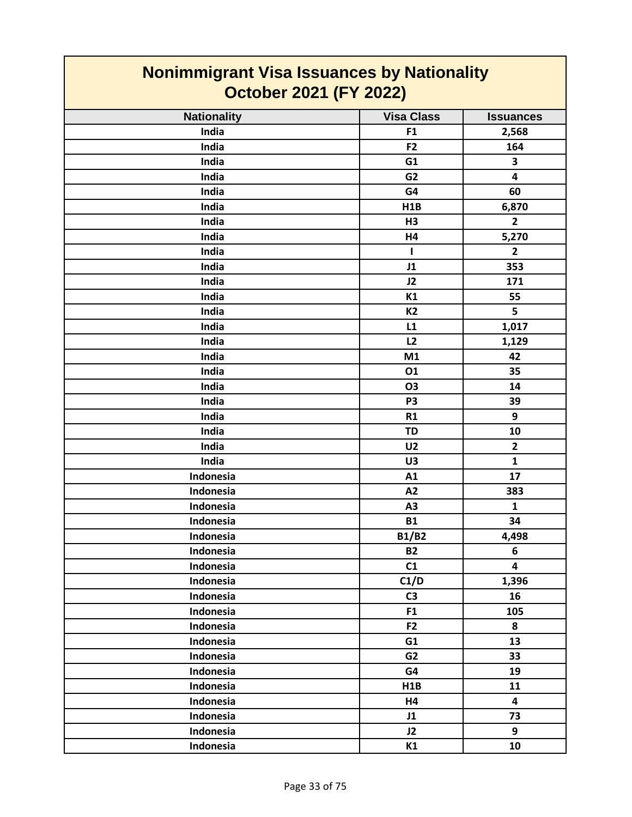| <b>Nonimmigrant Visa Issuances by Nationality</b><br><b>October 2021 (FY 2022)</b> |                   |                         |
|------------------------------------------------------------------------------------|-------------------|-------------------------|
|                                                                                    |                   |                         |
| <b>Nationality</b>                                                                 | <b>Visa Class</b> | <b>Issuances</b>        |
| India                                                                              | F <sub>1</sub>    | 2,568                   |
| India                                                                              | F <sub>2</sub>    | 164                     |
| India                                                                              | G1                | 3                       |
| India                                                                              | G <sub>2</sub>    | 4                       |
| India                                                                              | G4                | 60                      |
| India                                                                              | H1B               | 6,870                   |
| India                                                                              | H3                | $\overline{2}$          |
| India                                                                              | H4                | 5,270                   |
| India                                                                              | L                 | $\overline{2}$          |
| India                                                                              | J1                | 353                     |
| India                                                                              | J2                | 171                     |
| India                                                                              | K1                | 55                      |
| India                                                                              | <b>K2</b>         | 5                       |
| India                                                                              | L1                | 1,017                   |
| India                                                                              | L2                | 1,129                   |
| India                                                                              | M1                | 42                      |
| India                                                                              | 01                | 35                      |
| India                                                                              | O <sub>3</sub>    | 14                      |
| India                                                                              | P <sub>3</sub>    | 39                      |
| India                                                                              | R1                | 9                       |
| India                                                                              | <b>TD</b>         | 10                      |
| India                                                                              | U <sub>2</sub>    | $\mathbf{2}$            |
| India                                                                              | U3                | $\mathbf{1}$            |
| Indonesia                                                                          | A1                | 17                      |
| Indonesia                                                                          | A2                | 383                     |
| Indonesia                                                                          | A3                | $\mathbf{1}$            |
| Indonesia                                                                          | <b>B1</b>         | 34                      |
| Indonesia                                                                          | <b>B1/B2</b>      | 4,498                   |
| Indonesia                                                                          | <b>B2</b>         | 6                       |
| Indonesia                                                                          | C1                | $\overline{\mathbf{4}}$ |
| Indonesia                                                                          | C1/D              | 1,396                   |
| Indonesia                                                                          | C <sub>3</sub>    | 16                      |
| Indonesia                                                                          | F1                | 105                     |
| Indonesia                                                                          | F <sub>2</sub>    | 8                       |
| Indonesia                                                                          | G1                | 13                      |
| Indonesia                                                                          | G <sub>2</sub>    | 33                      |
| Indonesia                                                                          | G4                | 19                      |
| Indonesia                                                                          | H1B               | 11                      |
| Indonesia                                                                          | H4                | $\overline{\mathbf{4}}$ |
| Indonesia                                                                          | J1                | 73                      |
| Indonesia                                                                          | J2                | 9                       |
| Indonesia                                                                          | K1                | 10                      |

 $\mathbf{I}$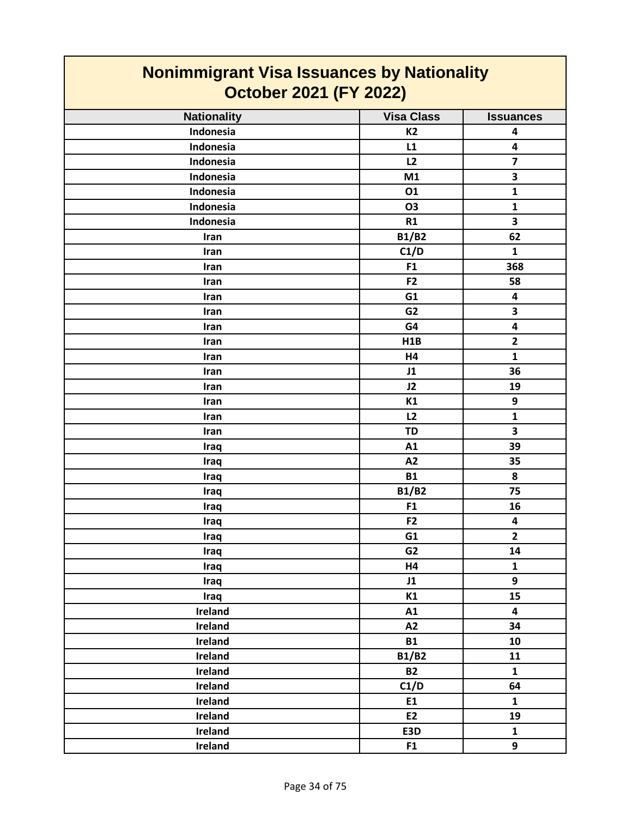| <b>Nonimmigrant Visa Issuances by Nationality</b><br><b>October 2021 (FY 2022)</b> |                   |                         |
|------------------------------------------------------------------------------------|-------------------|-------------------------|
| <b>Nationality</b>                                                                 | <b>Visa Class</b> | <b>Issuances</b>        |
| Indonesia                                                                          | <b>K2</b>         | 4                       |
| Indonesia                                                                          | L1                | 4                       |
| Indonesia                                                                          | L2                | 7                       |
| Indonesia                                                                          | M1                | 3                       |
| Indonesia                                                                          | 01                | $\mathbf{1}$            |
| <b>Indonesia</b>                                                                   | <b>O3</b>         | $\mathbf{1}$            |
| Indonesia                                                                          | R1                | 3                       |
| Iran                                                                               | <b>B1/B2</b>      | 62                      |
| Iran                                                                               | C1/D              | $\mathbf{1}$            |
| Iran                                                                               | F <sub>1</sub>    | 368                     |
| <b>Iran</b>                                                                        | F2                | 58                      |
| Iran                                                                               | G1                | $\overline{\mathbf{4}}$ |
| Iran                                                                               | G <sub>2</sub>    | 3                       |
| Iran                                                                               | G4                | 4                       |
| Iran                                                                               | H1B               | $\overline{\mathbf{2}}$ |
| <b>Iran</b>                                                                        | H4                | $\mathbf{1}$            |
| Iran                                                                               | J1                | 36                      |
| Iran                                                                               | J2                | 19                      |
| Iran                                                                               | K1                | 9                       |
| Iran                                                                               | L2                | $\mathbf{1}$            |
| Iran                                                                               | <b>TD</b>         | 3                       |
| Iraq                                                                               | A1                | 39                      |
| Iraq                                                                               | A2                | 35                      |
| Iraq                                                                               | <b>B1</b>         | 8                       |
| Iraq                                                                               | <b>B1/B2</b>      | 75                      |
| Iraq                                                                               | F1                | 16                      |
| Iraq                                                                               | F <sub>2</sub>    | 4                       |
| Iraq                                                                               | G1                | $\overline{2}$          |
| Iraq                                                                               | G <sub>2</sub>    | 14                      |
| Iraq                                                                               | <b>H4</b>         | $\mathbf{1}$            |
| Iraq                                                                               | J1                | 9                       |
| Iraq                                                                               | K1                | 15                      |
| Ireland                                                                            | A1                | $\overline{\mathbf{4}}$ |
| Ireland                                                                            | A2                | 34                      |
| <b>Ireland</b>                                                                     | <b>B1</b>         | 10                      |
| Ireland                                                                            | <b>B1/B2</b>      | 11                      |
| <b>Ireland</b>                                                                     | <b>B2</b>         | $\mathbf{1}$            |
| Ireland                                                                            | C1/D              | 64                      |
| Ireland                                                                            | E1                | $\mathbf{1}$            |
| <b>Ireland</b>                                                                     | E2                | 19                      |
| Ireland                                                                            | E3D               | $\mathbf{1}$            |
| Ireland                                                                            | F1                | 9                       |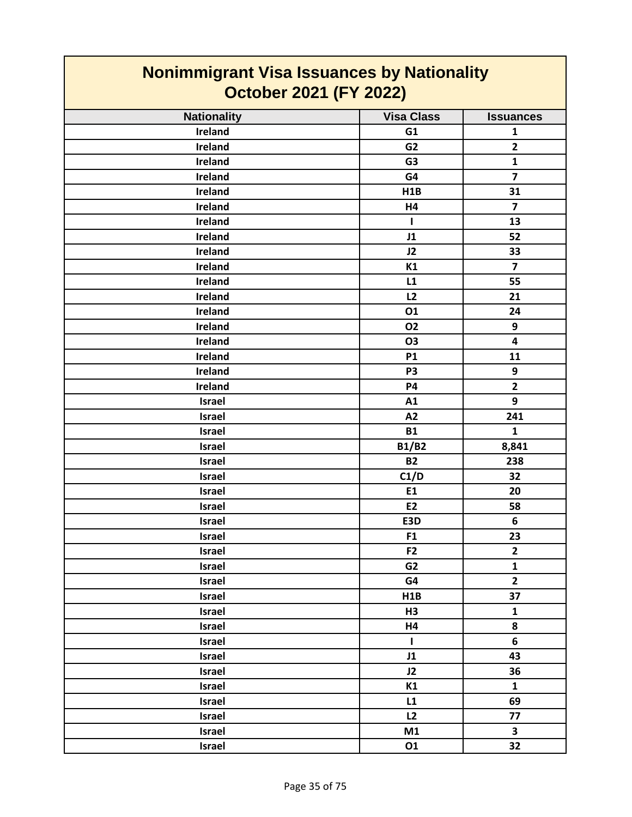| Nonimmigrant visa issuances by Nationality<br><b>October 2021 (FY 2022)</b> |                   |                         |
|-----------------------------------------------------------------------------|-------------------|-------------------------|
| <b>Nationality</b>                                                          | <b>Visa Class</b> | <b>Issuances</b>        |
| Ireland                                                                     | G1                | $\mathbf{1}$            |
| Ireland                                                                     | G <sub>2</sub>    | $\mathbf{2}$            |
| Ireland                                                                     | G <sub>3</sub>    | $\mathbf{1}$            |
| Ireland                                                                     | G4                | $\overline{\mathbf{z}}$ |
| Ireland                                                                     | H1B               | 31                      |
| Ireland                                                                     | H4                | $\overline{\mathbf{z}}$ |
| Ireland                                                                     | L                 | 13                      |
| Ireland                                                                     | J1                | 52                      |
| Ireland                                                                     | J2                | 33                      |
| Ireland                                                                     | K1                | $\overline{7}$          |
| Ireland                                                                     | L1                | 55                      |
| Ireland                                                                     | L2                | 21                      |
| Ireland                                                                     | 01                | 24                      |
| Ireland                                                                     | <b>O2</b>         | 9                       |
| Ireland                                                                     | <b>O3</b>         | $\overline{\mathbf{4}}$ |
| Ireland                                                                     | <b>P1</b>         | 11                      |
| Ireland                                                                     | P <sub>3</sub>    | 9                       |
| Ireland                                                                     | <b>P4</b>         | $\overline{2}$          |
| <b>Israel</b>                                                               | A1                | 9                       |
| Israel                                                                      | A2                | 241                     |
| <b>Israel</b>                                                               | <b>B1</b>         | $\mathbf{1}$            |
| Israel                                                                      | <b>B1/B2</b>      | 8,841                   |
| Israel                                                                      | <b>B2</b>         | 238                     |
| Israel                                                                      | C1/D              | 32                      |
| <b>Israel</b>                                                               | E1                | 20                      |
| Israel                                                                      | E2                | 58                      |
| <b>Israel</b>                                                               | E3D               | 6                       |
| <b>Israel</b>                                                               | F1                | 23                      |
| <b>Israel</b>                                                               | F <sub>2</sub>    | $\overline{2}$          |
| Israel                                                                      | G <sub>2</sub>    | $\mathbf{1}$            |
| <b>Israel</b>                                                               | G4                | $\overline{2}$          |
| Israel                                                                      | H1B               | 37                      |
| <b>Israel</b>                                                               | H3                | $\mathbf{1}$            |
| <b>Israel</b>                                                               | H4                | 8                       |
| Israel                                                                      | $\mathbf{I}$      | 6                       |
| Israel                                                                      | J1                | 43                      |
| Israel                                                                      | J2                | 36                      |
| Israel                                                                      | K1                | $\mathbf{1}$            |
| Israel                                                                      | L1                | 69                      |
| Israel                                                                      | L2                | 77                      |
| Israel                                                                      | M1                | $\overline{\mathbf{3}}$ |
| Israel                                                                      | 01                | 32                      |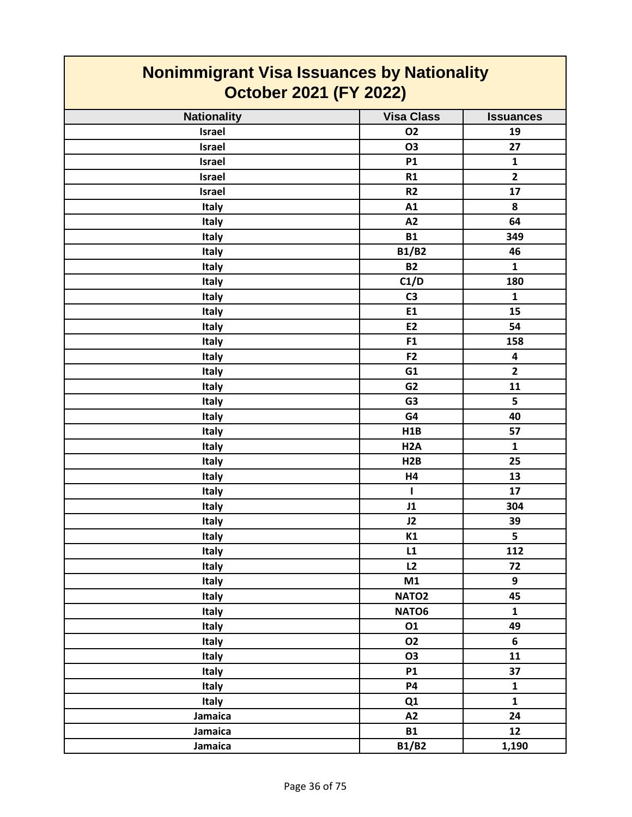| <u>Nonimmigrant Visa Issuances by Nationality</u> |                   |                         |
|---------------------------------------------------|-------------------|-------------------------|
| <b>October 2021 (FY 2022)</b>                     |                   |                         |
| <b>Nationality</b>                                | <b>Visa Class</b> | <b>Issuances</b>        |
| Israel                                            | <b>O2</b>         | 19                      |
| <b>Israel</b>                                     | <b>O3</b>         | 27                      |
| <b>Israel</b>                                     | <b>P1</b>         | $\mathbf{1}$            |
| Israel                                            | R1                | $\overline{2}$          |
| <b>Israel</b>                                     | R2                | 17                      |
| <b>Italy</b>                                      | A1                | 8                       |
| Italy                                             | A2                | 64                      |
| <b>Italy</b>                                      | <b>B1</b>         | 349                     |
| Italy                                             | <b>B1/B2</b>      | 46                      |
| <b>Italy</b>                                      | <b>B2</b>         | $\mathbf{1}$            |
| Italy                                             | C1/D              | 180                     |
| Italy                                             | C <sub>3</sub>    | $\mathbf{1}$            |
| <b>Italy</b>                                      | E1                | 15                      |
| Italy                                             | E <sub>2</sub>    | 54                      |
| <b>Italy</b>                                      | F <sub>1</sub>    | 158                     |
| <b>Italy</b>                                      | F <sub>2</sub>    | $\overline{\mathbf{4}}$ |
| <b>Italy</b>                                      | G1                | $\overline{2}$          |
| Italy                                             | G <sub>2</sub>    | 11                      |
| <b>Italy</b>                                      | G <sub>3</sub>    | 5                       |
| Italy                                             | G4                | 40                      |
| Italy                                             | H1B               | 57                      |
| Italy                                             | H <sub>2</sub> A  | $\mathbf{1}$            |
| Italy                                             | H2B               | 25                      |
| Italy                                             | H4                | 13                      |
| <b>Italy</b>                                      | $\mathbf{I}$      | 17                      |
| Italy                                             | J1                | 304                     |
| <b>Italy</b>                                      | J2                | 39                      |
| Italy                                             | K1                | 5                       |
| Italy                                             | L1                | 112                     |
| <b>Italy</b>                                      | L2                | 72                      |
| Italy                                             | M1                | 9                       |
| Italy                                             | NATO <sub>2</sub> | 45                      |
| Italy                                             | NATO6             | $\mathbf{1}$            |
| Italy                                             | 01                | 49                      |
| <b>Italy</b>                                      | <b>O2</b>         | 6                       |
| Italy                                             | <b>O3</b>         | 11                      |
| Italy                                             | <b>P1</b>         | 37                      |
| Italy                                             | <b>P4</b>         | $\mathbf{1}$            |
| Italy                                             | Q1                | $\mathbf{1}$            |
| Jamaica                                           | A2                | 24                      |
| Jamaica                                           | <b>B1</b>         | 12                      |
| Jamaica                                           | <b>B1/B2</b>      | 1,190                   |

### **Nonimmigrant Visa Issuances by Nationality**

 $\overline{\phantom{a}}$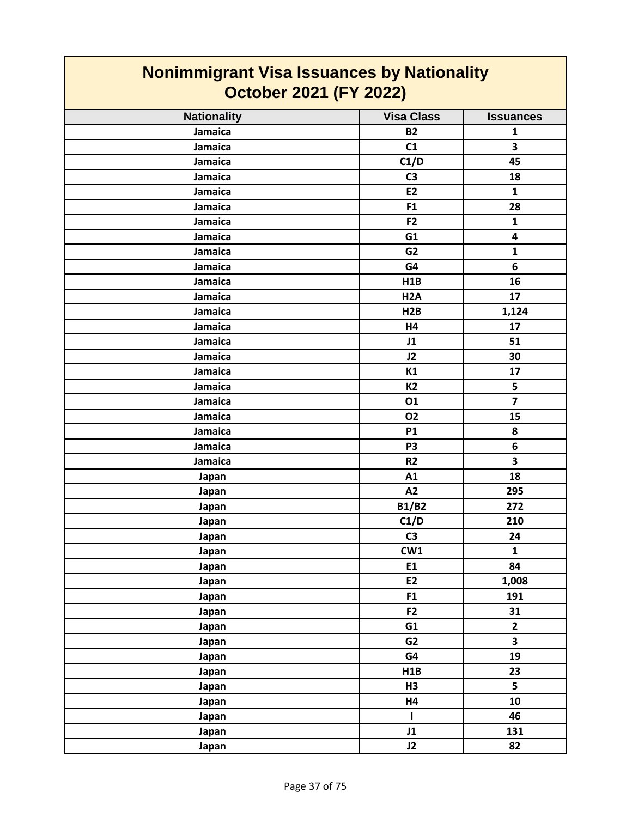| <b>Nonimmigrant Visa Issuances by Nationality</b><br><b>October 2021 (FY 2022)</b> |                   |                         |
|------------------------------------------------------------------------------------|-------------------|-------------------------|
| <b>Nationality</b>                                                                 | <b>Visa Class</b> | <b>Issuances</b>        |
| Jamaica                                                                            | <b>B2</b>         | $\mathbf{1}$            |
| Jamaica                                                                            | C1                | 3                       |
| Jamaica                                                                            | C1/D              | 45                      |
| Jamaica                                                                            | C <sub>3</sub>    | 18                      |
| Jamaica                                                                            | E <sub>2</sub>    | $\mathbf{1}$            |
| Jamaica                                                                            | F1                | 28                      |
| Jamaica                                                                            | F <sub>2</sub>    | 1                       |
| Jamaica                                                                            | G1                | $\overline{\mathbf{4}}$ |
| Jamaica                                                                            | G <sub>2</sub>    | $\mathbf{1}$            |
| Jamaica                                                                            | G4                | 6                       |
| Jamaica                                                                            | H1B               | 16                      |
| Jamaica                                                                            | H <sub>2</sub> A  | 17                      |
| Jamaica                                                                            | H2B               | 1,124                   |
| Jamaica                                                                            | <b>H4</b>         | 17                      |
| Jamaica                                                                            | J1                | 51                      |
| Jamaica                                                                            | J2                | 30                      |
| Jamaica                                                                            | K1                | 17                      |
| Jamaica                                                                            | <b>K2</b>         | 5                       |
| Jamaica                                                                            | 01                | $\overline{7}$          |
| Jamaica                                                                            | 02                | 15                      |
| Jamaica                                                                            | <b>P1</b>         | 8                       |
| Jamaica                                                                            | P <sub>3</sub>    | 6                       |
| Jamaica                                                                            | R <sub>2</sub>    | 3                       |
| Japan                                                                              | A1                | 18                      |
| Japan                                                                              | A2                | 295                     |
| Japan                                                                              | <b>B1/B2</b>      | 272                     |
| Japan                                                                              | C1/D              | 210                     |
| Japan                                                                              | C <sub>3</sub>    | 24                      |
| Japan                                                                              | CW1               | $\mathbf{1}$            |
| Japan                                                                              | E1                | 84                      |
| Japan                                                                              | E2                | 1,008                   |
| Japan                                                                              | F <sub>1</sub>    | 191                     |
| Japan                                                                              | F <sub>2</sub>    | 31                      |
| Japan                                                                              | G1                | $\mathbf{2}$            |
| Japan                                                                              | G <sub>2</sub>    | $\overline{\mathbf{3}}$ |
| Japan                                                                              | G4                | 19                      |
| Japan                                                                              | H1B               | 23                      |
| Japan                                                                              | H <sub>3</sub>    | 5                       |
| Japan                                                                              | <b>H4</b>         | 10                      |
| Japan                                                                              | $\mathbf{I}$      | 46                      |
| Japan                                                                              | J1                | 131                     |
| Japan                                                                              | J2                | 82                      |

 $\sim$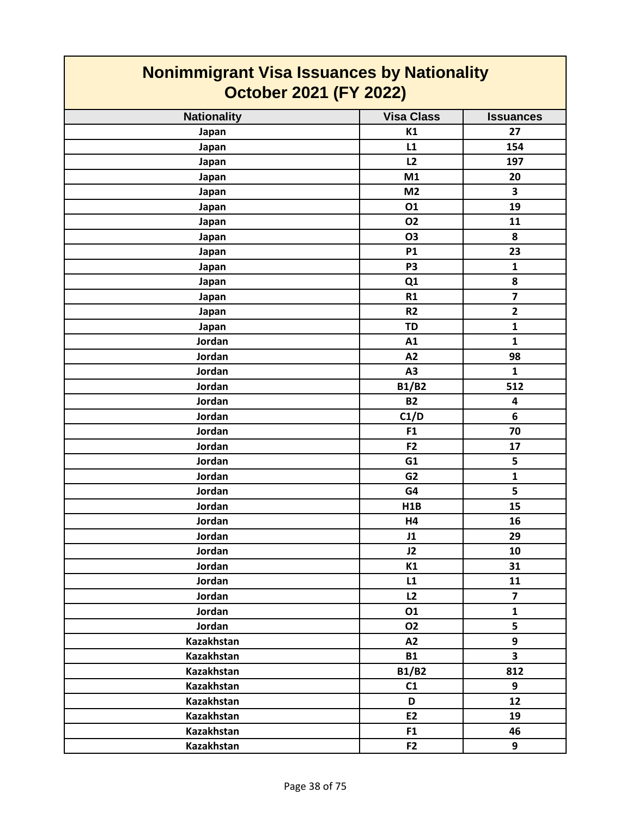| <b>Nonimmigrant Visa Issuances by Nationality</b><br><b>October 2021 (FY 2022)</b> |                   |                         |
|------------------------------------------------------------------------------------|-------------------|-------------------------|
| <b>Nationality</b>                                                                 | <b>Visa Class</b> | <b>Issuances</b>        |
| Japan                                                                              | K1                | 27                      |
| Japan                                                                              | L1                | 154                     |
| Japan                                                                              | L2                | 197                     |
| Japan                                                                              | M1                | 20                      |
| Japan                                                                              | M <sub>2</sub>    | 3                       |
| Japan                                                                              | 01                | 19                      |
| Japan                                                                              | <b>O2</b>         | 11                      |
| Japan                                                                              | <b>O3</b>         | 8                       |
| Japan                                                                              | <b>P1</b>         | 23                      |
| Japan                                                                              | P <sub>3</sub>    | $\mathbf{1}$            |
| Japan                                                                              | Q1                | 8                       |
| Japan                                                                              | R1                | $\overline{\mathbf{z}}$ |
| Japan                                                                              | R <sub>2</sub>    | $\overline{2}$          |
| Japan                                                                              | <b>TD</b>         | $\mathbf{1}$            |
| Jordan                                                                             | A1                | $\mathbf{1}$            |
| Jordan                                                                             | A2                | 98                      |
| Jordan                                                                             | A3                | $\mathbf{1}$            |
| Jordan                                                                             | <b>B1/B2</b>      | 512                     |
| Jordan                                                                             | <b>B2</b>         | 4                       |
| Jordan                                                                             | C1/D              | 6                       |
| Jordan                                                                             | F <sub>1</sub>    | 70                      |
| Jordan                                                                             | F2                | 17                      |
| Jordan                                                                             | G1                | 5                       |
| Jordan                                                                             | G <sub>2</sub>    | $\mathbf{1}$            |
| Jordan                                                                             | G4                | 5                       |
| Jordan                                                                             | H <sub>1</sub> B  | 15                      |
| Jordan                                                                             | H4                | 16                      |
| Jordan                                                                             | J1                | 29                      |
| Jordan                                                                             | J2                | 10                      |
| Jordan                                                                             | K1                | 31                      |
| Jordan                                                                             | L1                | 11                      |
| Jordan                                                                             | L2                | $\overline{7}$          |
| Jordan                                                                             | 01                | $\mathbf{1}$            |
| Jordan                                                                             | 02                | 5                       |
| Kazakhstan                                                                         | A2                | 9                       |
| <b>Kazakhstan</b>                                                                  | <b>B1</b>         | $\overline{\mathbf{3}}$ |
| Kazakhstan                                                                         | <b>B1/B2</b>      | 812                     |
| Kazakhstan                                                                         | C1                | 9                       |
| Kazakhstan                                                                         | D                 | 12                      |
| Kazakhstan                                                                         | E2                | 19                      |
| Kazakhstan                                                                         | F1                | 46                      |
| Kazakhstan                                                                         | F <sub>2</sub>    | 9                       |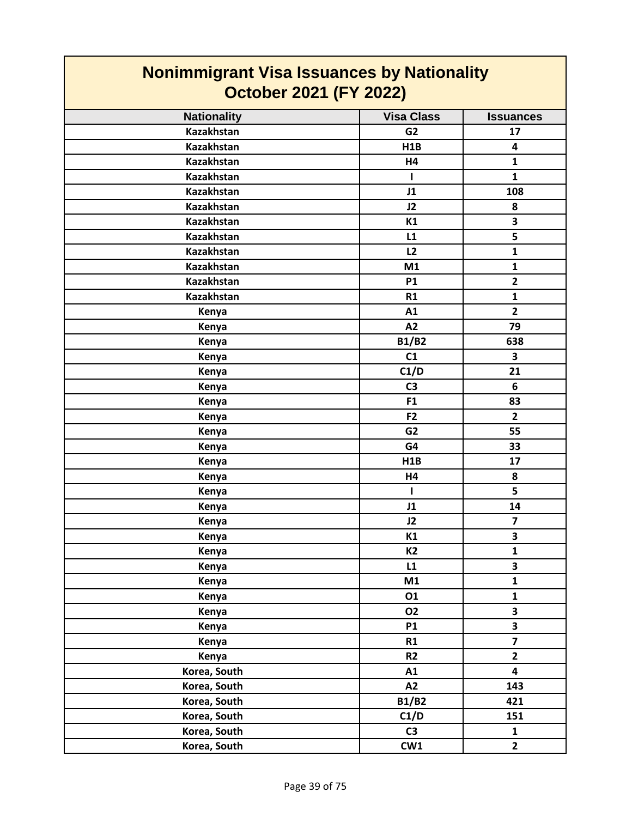| <b>Nonimmigrant Visa Issuances by Nationality</b><br><b>October 2021 (FY 2022)</b> |                   |                         |
|------------------------------------------------------------------------------------|-------------------|-------------------------|
| <b>Nationality</b>                                                                 | <b>Visa Class</b> | <b>Issuances</b>        |
| <b>Kazakhstan</b>                                                                  | G <sub>2</sub>    | 17                      |
| <b>Kazakhstan</b>                                                                  | H1B               | 4                       |
| <b>Kazakhstan</b>                                                                  | H4                | $\mathbf{1}$            |
| <b>Kazakhstan</b>                                                                  | L                 | $\mathbf{1}$            |
| <b>Kazakhstan</b>                                                                  | J1                | 108                     |
| <b>Kazakhstan</b>                                                                  | J2                | 8                       |
| <b>Kazakhstan</b>                                                                  | K1                | 3                       |
| <b>Kazakhstan</b>                                                                  | L1                | 5                       |
| <b>Kazakhstan</b>                                                                  | L2                | $\mathbf{1}$            |
| <b>Kazakhstan</b>                                                                  | M1                | $\mathbf{1}$            |
| <b>Kazakhstan</b>                                                                  | <b>P1</b>         | $\overline{2}$          |
| <b>Kazakhstan</b>                                                                  | R1                | $\mathbf{1}$            |
| Kenya                                                                              | A1                | $\overline{2}$          |
| Kenya                                                                              | A2                | 79                      |
| Kenya                                                                              | <b>B1/B2</b>      | 638                     |
| Kenya                                                                              | C1                | 3                       |
| Kenya                                                                              | C1/D              | 21                      |
| Kenya                                                                              | C <sub>3</sub>    | 6                       |
| Kenya                                                                              | F <sub>1</sub>    | 83                      |
| Kenya                                                                              | F <sub>2</sub>    | $\overline{2}$          |
| Kenya                                                                              | G <sub>2</sub>    | 55                      |
| Kenya                                                                              | G4                | 33                      |
| Kenya                                                                              | H1B               | 17                      |
| Kenya                                                                              | H4                | 8                       |
| Kenya                                                                              | H.                | 5                       |
| Kenya                                                                              | J1                | 14                      |
| Kenya                                                                              | J2                | $\overline{\mathbf{z}}$ |
| Kenya                                                                              | K1                | 3                       |
| Kenya                                                                              | <b>K2</b>         | $\mathbf{1}$            |
| Kenya                                                                              | L1                | $\overline{\mathbf{3}}$ |
| Kenya                                                                              | M1                | $\mathbf{1}$            |
| Kenya                                                                              | 01                | $\mathbf{1}$            |
| Kenya                                                                              | <b>O2</b>         | $\overline{\mathbf{3}}$ |
| Kenya                                                                              | <b>P1</b>         | $\overline{\mathbf{3}}$ |
| Kenya                                                                              | R1                | $\overline{\mathbf{z}}$ |
| Kenya                                                                              | R2                | $\overline{2}$          |
| Korea, South                                                                       | A1                | $\overline{\mathbf{4}}$ |
| Korea, South                                                                       | A2                | 143                     |
| Korea, South                                                                       | <b>B1/B2</b>      | 421                     |
| Korea, South                                                                       | C1/D              | 151                     |
| Korea, South                                                                       | C <sub>3</sub>    | $\mathbf{1}$            |
| Korea, South                                                                       | CW1               | $\overline{2}$          |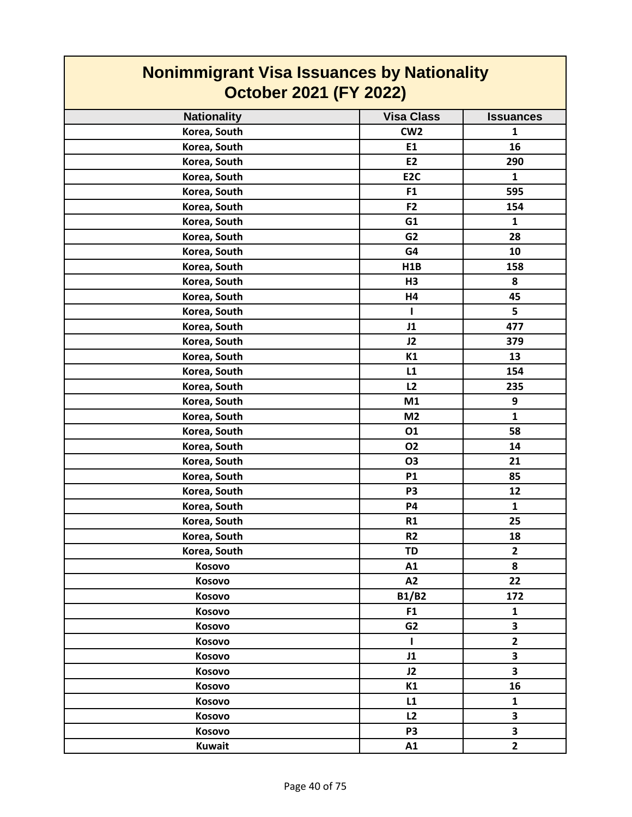| <b>Nonimmigrant Visa Issuances by Nationality</b><br><b>October 2021 (FY 2022)</b> |                   |                  |
|------------------------------------------------------------------------------------|-------------------|------------------|
| <b>Nationality</b>                                                                 | <b>Visa Class</b> | <b>Issuances</b> |
| Korea, South                                                                       | CW <sub>2</sub>   | $\mathbf{1}$     |
| Korea, South                                                                       | E1                | 16               |
| Korea, South                                                                       | E <sub>2</sub>    | 290              |
| Korea, South                                                                       | E <sub>2C</sub>   | $\mathbf{1}$     |
| Korea, South                                                                       | F1                | 595              |
| Korea, South                                                                       | F <sub>2</sub>    | 154              |
| Korea, South                                                                       | G1                | $\mathbf{1}$     |
| Korea, South                                                                       | G <sub>2</sub>    | 28               |
| Korea, South                                                                       | G4                | 10               |
| Korea, South                                                                       | H1B               | 158              |
| Korea, South                                                                       | H3                | 8                |
| Korea, South                                                                       | H4                | 45               |
| Korea, South                                                                       | L                 | 5                |
| Korea, South                                                                       | J1                | 477              |
| Korea, South                                                                       | J2                | 379              |
| Korea, South                                                                       | K1                | 13               |
| Korea, South                                                                       | L1                | 154              |
| Korea, South                                                                       | L2                | 235              |
| Korea, South                                                                       | M1                | 9                |
| Korea, South                                                                       | M <sub>2</sub>    | $\mathbf{1}$     |
| Korea, South                                                                       | 01                | 58               |
| Korea, South                                                                       | <b>O2</b>         | 14               |
| Korea, South                                                                       | O <sub>3</sub>    | 21               |
| Korea, South                                                                       | <b>P1</b>         | 85               |
| Korea, South                                                                       | P <sub>3</sub>    | 12               |
| Korea, South                                                                       | P4                | $\mathbf{1}$     |
| Korea, South                                                                       | <b>R1</b>         | 25               |
| Korea, South                                                                       | R <sub>2</sub>    | 18               |
| Korea, South                                                                       | <b>TD</b>         | $\mathbf{2}$     |
| Kosovo                                                                             | A1                | 8                |
| Kosovo                                                                             | A2                | 22               |
| Kosovo                                                                             | <b>B1/B2</b>      | 172              |
| Kosovo                                                                             | F <sub>1</sub>    | $\mathbf{1}$     |
| Kosovo                                                                             | G <sub>2</sub>    | 3                |
| Kosovo                                                                             | $\mathbf{I}$      | $\overline{2}$   |
| Kosovo                                                                             | J1                | 3                |
| Kosovo                                                                             | J2                | 3                |
| Kosovo                                                                             | K1                | 16               |
| Kosovo                                                                             | L1                | $\mathbf{1}$     |
| Kosovo                                                                             | L2                | 3                |
| Kosovo                                                                             | P <sub>3</sub>    | 3                |
| <b>Kuwait</b>                                                                      | A1                | $\overline{2}$   |

Г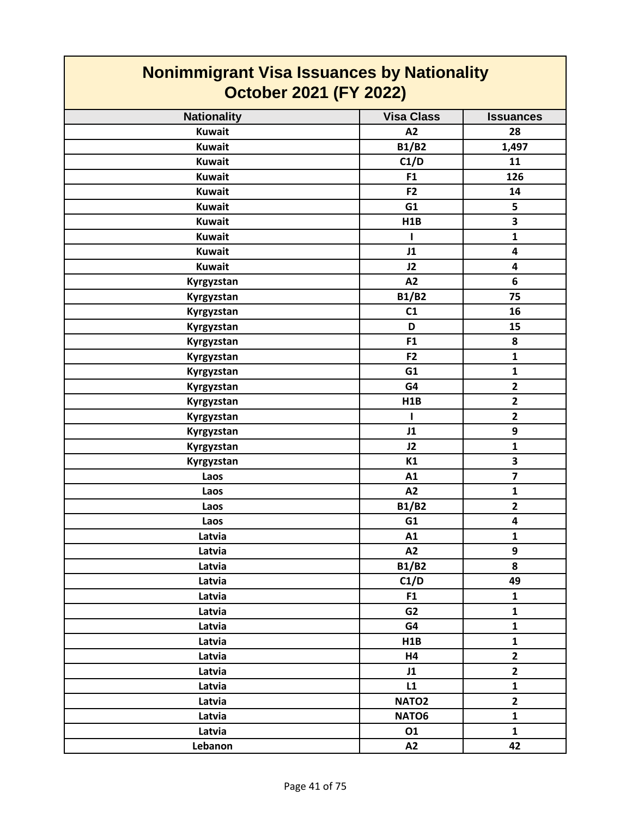| <b>Nonimmigrant Visa Issuances by Nationality</b> |                   |                         |
|---------------------------------------------------|-------------------|-------------------------|
| <b>October 2021 (FY 2022)</b>                     |                   |                         |
| <b>Nationality</b>                                | <b>Visa Class</b> | <b>Issuances</b>        |
| <b>Kuwait</b>                                     | A2                | 28                      |
| <b>Kuwait</b>                                     | <b>B1/B2</b>      | 1,497                   |
| <b>Kuwait</b>                                     | C1/D              | 11                      |
| <b>Kuwait</b>                                     | F <sub>1</sub>    | 126                     |
| <b>Kuwait</b>                                     | F <sub>2</sub>    | 14                      |
| <b>Kuwait</b>                                     | G1                | 5                       |
| <b>Kuwait</b>                                     | H1B               | 3                       |
| <b>Kuwait</b>                                     | $\mathbf{I}$      | $\mathbf{1}$            |
| <b>Kuwait</b>                                     | J1                | 4                       |
| <b>Kuwait</b>                                     | J2                | 4                       |
| Kyrgyzstan                                        | A2                | 6                       |
| Kyrgyzstan                                        | <b>B1/B2</b>      | 75                      |
| Kyrgyzstan                                        | C1                | 16                      |
| Kyrgyzstan                                        | D                 | 15                      |
| Kyrgyzstan                                        | F <sub>1</sub>    | 8                       |
| Kyrgyzstan                                        | F <sub>2</sub>    | $\mathbf{1}$            |
| Kyrgyzstan                                        | G1                | $\mathbf{1}$            |
| Kyrgyzstan                                        | G4                | $\overline{2}$          |
| Kyrgyzstan                                        | H <sub>1</sub> B  | $\overline{2}$          |
| Kyrgyzstan                                        | $\mathbf{I}$      | $\overline{2}$          |
| Kyrgyzstan                                        | J1                | 9                       |
| Kyrgyzstan                                        | J2                | $\mathbf{1}$            |
| Kyrgyzstan                                        | K1                | 3                       |
| Laos                                              | A1                | $\overline{\mathbf{z}}$ |
| Laos                                              | A2                | 1                       |
| Laos                                              | <b>B1/B2</b>      | $\overline{2}$          |
| Laos                                              | G1                | 4                       |
| Latvia                                            | A1                | $\mathbf{1}$            |
| Latvia                                            | A2                | 9                       |
| Latvia                                            | <b>B1/B2</b>      | 8                       |
| Latvia                                            | C1/D              | 49                      |
| Latvia                                            | F <sub>1</sub>    | $\mathbf{1}$            |
| Latvia                                            | G <sub>2</sub>    | $\mathbf{1}$            |
| Latvia                                            | G4                | $\mathbf{1}$            |
| Latvia                                            | H1B               | $\mathbf{1}$            |
| Latvia                                            | H4                | $\overline{2}$          |
| Latvia                                            | J1                | $\overline{2}$          |
| Latvia                                            | L1                | $\mathbf{1}$            |
| Latvia                                            | NATO <sub>2</sub> | $\overline{\mathbf{2}}$ |
| Latvia                                            | NATO6             | $\mathbf{1}$            |
| Latvia                                            | 01                | $\mathbf{1}$            |
| Lebanon                                           | A2                | 42                      |

 $\mathsf{I}$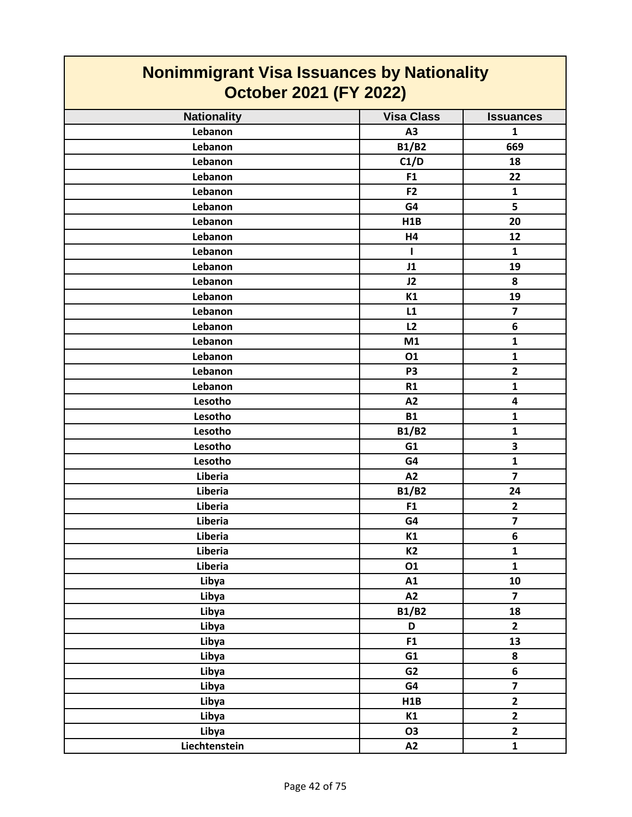| <b>Nonimmigrant Visa Issuances by Nationality</b><br><b>October 2021 (FY 2022)</b> |                   |                         |
|------------------------------------------------------------------------------------|-------------------|-------------------------|
| <b>Nationality</b>                                                                 | <b>Visa Class</b> | <b>Issuances</b>        |
| Lebanon                                                                            | A <sub>3</sub>    | $\mathbf{1}$            |
| Lebanon                                                                            | <b>B1/B2</b>      | 669                     |
| Lebanon                                                                            | C1/D              | 18                      |
| Lebanon                                                                            | F <sub>1</sub>    | 22                      |
| Lebanon                                                                            | F <sub>2</sub>    | $\mathbf{1}$            |
| Lebanon                                                                            | G4                | 5                       |
| Lebanon                                                                            | H1B               | 20                      |
| Lebanon                                                                            | <b>H4</b>         | 12                      |
| Lebanon                                                                            | $\mathbf{I}$      | $\mathbf{1}$            |
| Lebanon                                                                            | J1                | 19                      |
| Lebanon                                                                            | J2                | 8                       |
| Lebanon                                                                            | K1                | 19                      |
| Lebanon                                                                            | L1                | $\overline{7}$          |
| Lebanon                                                                            | L2                | 6                       |
| Lebanon                                                                            | M1                | $\mathbf{1}$            |
| Lebanon                                                                            | 01                | $\mathbf{1}$            |
| Lebanon                                                                            | P <sub>3</sub>    | $\overline{2}$          |
| Lebanon                                                                            | R1                | $\mathbf{1}$            |
| Lesotho                                                                            | A2                | 4                       |
| Lesotho                                                                            | <b>B1</b>         | $\mathbf{1}$            |
| Lesotho                                                                            | <b>B1/B2</b>      | $\mathbf 1$             |
| Lesotho                                                                            | G1                | 3                       |
| Lesotho                                                                            | G4                | $\mathbf{1}$            |
| Liberia                                                                            | A2                | $\overline{\mathbf{z}}$ |
| Liberia                                                                            | <b>B1/B2</b>      | 24                      |
| Liberia                                                                            | F1                | $\mathbf{2}$            |
| Liberia                                                                            | G4                | $\overline{\mathbf{z}}$ |
| Liberia                                                                            | K1                | 6                       |
| Liberia                                                                            | <b>K2</b>         | $\mathbf{1}$            |
| Liberia                                                                            | 01                | $\mathbf{1}$            |
| Libya                                                                              | A1                | 10                      |
| Libya                                                                              | A2                | $\overline{7}$          |
| Libya                                                                              | <b>B1/B2</b>      | 18                      |
| Libya                                                                              | D                 | $\overline{2}$          |
| Libya                                                                              | F1                | 13                      |
| Libya                                                                              | G1                | 8                       |
| Libya                                                                              | G <sub>2</sub>    | 6                       |
| Libya                                                                              | G4                | $\overline{\mathbf{z}}$ |
| Libya                                                                              | H1B               | $\overline{\mathbf{2}}$ |
| Libya                                                                              | K1                | $\overline{\mathbf{2}}$ |
| Libya                                                                              | O3                | $\overline{2}$          |
| Liechtenstein                                                                      | A2                | $\mathbf{1}$            |

٦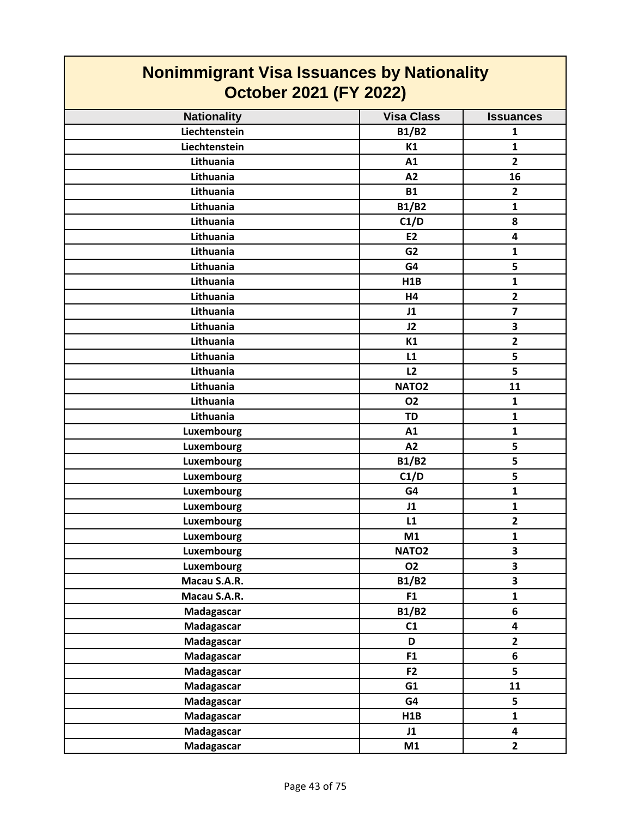| <b>Nonimmigrant Visa Issuances by Nationality</b><br><b>October 2021 (FY 2022)</b> |                   |                         |
|------------------------------------------------------------------------------------|-------------------|-------------------------|
| <b>Nationality</b>                                                                 | <b>Visa Class</b> | <b>Issuances</b>        |
| Liechtenstein                                                                      | <b>B1/B2</b>      | 1                       |
| Liechtenstein                                                                      | K1                | $\mathbf{1}$            |
| Lithuania                                                                          | A1                | $\overline{2}$          |
| Lithuania                                                                          | A2                | 16                      |
| Lithuania                                                                          | <b>B1</b>         | $\mathbf{2}$            |
| Lithuania                                                                          | <b>B1/B2</b>      | $\mathbf{1}$            |
| Lithuania                                                                          | C1/D              | 8                       |
| Lithuania                                                                          | <b>E2</b>         | $\overline{\mathbf{4}}$ |
| Lithuania                                                                          | G <sub>2</sub>    | $\mathbf{1}$            |
| Lithuania                                                                          | G4                | 5                       |
| Lithuania                                                                          | H1B               | $\mathbf{1}$            |
| Lithuania                                                                          | H4                | $\overline{2}$          |
| Lithuania                                                                          | J1                | $\overline{7}$          |
| Lithuania                                                                          | J2                | 3                       |
| Lithuania                                                                          | K1                | $\overline{2}$          |
| Lithuania                                                                          | L1                | 5                       |
| Lithuania                                                                          | L2                | 5                       |
| Lithuania                                                                          | NATO <sub>2</sub> | 11                      |
| Lithuania                                                                          | 02                | $\mathbf{1}$            |
| Lithuania                                                                          | <b>TD</b>         | $\mathbf{1}$            |
| Luxembourg                                                                         | A1                | 1                       |
| Luxembourg                                                                         | A2                | 5                       |
| Luxembourg                                                                         | <b>B1/B2</b>      | 5                       |
| Luxembourg                                                                         | C1/D              | 5                       |
| Luxembourg                                                                         | G4                | 1                       |
| Luxembourg                                                                         | J1                | $\mathbf{1}$            |
| Luxembourg                                                                         | L1                | $\mathbf{2}$            |
| Luxembourg                                                                         | M1                | $\mathbf{1}$            |
| Luxembourg                                                                         | NATO <sub>2</sub> | $\overline{\mathbf{3}}$ |
| <b>Luxembourg</b>                                                                  | <b>O2</b>         | 3                       |
| Macau S.A.R.                                                                       | <b>B1/B2</b>      | $\overline{\mathbf{3}}$ |
| Macau S.A.R.                                                                       | F1                | $\mathbf{1}$            |
| Madagascar                                                                         | <b>B1/B2</b>      | 6                       |
| Madagascar                                                                         | C1                | $\overline{\mathbf{4}}$ |
| Madagascar                                                                         | D                 | $\overline{2}$          |
| Madagascar                                                                         | F <sub>1</sub>    | 6                       |
| Madagascar                                                                         | F <sub>2</sub>    | 5                       |
| Madagascar                                                                         | G1                | 11                      |
| Madagascar                                                                         | G4                | 5                       |
| <b>Madagascar</b>                                                                  | H1B               | $\mathbf{1}$            |
| Madagascar                                                                         | J1                | $\overline{\mathbf{4}}$ |
| Madagascar                                                                         | M1                | $\overline{2}$          |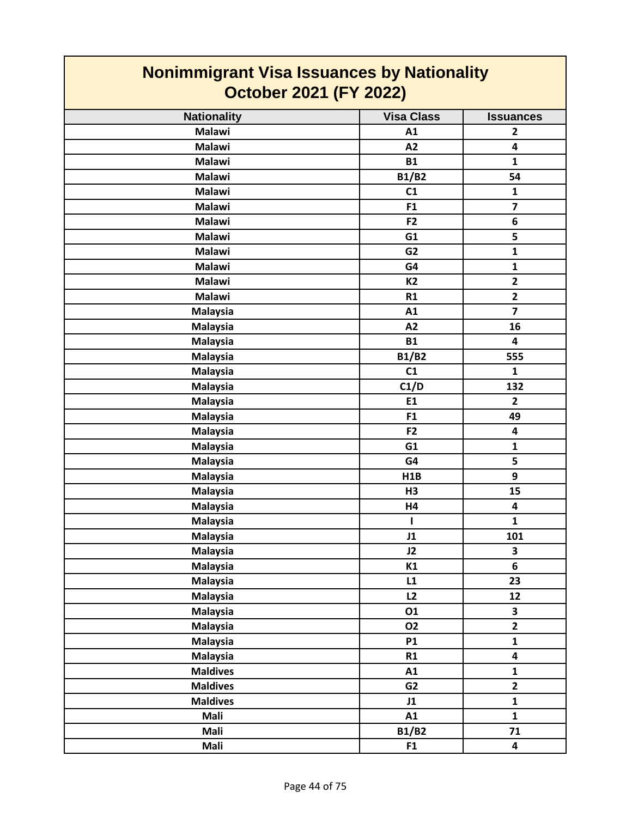| <b>Nonimmigrant Visa Issuances by Nationality</b> |                   |                         |
|---------------------------------------------------|-------------------|-------------------------|
| <b>October 2021 (FY 2022)</b>                     |                   |                         |
| <b>Nationality</b>                                | <b>Visa Class</b> | <b>Issuances</b>        |
| <b>Malawi</b>                                     | A1                | $\mathbf{2}$            |
| <b>Malawi</b>                                     | A2                | 4                       |
| <b>Malawi</b>                                     | <b>B1</b>         | $\mathbf{1}$            |
| <b>Malawi</b>                                     | <b>B1/B2</b>      | 54                      |
| <b>Malawi</b>                                     | C1                | $\mathbf{1}$            |
| <b>Malawi</b>                                     | F <sub>1</sub>    | $\overline{\mathbf{z}}$ |
| <b>Malawi</b>                                     | F <sub>2</sub>    | 6                       |
| <b>Malawi</b>                                     | G1                | 5                       |
| <b>Malawi</b>                                     | G <sub>2</sub>    | $\mathbf{1}$            |
| <b>Malawi</b>                                     | G4                | $\mathbf{1}$            |
| <b>Malawi</b>                                     | <b>K2</b>         | $\overline{2}$          |
| <b>Malawi</b>                                     | R1                | $\overline{2}$          |
| <b>Malaysia</b>                                   | A1                | $\overline{\mathbf{z}}$ |
| <b>Malaysia</b>                                   | A2                | 16                      |
| <b>Malaysia</b>                                   | <b>B1</b>         | 4                       |
| <b>Malaysia</b>                                   | <b>B1/B2</b>      | 555                     |
| <b>Malaysia</b>                                   | C1                | $\mathbf{1}$            |
| <b>Malaysia</b>                                   | C1/D              | 132                     |
| <b>Malaysia</b>                                   | E1                | $\overline{2}$          |
| <b>Malaysia</b>                                   | F <sub>1</sub>    | 49                      |
| <b>Malaysia</b>                                   | F <sub>2</sub>    | 4                       |
| <b>Malaysia</b>                                   | G1                | $\mathbf{1}$            |
| <b>Malaysia</b>                                   | G4                | 5                       |
| <b>Malaysia</b>                                   | H1B               | 9                       |
| <b>Malaysia</b>                                   | H <sub>3</sub>    | 15                      |
| <b>Malaysia</b>                                   | H4                | 4                       |
| <b>Malaysia</b>                                   | ı                 | $\mathbf{1}$            |
| <b>Malaysia</b>                                   | J1                | 101                     |
| <b>Malaysia</b>                                   | J2                | 3                       |
| <b>Malaysia</b>                                   | K1                | 6                       |
| <b>Malaysia</b>                                   | L1                | 23                      |
| <b>Malaysia</b>                                   | L2                | 12                      |
| <b>Malaysia</b>                                   | 01                | $\overline{\mathbf{3}}$ |
| <b>Malaysia</b>                                   | <b>O2</b>         | $\overline{2}$          |
| Malaysia                                          | <b>P1</b>         | $\mathbf{1}$            |
| <b>Malaysia</b>                                   | R1                | 4                       |
| <b>Maldives</b>                                   | A1                | $\mathbf{1}$            |
| <b>Maldives</b>                                   | G <sub>2</sub>    | $\overline{2}$          |
| <b>Maldives</b>                                   | J1                | $\mathbf{1}$            |
| Mali                                              | A1                | $\mathbf{1}$            |
| Mali                                              | <b>B1/B2</b>      | 71                      |
| Mali                                              | F1                | 4                       |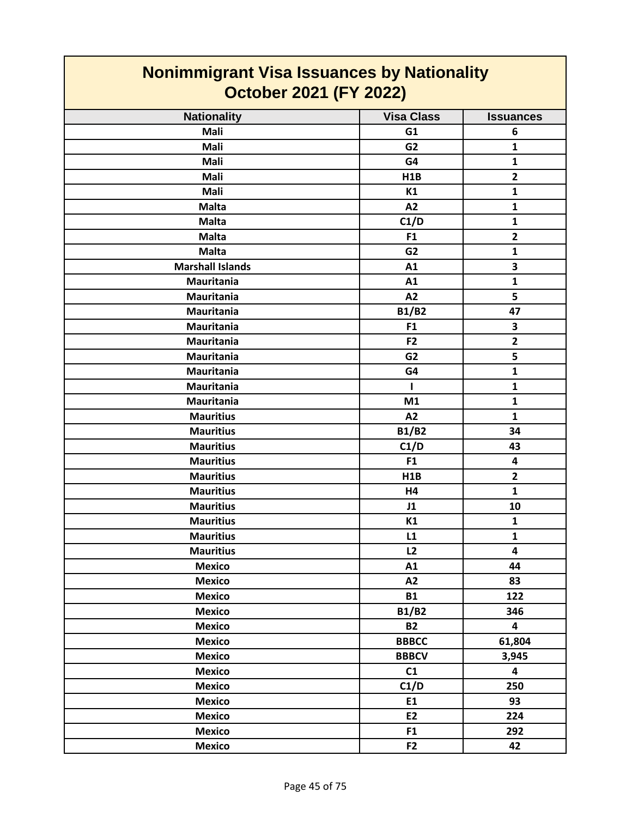| <b>Nonimmigrant Visa Issuances by Nationality</b><br><b>October 2021 (FY 2022)</b> |                   |                         |
|------------------------------------------------------------------------------------|-------------------|-------------------------|
| <b>Nationality</b>                                                                 | <b>Visa Class</b> | <b>Issuances</b>        |
| <b>Mali</b>                                                                        | G1                | 6                       |
| <b>Mali</b>                                                                        | G <sub>2</sub>    | 1                       |
| Mali                                                                               | G4                | $\mathbf{1}$            |
| <b>Mali</b>                                                                        | H1B               | $\overline{2}$          |
| <b>Mali</b>                                                                        | K1                | $\mathbf{1}$            |
| <b>Malta</b>                                                                       | A2                | $\mathbf{1}$            |
| <b>Malta</b>                                                                       | C1/D              | 1                       |
| <b>Malta</b>                                                                       | F <sub>1</sub>    | $\overline{2}$          |
| <b>Malta</b>                                                                       | G <sub>2</sub>    | $\mathbf{1}$            |
| <b>Marshall Islands</b>                                                            | A1                | 3                       |
| <b>Mauritania</b>                                                                  | A1                | $\mathbf{1}$            |
| <b>Mauritania</b>                                                                  | A2                | 5                       |
| <b>Mauritania</b>                                                                  | <b>B1/B2</b>      | 47                      |
| <b>Mauritania</b>                                                                  | F <sub>1</sub>    | $\overline{\mathbf{3}}$ |
| <b>Mauritania</b>                                                                  | F <sub>2</sub>    | $\overline{2}$          |
| <b>Mauritania</b>                                                                  | G <sub>2</sub>    | 5                       |
| <b>Mauritania</b>                                                                  | G4                | $\mathbf{1}$            |
| <b>Mauritania</b>                                                                  | I.                | $\mathbf{1}$            |
| Mauritania                                                                         | M1                | $\mathbf{1}$            |
| <b>Mauritius</b>                                                                   | A2                | $\mathbf{1}$            |
| <b>Mauritius</b>                                                                   | <b>B1/B2</b>      | 34                      |
| <b>Mauritius</b>                                                                   | C1/D              | 43                      |
| <b>Mauritius</b>                                                                   | F1                | 4                       |
| <b>Mauritius</b>                                                                   | H1B               | $\overline{2}$          |
| <b>Mauritius</b>                                                                   | H4                | $\mathbf{1}$            |
| <b>Mauritius</b>                                                                   | J1                | 10                      |
| <b>Mauritius</b>                                                                   | K1                | 1                       |
| <b>Mauritius</b>                                                                   | L1                | $\mathbf{1}$            |
| <b>Mauritius</b>                                                                   | L2                | 4                       |
| <b>Mexico</b>                                                                      | A1                | 44                      |
| <b>Mexico</b>                                                                      | A2                | 83                      |
| <b>Mexico</b>                                                                      | <b>B1</b>         | 122                     |
| <b>Mexico</b>                                                                      | <b>B1/B2</b>      | 346                     |
| <b>Mexico</b>                                                                      | <b>B2</b>         | 4                       |
| <b>Mexico</b>                                                                      | <b>BBBCC</b>      | 61,804                  |
| <b>Mexico</b>                                                                      | <b>BBBCV</b>      | 3,945                   |
| <b>Mexico</b>                                                                      | C1                | $\overline{\mathbf{4}}$ |
| <b>Mexico</b>                                                                      | C1/D              | 250                     |
| <b>Mexico</b>                                                                      | E1                | 93                      |
| <b>Mexico</b>                                                                      | E <sub>2</sub>    | 224                     |
| <b>Mexico</b>                                                                      | F <sub>1</sub>    | 292                     |
| <b>Mexico</b>                                                                      | F <sub>2</sub>    | 42                      |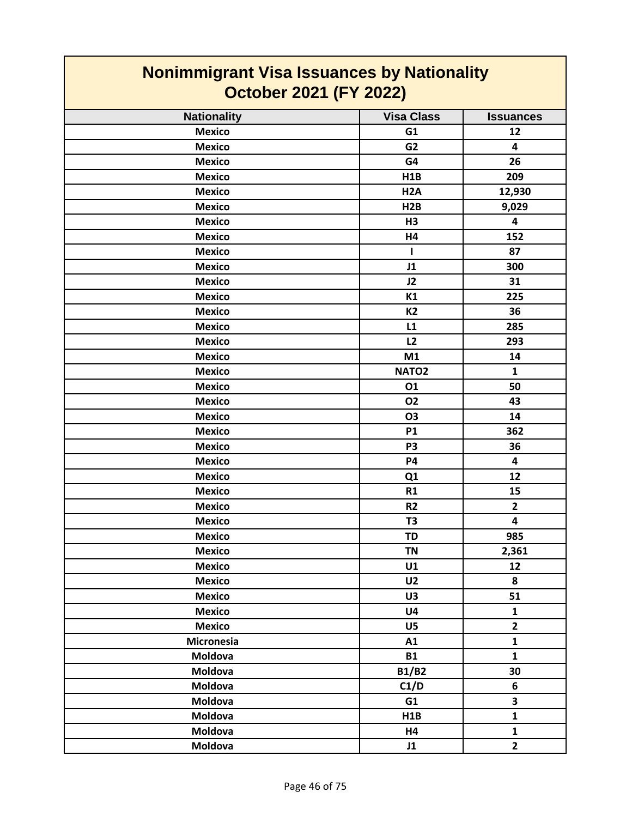| <b>Nonimmigrant Visa Issuances by Nationality</b><br><b>October 2021 (FY 2022)</b> |                   |                         |
|------------------------------------------------------------------------------------|-------------------|-------------------------|
| <b>Nationality</b>                                                                 | <b>Visa Class</b> | <b>Issuances</b>        |
| <b>Mexico</b>                                                                      | G1                | 12                      |
| <b>Mexico</b>                                                                      | G <sub>2</sub>    | $\overline{\mathbf{4}}$ |
| <b>Mexico</b>                                                                      | G4                | 26                      |
| <b>Mexico</b>                                                                      | H1B               | 209                     |
| <b>Mexico</b>                                                                      | H2A               | 12,930                  |
| <b>Mexico</b>                                                                      | H <sub>2</sub> B  | 9,029                   |
| <b>Mexico</b>                                                                      | H <sub>3</sub>    | 4                       |
| <b>Mexico</b>                                                                      | H4                | 152                     |
| <b>Mexico</b>                                                                      | L                 | 87                      |
| <b>Mexico</b>                                                                      | J1                | 300                     |
| <b>Mexico</b>                                                                      | J2                | 31                      |
| <b>Mexico</b>                                                                      | K1                | 225                     |
| <b>Mexico</b>                                                                      | <b>K2</b>         | 36                      |
| <b>Mexico</b>                                                                      | L1                | 285                     |
| <b>Mexico</b>                                                                      | L2                | 293                     |
| <b>Mexico</b>                                                                      | M1                | 14                      |
| <b>Mexico</b>                                                                      | NATO <sub>2</sub> | $\mathbf{1}$            |
| <b>Mexico</b>                                                                      | 01                | 50                      |
| <b>Mexico</b>                                                                      | 02                | 43                      |
| <b>Mexico</b>                                                                      | <b>O3</b>         | 14                      |
| <b>Mexico</b>                                                                      | <b>P1</b>         | 362                     |
| <b>Mexico</b>                                                                      | P <sub>3</sub>    | 36                      |
| <b>Mexico</b>                                                                      | <b>P4</b>         | $\overline{\mathbf{4}}$ |
| <b>Mexico</b>                                                                      | Q1                | 12                      |
| <b>Mexico</b>                                                                      | R1                | 15                      |
| <b>Mexico</b>                                                                      | R <sub>2</sub>    | $\mathbf{2}$            |
| <b>Mexico</b>                                                                      | T <sub>3</sub>    | 4                       |
| <b>Mexico</b>                                                                      | <b>TD</b>         | 985                     |
| <b>Mexico</b>                                                                      | <b>TN</b>         | 2,361                   |
| <b>Mexico</b>                                                                      | U1                | 12                      |
| <b>Mexico</b>                                                                      | U <sub>2</sub>    | 8                       |
| <b>Mexico</b>                                                                      | U3                | 51                      |
| <b>Mexico</b>                                                                      | U <sub>4</sub>    | $\mathbf{1}$            |
| <b>Mexico</b>                                                                      | U5                | $\overline{2}$          |
| Micronesia                                                                         | A1                | $\mathbf{1}$            |
| Moldova                                                                            | <b>B1</b>         | $\mathbf{1}$            |
| Moldova                                                                            | <b>B1/B2</b>      | 30                      |
| Moldova                                                                            | C1/D              | 6                       |
| Moldova                                                                            | G1                | 3                       |
| Moldova                                                                            | H1B               | $\mathbf{1}$            |
| Moldova                                                                            | H4                | $\mathbf{1}$            |
| Moldova                                                                            | J1                | $\overline{2}$          |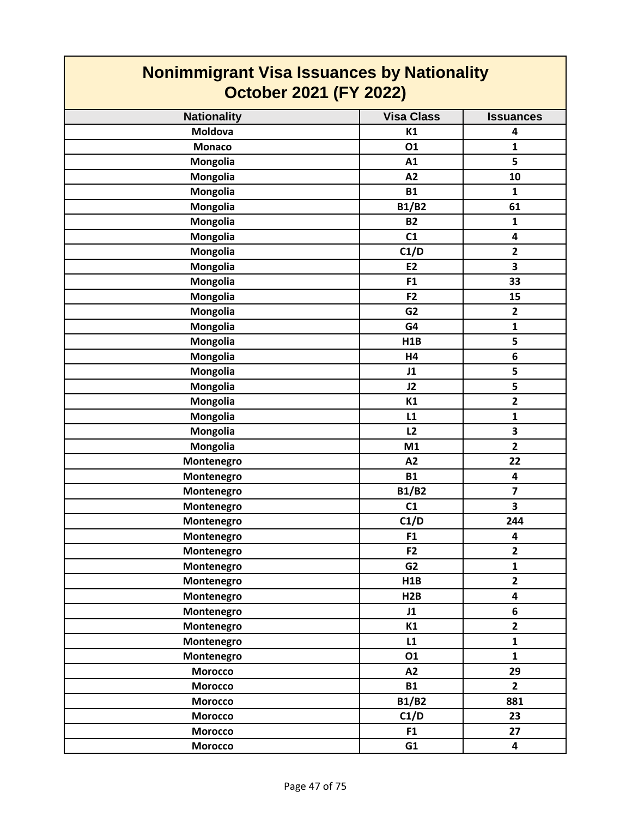| <b>Nonimmigrant Visa Issuances by Nationality</b><br><b>October 2021 (FY 2022)</b> |                   |                         |
|------------------------------------------------------------------------------------|-------------------|-------------------------|
| <b>Nationality</b>                                                                 | <b>Visa Class</b> | <b>Issuances</b>        |
| <b>Moldova</b>                                                                     | K1                | 4                       |
| <b>Monaco</b>                                                                      | 01                | $\mathbf{1}$            |
| Mongolia                                                                           | A1                | 5                       |
| Mongolia                                                                           | A2                | 10                      |
| Mongolia                                                                           | <b>B1</b>         | $\mathbf{1}$            |
| Mongolia                                                                           | <b>B1/B2</b>      | 61                      |
| Mongolia                                                                           | <b>B2</b>         | $\mathbf{1}$            |
| Mongolia                                                                           | C1                | 4                       |
| Mongolia                                                                           | C1/D              | $\overline{2}$          |
| Mongolia                                                                           | <b>E2</b>         | 3                       |
| Mongolia                                                                           | F <sub>1</sub>    | 33                      |
| <b>Mongolia</b>                                                                    | F <sub>2</sub>    | 15                      |
| Mongolia                                                                           | G <sub>2</sub>    | $\overline{\mathbf{2}}$ |
| Mongolia                                                                           | G4                | $\mathbf 1$             |
| <b>Mongolia</b>                                                                    | H1B               | 5                       |
| Mongolia                                                                           | H4                | 6                       |
| Mongolia                                                                           | J1                | 5                       |
| <b>Mongolia</b>                                                                    | J2                | 5                       |
| Mongolia                                                                           | K1                | $\overline{2}$          |
| <b>Mongolia</b>                                                                    | L1                | $\mathbf{1}$            |
| <b>Mongolia</b>                                                                    | L2                | 3                       |
| Mongolia                                                                           | M1                | $\overline{2}$          |
| Montenegro                                                                         | A2                | 22                      |
| Montenegro                                                                         | <b>B1</b>         | 4                       |
| Montenegro                                                                         | <b>B1/B2</b>      | $\overline{7}$          |
| Montenegro                                                                         | C1                | 3                       |
| Montenegro                                                                         | C1/D              | 244                     |
| Montenegro                                                                         | F <sub>1</sub>    | 4                       |
| Montenegro                                                                         | F <sub>2</sub>    | $\overline{2}$          |
| Montenegro                                                                         | G <sub>2</sub>    | $\mathbf{1}$            |
| Montenegro                                                                         | H1B               | $\mathbf{2}$            |
| Montenegro                                                                         | H2B               | 4                       |
| Montenegro                                                                         | J1                | 6                       |
| Montenegro                                                                         | K1                | $\overline{2}$          |
| Montenegro                                                                         | L1                | $\mathbf{1}$            |
| Montenegro                                                                         | 01                | $\mathbf{1}$            |
| <b>Morocco</b>                                                                     | A2                | 29                      |
| <b>Morocco</b>                                                                     | <b>B1</b>         | $\overline{2}$          |
| <b>Morocco</b>                                                                     | <b>B1/B2</b>      | 881                     |
| <b>Morocco</b>                                                                     | C1/D              | 23                      |
| <b>Morocco</b>                                                                     | F1                | 27                      |
| <b>Morocco</b>                                                                     | G1                | 4                       |

 $\sim$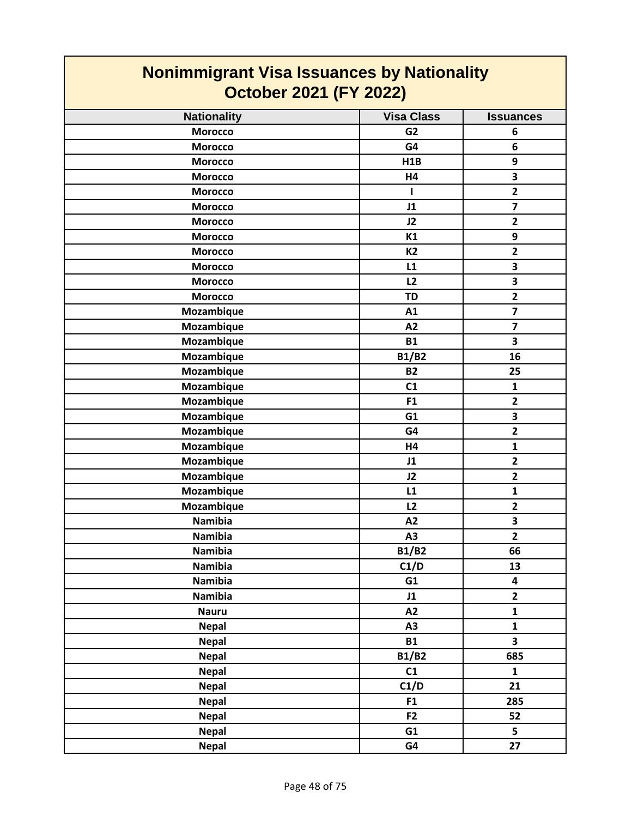| <b>Nonimmigrant Visa Issuances by Nationality</b><br><b>October 2021 (FY 2022)</b> |                   |                         |
|------------------------------------------------------------------------------------|-------------------|-------------------------|
| <b>Nationality</b>                                                                 | <b>Visa Class</b> | <b>Issuances</b>        |
| <b>Morocco</b>                                                                     | G <sub>2</sub>    | 6                       |
| <b>Morocco</b>                                                                     | G4                | 6                       |
| <b>Morocco</b>                                                                     | H1B               | 9                       |
| <b>Morocco</b>                                                                     | H4                | $\overline{\mathbf{3}}$ |
| <b>Morocco</b>                                                                     | ı                 | $\overline{2}$          |
| <b>Morocco</b>                                                                     | J1                | $\overline{\mathbf{z}}$ |
| <b>Morocco</b>                                                                     | J2                | $\mathbf{2}$            |
| <b>Morocco</b>                                                                     | K1                | 9                       |
| <b>Morocco</b>                                                                     | <b>K2</b>         | $\mathbf{2}$            |
| <b>Morocco</b>                                                                     | L1                | 3                       |
| <b>Morocco</b>                                                                     | L2                | 3                       |
| <b>Morocco</b>                                                                     | <b>TD</b>         | $\overline{\mathbf{2}}$ |
| Mozambique                                                                         | A1                | $\overline{\mathbf{z}}$ |
| Mozambique                                                                         | A2                | $\overline{\mathbf{z}}$ |
| Mozambique                                                                         | <b>B1</b>         | $\overline{\mathbf{3}}$ |
| Mozambique                                                                         | <b>B1/B2</b>      | 16                      |
| Mozambique                                                                         | <b>B2</b>         | 25                      |
| Mozambique                                                                         | C1                | $\mathbf{1}$            |
| Mozambique                                                                         | F <sub>1</sub>    | $\overline{2}$          |
| Mozambique                                                                         | G1                | 3                       |
| Mozambique                                                                         | G4                | $\overline{\mathbf{2}}$ |
| Mozambique                                                                         | H4                | $\mathbf{1}$            |
| Mozambique                                                                         | J1                | $\mathbf{2}$            |
| Mozambique                                                                         | J2                | $\overline{2}$          |
| Mozambique                                                                         | L1                | $\mathbf{1}$            |
| Mozambique                                                                         | L2                | $\mathbf{2}$            |
| <b>Namibia</b>                                                                     | A2                | 3                       |
| <b>Namibia</b>                                                                     | A3                | $\mathbf{2}$            |
| <b>Namibia</b>                                                                     | <b>B1/B2</b>      | 66                      |
| <b>Namibia</b>                                                                     | C1/D              | 13                      |
| <b>Namibia</b>                                                                     | G1                | $\overline{\mathbf{4}}$ |
| <b>Namibia</b>                                                                     | J1                | $\mathbf{2}$            |
| <b>Nauru</b>                                                                       | A2                | $\mathbf{1}$            |
| <b>Nepal</b>                                                                       | A <sub>3</sub>    | $\mathbf{1}$            |
| <b>Nepal</b>                                                                       | <b>B1</b>         | $\overline{\mathbf{3}}$ |
| <b>Nepal</b>                                                                       | <b>B1/B2</b>      | 685                     |
| <b>Nepal</b>                                                                       | C1                | $\mathbf{1}$            |
| <b>Nepal</b>                                                                       | C1/D              | 21                      |
| <b>Nepal</b>                                                                       | F1                | 285                     |
| <b>Nepal</b>                                                                       | F <sub>2</sub>    | 52                      |
| <b>Nepal</b>                                                                       | G1                | $\overline{\mathbf{5}}$ |
| <b>Nepal</b>                                                                       | G4                | 27                      |

┑

 $\Gamma$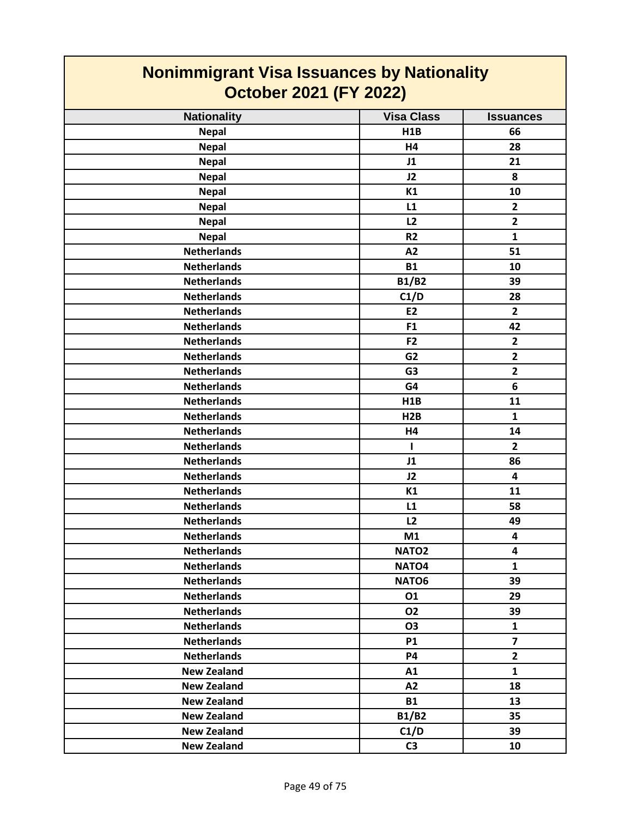| <b>Nonimmigrant Visa Issuances by Nationality</b><br><b>October 2021 (FY 2022)</b> |                   |                         |
|------------------------------------------------------------------------------------|-------------------|-------------------------|
| <b>Nationality</b>                                                                 | <b>Visa Class</b> | <b>Issuances</b>        |
| <b>Nepal</b>                                                                       | <b>H1B</b>        | 66                      |
| <b>Nepal</b>                                                                       | H4                | 28                      |
| <b>Nepal</b>                                                                       | J1                | 21                      |
| <b>Nepal</b>                                                                       | J2                | 8                       |
| <b>Nepal</b>                                                                       | K1                | 10                      |
| <b>Nepal</b>                                                                       | L1                | $\overline{2}$          |
| <b>Nepal</b>                                                                       | L2                | $\mathbf{2}$            |
| <b>Nepal</b>                                                                       | R <sub>2</sub>    | $\mathbf{1}$            |
| <b>Netherlands</b>                                                                 | A2                | 51                      |
| <b>Netherlands</b>                                                                 | <b>B1</b>         | 10                      |
| <b>Netherlands</b>                                                                 | <b>B1/B2</b>      | 39                      |
| <b>Netherlands</b>                                                                 | C1/D              | 28                      |
| <b>Netherlands</b>                                                                 | <b>E2</b>         | $\overline{2}$          |
| <b>Netherlands</b>                                                                 | F1                | 42                      |
| <b>Netherlands</b>                                                                 | F <sub>2</sub>    | $\mathbf{2}$            |
| <b>Netherlands</b>                                                                 | G <sub>2</sub>    | $\overline{\mathbf{2}}$ |
| <b>Netherlands</b>                                                                 | G <sub>3</sub>    | $\overline{2}$          |
| <b>Netherlands</b>                                                                 | G4                | 6                       |
| <b>Netherlands</b>                                                                 | <b>H1B</b>        | 11                      |
| <b>Netherlands</b>                                                                 | H2B               | $\mathbf{1}$            |
| <b>Netherlands</b>                                                                 | H4                | 14                      |
| <b>Netherlands</b>                                                                 | L                 | $\overline{2}$          |
| <b>Netherlands</b>                                                                 | J1                | 86                      |
| <b>Netherlands</b>                                                                 | J2                | 4                       |
| <b>Netherlands</b>                                                                 | K1                | 11                      |
| <b>Netherlands</b>                                                                 | L1                | 58                      |
| <b>Netherlands</b>                                                                 | L2                | 49                      |
| <b>Netherlands</b>                                                                 | M1                | 4                       |
| <b>Netherlands</b>                                                                 | NATO <sub>2</sub> | 4                       |
| <b>Netherlands</b>                                                                 | NATO <sub>4</sub> | $\mathbf{1}$            |
| <b>Netherlands</b>                                                                 | NATO6             | 39                      |
| <b>Netherlands</b>                                                                 | 01                | 29                      |
| <b>Netherlands</b>                                                                 | 02                | 39                      |
| <b>Netherlands</b>                                                                 | <b>O3</b>         | $\mathbf{1}$            |
| <b>Netherlands</b>                                                                 | <b>P1</b>         | $\overline{\mathbf{z}}$ |
| <b>Netherlands</b>                                                                 | <b>P4</b>         | $\overline{2}$          |
| <b>New Zealand</b>                                                                 | A1                | $\mathbf{1}$            |
| <b>New Zealand</b>                                                                 | A2                | 18                      |
| <b>New Zealand</b>                                                                 | <b>B1</b>         | 13                      |
| <b>New Zealand</b>                                                                 | <b>B1/B2</b>      | 35                      |
| <b>New Zealand</b>                                                                 | C1/D              | 39                      |
| <b>New Zealand</b>                                                                 | C <sub>3</sub>    | 10                      |

 $\overline{\phantom{a}}$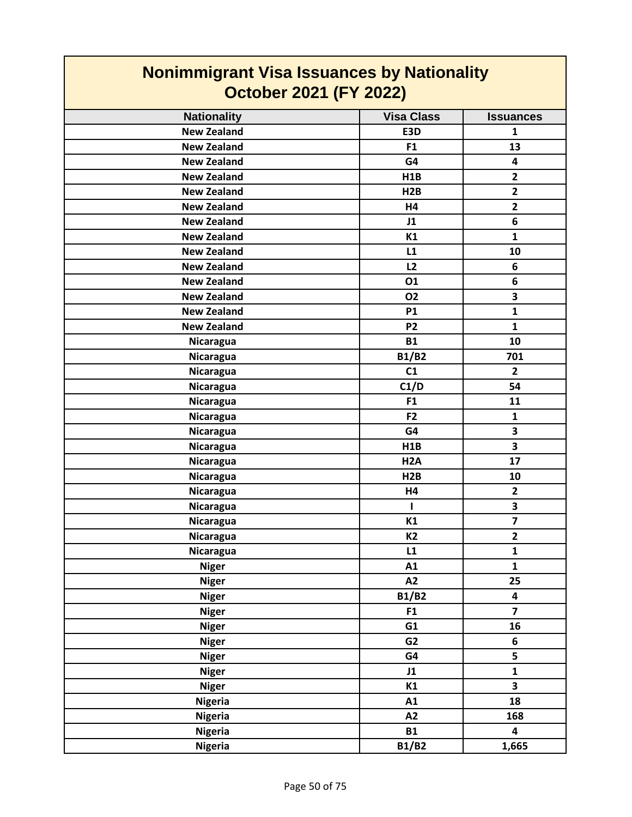| <b>Nonimmigrant Visa Issuances by Nationality</b><br><b>October 2021 (FY 2022)</b> |                   |                         |
|------------------------------------------------------------------------------------|-------------------|-------------------------|
| <b>Nationality</b>                                                                 | <b>Visa Class</b> | <b>Issuances</b>        |
| <b>New Zealand</b>                                                                 | E3D               | $\mathbf{1}$            |
| <b>New Zealand</b>                                                                 | F <sub>1</sub>    | 13                      |
| <b>New Zealand</b>                                                                 | G4                | 4                       |
| <b>New Zealand</b>                                                                 | H1B               | $\overline{2}$          |
| <b>New Zealand</b>                                                                 | H2B               | $\overline{2}$          |
| <b>New Zealand</b>                                                                 | H4                | $\overline{2}$          |
| <b>New Zealand</b>                                                                 | J1                | 6                       |
| <b>New Zealand</b>                                                                 | K1                | $\mathbf{1}$            |
| <b>New Zealand</b>                                                                 | L1                | 10                      |
| <b>New Zealand</b>                                                                 | L2                | 6                       |
| <b>New Zealand</b>                                                                 | 01                | 6                       |
| <b>New Zealand</b>                                                                 | <b>O2</b>         | 3                       |
| <b>New Zealand</b>                                                                 | <b>P1</b>         | $\mathbf{1}$            |
| <b>New Zealand</b>                                                                 | P <sub>2</sub>    | $\mathbf{1}$            |
| Nicaragua                                                                          | <b>B1</b>         | 10                      |
| Nicaragua                                                                          | <b>B1/B2</b>      | 701                     |
| Nicaragua                                                                          | C1                | $\overline{2}$          |
| <b>Nicaragua</b>                                                                   | C1/D              | 54                      |
| Nicaragua                                                                          | F <sub>1</sub>    | 11                      |
| Nicaragua                                                                          | F <sub>2</sub>    | $\mathbf{1}$            |
| Nicaragua                                                                          | G4                | 3                       |
| Nicaragua                                                                          | H1B               | 3                       |
| Nicaragua                                                                          | H <sub>2</sub> A  | 17                      |
| Nicaragua                                                                          | H2B               | 10                      |
| Nicaragua                                                                          | H4                | $\overline{2}$          |
| Nicaragua                                                                          |                   | 3                       |
| Nicaragua                                                                          | K1                | $\overline{\mathbf{z}}$ |
| <b>Nicaragua</b>                                                                   | K <sub>2</sub>    | $\mathbf{2}$            |
| Nicaragua                                                                          | L1                | $\mathbf{1}$            |
| <b>Niger</b>                                                                       | A1                | $\mathbf{1}$            |
| <b>Niger</b>                                                                       | A2                | 25                      |
| <b>Niger</b>                                                                       | <b>B1/B2</b>      | 4                       |
| <b>Niger</b>                                                                       | F1                | $\overline{7}$          |
| <b>Niger</b>                                                                       | G1                | 16                      |
| <b>Niger</b>                                                                       | G <sub>2</sub>    | 6                       |
| <b>Niger</b>                                                                       | G4                | 5                       |
| <b>Niger</b>                                                                       | J1                | $\mathbf{1}$            |
| <b>Niger</b>                                                                       | K1                | $\overline{\mathbf{3}}$ |
| <b>Nigeria</b>                                                                     | A1                | 18                      |
| <b>Nigeria</b>                                                                     | A2                | 168                     |
| <b>Nigeria</b>                                                                     | <b>B1</b>         | 4                       |
| <b>Nigeria</b>                                                                     | <b>B1/B2</b>      | 1,665                   |

 $\Gamma$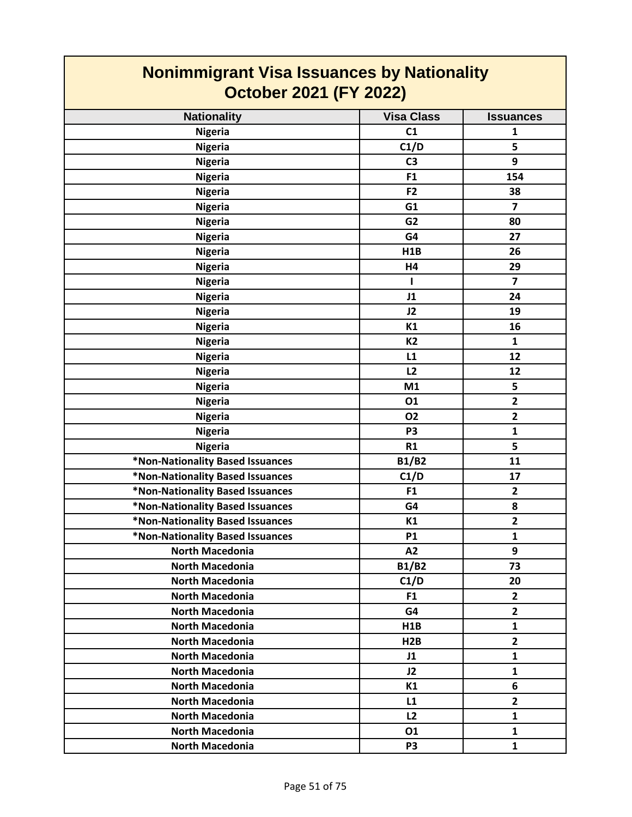| <b>Nonimmigrant Visa Issuances by Nationality</b> |                   |                  |
|---------------------------------------------------|-------------------|------------------|
| <b>October 2021 (FY 2022)</b>                     |                   |                  |
| <b>Nationality</b>                                | <b>Visa Class</b> | <b>Issuances</b> |
| <b>Nigeria</b>                                    | C1                | 1                |
| <b>Nigeria</b>                                    | C1/D              | 5                |
| <b>Nigeria</b>                                    | C <sub>3</sub>    | 9                |
| <b>Nigeria</b>                                    | F <sub>1</sub>    | 154              |
| <b>Nigeria</b>                                    | F <sub>2</sub>    | 38               |
| <b>Nigeria</b>                                    | G1                | 7                |
| <b>Nigeria</b>                                    | G <sub>2</sub>    | 80               |
| <b>Nigeria</b>                                    | G4                | 27               |
| <b>Nigeria</b>                                    | H1B               | 26               |
| <b>Nigeria</b>                                    | H4                | 29               |
| <b>Nigeria</b>                                    |                   | $\overline{7}$   |
| <b>Nigeria</b>                                    | J1                | 24               |
| <b>Nigeria</b>                                    | J2                | 19               |
| <b>Nigeria</b>                                    | K1                | 16               |
| <b>Nigeria</b>                                    | <b>K2</b>         | 1                |
| <b>Nigeria</b>                                    | L1                | 12               |
| <b>Nigeria</b>                                    | L2                | 12               |
| <b>Nigeria</b>                                    | M1                | 5                |
| <b>Nigeria</b>                                    | 01                | $\overline{2}$   |
| <b>Nigeria</b>                                    | 02                | $\mathbf{2}$     |
| <b>Nigeria</b>                                    | P <sub>3</sub>    | $\mathbf{1}$     |
| <b>Nigeria</b>                                    | R1                | 5                |
| *Non-Nationality Based Issuances                  | <b>B1/B2</b>      | 11               |
| *Non-Nationality Based Issuances                  | C1/D              | 17               |
| *Non-Nationality Based Issuances                  | F <sub>1</sub>    | $\mathbf{2}$     |
| *Non-Nationality Based Issuances                  | G4                | 8                |
| *Non-Nationality Based Issuances                  | K1                | $\overline{2}$   |
| *Non-Nationality Based Issuances                  | <b>P1</b>         | $\mathbf{1}$     |
| <b>North Macedonia</b>                            | A2                | 9                |
| <b>North Macedonia</b>                            | <b>B1/B2</b>      | 73               |
| <b>North Macedonia</b>                            | C1/D              | 20               |
| <b>North Macedonia</b>                            | F <sub>1</sub>    | $\mathbf{2}$     |
| <b>North Macedonia</b>                            | G4                | $\overline{2}$   |
| North Macedonia                                   | H1B               | $\mathbf{1}$     |
| <b>North Macedonia</b>                            | H2B               | $\mathbf{2}$     |
| <b>North Macedonia</b>                            | J1                | $\mathbf{1}$     |
| <b>North Macedonia</b>                            | J2                | $\mathbf{1}$     |
| <b>North Macedonia</b>                            | K1                | 6                |
| <b>North Macedonia</b>                            | L1                | $\mathbf{2}$     |
| <b>North Macedonia</b>                            | L2                | $\mathbf{1}$     |
| North Macedonia                                   | 01                | $\mathbf{1}$     |
| North Macedonia                                   | P <sub>3</sub>    | $\mathbf{1}$     |

Г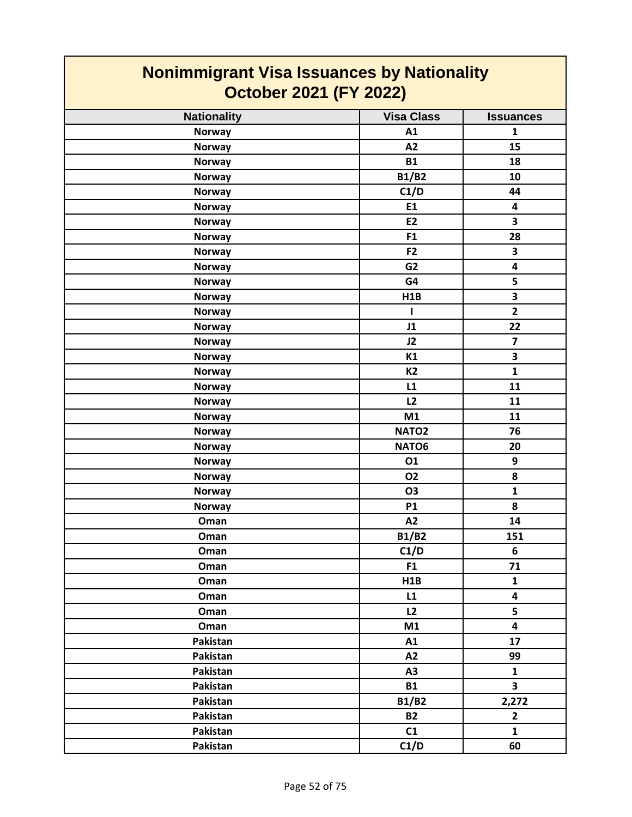| <b>Nonimmigrant Visa Issuances by Nationality</b><br><b>October 2021 (FY 2022)</b> |                   |                         |
|------------------------------------------------------------------------------------|-------------------|-------------------------|
| <b>Nationality</b>                                                                 | <b>Visa Class</b> | <b>Issuances</b>        |
| <b>Norway</b>                                                                      | A1                | $\mathbf{1}$            |
| <b>Norway</b>                                                                      | A2                | 15                      |
| <b>Norway</b>                                                                      | <b>B1</b>         | 18                      |
| <b>Norway</b>                                                                      | <b>B1/B2</b>      | 10                      |
| <b>Norway</b>                                                                      | C1/D              | 44                      |
| <b>Norway</b>                                                                      | E1                | 4                       |
| <b>Norway</b>                                                                      | <b>E2</b>         | 3                       |
| <b>Norway</b>                                                                      | F1                | 28                      |
| <b>Norway</b>                                                                      | F <sub>2</sub>    | 3                       |
| <b>Norway</b>                                                                      | G <sub>2</sub>    | $\overline{\mathbf{4}}$ |
| <b>Norway</b>                                                                      | G4                | 5                       |
| <b>Norway</b>                                                                      | H1B               | $\overline{\mathbf{3}}$ |
| <b>Norway</b>                                                                      | $\mathbf{I}$      | $\overline{2}$          |
| <b>Norway</b>                                                                      | J1                | 22                      |
| <b>Norway</b>                                                                      | J2                | $\overline{\mathbf{z}}$ |
| <b>Norway</b>                                                                      | K1                | 3                       |
| <b>Norway</b>                                                                      | <b>K2</b>         | $\mathbf{1}$            |
| <b>Norway</b>                                                                      | L1                | 11                      |
| <b>Norway</b>                                                                      | L2                | 11                      |
| <b>Norway</b>                                                                      | M1                | 11                      |
| <b>Norway</b>                                                                      | NATO <sub>2</sub> | 76                      |
| <b>Norway</b>                                                                      | NATO6             | 20                      |
| <b>Norway</b>                                                                      | 01                | 9                       |
| <b>Norway</b>                                                                      | <b>O2</b>         | 8                       |
| <b>Norway</b>                                                                      | <b>O3</b>         | $\mathbf{1}$            |
| <b>Norway</b>                                                                      | <b>P1</b>         | 8                       |
| Oman                                                                               | A2                | 14                      |
| Oman                                                                               | <b>B1/B2</b>      | 151                     |
| Oman                                                                               | C1/D              | 6                       |
| Oman                                                                               | F1                | 71                      |
| Oman                                                                               | H1B               | $\mathbf{1}$            |
| Oman                                                                               | L1                | $\overline{\mathbf{4}}$ |
| Oman                                                                               | L2                | 5                       |
| Oman                                                                               | M1                | $\overline{\mathbf{4}}$ |
| Pakistan                                                                           | A1                | 17                      |
| Pakistan                                                                           | A2                | 99                      |
| Pakistan                                                                           | A3                | $\mathbf{1}$            |
| Pakistan                                                                           | <b>B1</b>         | $\overline{\mathbf{3}}$ |
| Pakistan                                                                           | <b>B1/B2</b>      | 2,272                   |
| Pakistan                                                                           | <b>B2</b>         | $\mathbf{2}$            |
| Pakistan                                                                           | C1                | $\mathbf{1}$            |
| Pakistan                                                                           | C1/D              | 60                      |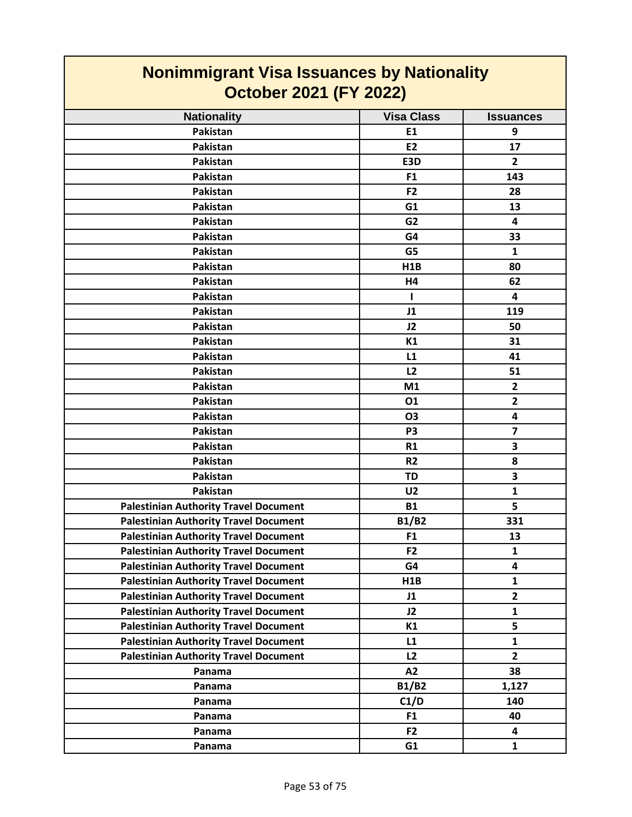| <b>Nonimmigrant Visa Issuances by Nationality</b><br>October 2021 (FY 2022) |                   |                         |
|-----------------------------------------------------------------------------|-------------------|-------------------------|
| <b>Nationality</b>                                                          | <b>Visa Class</b> | <b>Issuances</b>        |
| Pakistan                                                                    | E1                | 9                       |
| Pakistan                                                                    | <b>E2</b>         | 17                      |
| Pakistan                                                                    | E3D               | $\overline{2}$          |
| Pakistan                                                                    | F <sub>1</sub>    | 143                     |
| Pakistan                                                                    | F <sub>2</sub>    | 28                      |
| Pakistan                                                                    | G <sub>1</sub>    | 13                      |
| Pakistan                                                                    | G <sub>2</sub>    | 4                       |
| Pakistan                                                                    | G4                | 33                      |
| Pakistan                                                                    | G <sub>5</sub>    | $\mathbf{1}$            |
| Pakistan                                                                    | <b>H1B</b>        | 80                      |
| Pakistan                                                                    | H4                | 62                      |
| Pakistan                                                                    | ш                 | 4                       |
| Pakistan                                                                    | J1                | 119                     |
| Pakistan                                                                    | J2                | 50                      |
| <b>Pakistan</b>                                                             | K1                | 31                      |
| Pakistan                                                                    | L1                | 41                      |
| Pakistan                                                                    | L <sub>2</sub>    | 51                      |
| Pakistan                                                                    | M1                | $\overline{2}$          |
| Pakistan                                                                    | 01                | $\overline{2}$          |
| Pakistan                                                                    | <b>O3</b>         | 4                       |
| Pakistan                                                                    | P <sub>3</sub>    | $\overline{\mathbf{z}}$ |
| Pakistan                                                                    | <b>R1</b>         | 3                       |
| Pakistan                                                                    | R <sub>2</sub>    | 8                       |
| Pakistan                                                                    | <b>TD</b>         | 3                       |
| Pakistan                                                                    | U <sub>2</sub>    | 1                       |
| <b>Palestinian Authority Travel Document</b>                                | <b>B1</b>         | 5                       |
| <b>Palestinian Authority Travel Document</b>                                | <b>B1/B2</b>      | 331                     |
| <b>Palestinian Authority Travel Document</b>                                | F <sub>1</sub>    | 13                      |
| <b>Palestinian Authority Travel Document</b>                                | F <sub>2</sub>    | $\mathbf{1}$            |
| <b>Palestinian Authority Travel Document</b>                                | G4                | 4                       |
| <b>Palestinian Authority Travel Document</b>                                | H <sub>1</sub> B  | $\mathbf{1}$            |
| <b>Palestinian Authority Travel Document</b>                                | J1                | $\overline{2}$          |
| <b>Palestinian Authority Travel Document</b>                                | J2                | $\mathbf{1}$            |
| <b>Palestinian Authority Travel Document</b>                                | K1                | 5                       |
| <b>Palestinian Authority Travel Document</b>                                | L1                | $\mathbf{1}$            |
| <b>Palestinian Authority Travel Document</b>                                | L2                | $\overline{2}$          |
| Panama                                                                      | A2                | 38                      |
| Panama                                                                      | <b>B1/B2</b>      | 1,127                   |
| Panama                                                                      | C1/D              | 140                     |
| Panama                                                                      | F1                | 40                      |
| Panama                                                                      | F <sub>2</sub>    | 4                       |
| Panama                                                                      | G1                | $\mathbf{1}$            |

 $\mathcal{L}^{\text{max}}$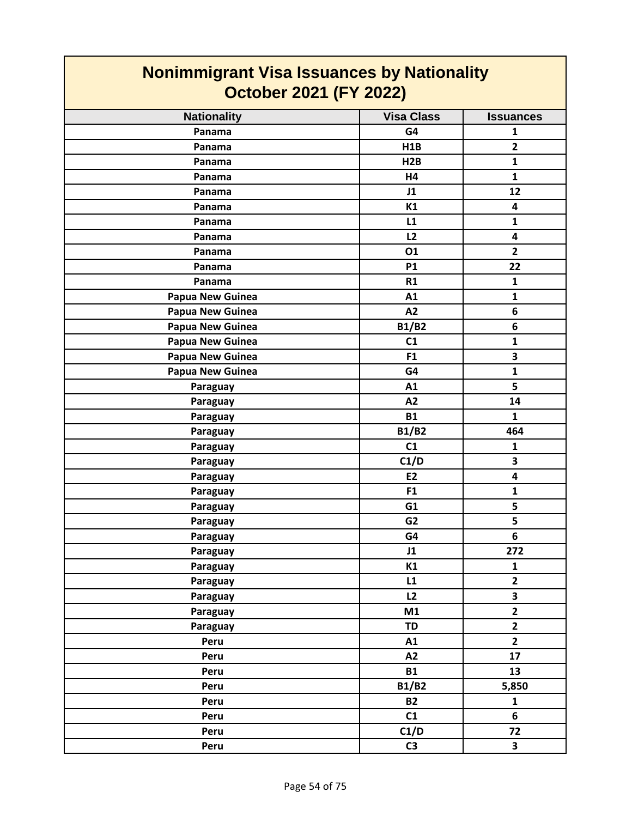| <b>Nonimmigrant Visa Issuances by Nationality</b><br><b>October 2021 (FY 2022)</b> |                   |                         |
|------------------------------------------------------------------------------------|-------------------|-------------------------|
| <b>Nationality</b>                                                                 | <b>Visa Class</b> | <b>Issuances</b>        |
| Panama                                                                             | G4                | 1                       |
| Panama                                                                             | H1B               | $\overline{\mathbf{2}}$ |
| Panama                                                                             | H2B               | $\mathbf{1}$            |
| Panama                                                                             | H4                | $\mathbf{1}$            |
| Panama                                                                             | J1                | 12                      |
| Panama                                                                             | K1                | 4                       |
| Panama                                                                             | L1                | 1                       |
| Panama                                                                             | L2                | 4                       |
| Panama                                                                             | 01                | $\overline{\mathbf{2}}$ |
| Panama                                                                             | <b>P1</b>         | 22                      |
| Panama                                                                             | R1                | $\mathbf{1}$            |
| Papua New Guinea                                                                   | A1                | $\mathbf{1}$            |
| Papua New Guinea                                                                   | A2                | 6                       |
| Papua New Guinea                                                                   | <b>B1/B2</b>      | 6                       |
| <b>Papua New Guinea</b>                                                            | C1                | $\mathbf{1}$            |
| Papua New Guinea                                                                   | F <sub>1</sub>    | 3                       |
| Papua New Guinea                                                                   | G4                | $\mathbf{1}$            |
| Paraguay                                                                           | A1                | 5                       |
| Paraguay                                                                           | A2                | 14                      |
| Paraguay                                                                           | <b>B1</b>         | $\mathbf{1}$            |
| Paraguay                                                                           | <b>B1/B2</b>      | 464                     |
| Paraguay                                                                           | C1                | $\mathbf{1}$            |
| Paraguay                                                                           | C1/D              | 3                       |
| Paraguay                                                                           | E <sub>2</sub>    | 4                       |
| Paraguay                                                                           | F <sub>1</sub>    | $\mathbf{1}$            |
| Paraguay                                                                           | G1                | 5                       |
| Paraguay                                                                           | G <sub>2</sub>    | 5                       |
| Paraguay                                                                           | G4                | 6                       |
| Paraguay                                                                           | J1                | 272                     |
| Paraguay                                                                           | K1                | $\mathbf{1}$            |
| Paraguay                                                                           | L1                | $\mathbf{2}$            |
| Paraguay                                                                           | L2                | 3                       |
| Paraguay                                                                           | M1                | $\mathbf{2}$            |
| Paraguay                                                                           | <b>TD</b>         | $\overline{2}$          |
| Peru                                                                               | A1                | $\overline{\mathbf{2}}$ |
| Peru                                                                               | A2                | 17                      |
| Peru                                                                               | <b>B1</b>         | 13                      |
| Peru                                                                               | <b>B1/B2</b>      | 5,850                   |
| Peru                                                                               | <b>B2</b>         | $\mathbf{1}$            |
| Peru                                                                               | C1                | 6                       |
| Peru                                                                               | C1/D              | 72                      |
| Peru                                                                               | C <sub>3</sub>    | $\overline{\mathbf{3}}$ |

 $\blacksquare$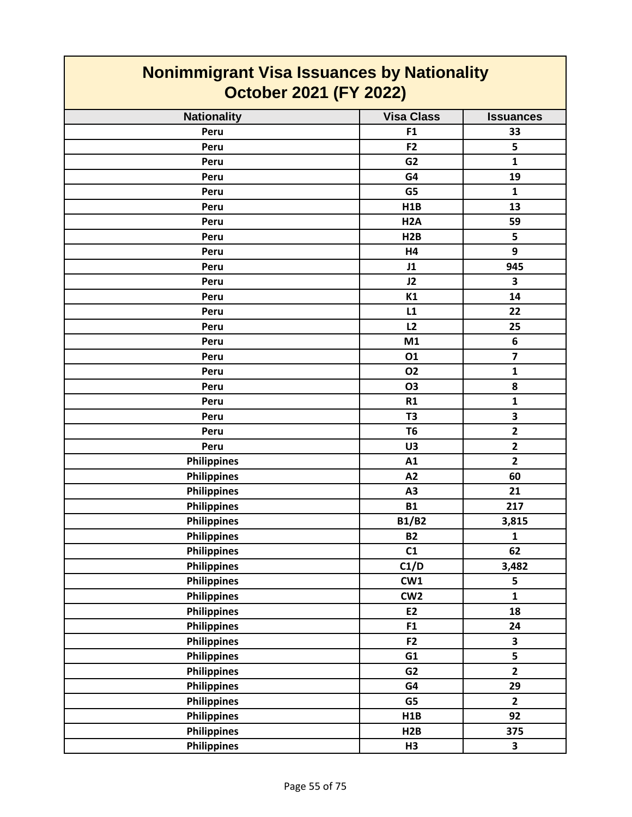| <b>Nonimmigrant Visa Issuances by Nationality</b><br><b>October 2021 (FY 2022)</b> |                   |                         |
|------------------------------------------------------------------------------------|-------------------|-------------------------|
| <b>Nationality</b>                                                                 | <b>Visa Class</b> | <b>Issuances</b>        |
| Peru                                                                               | F <sub>1</sub>    | 33                      |
| Peru                                                                               | F <sub>2</sub>    | 5                       |
| Peru                                                                               | G <sub>2</sub>    | $\mathbf{1}$            |
| Peru                                                                               | G4                | 19                      |
| Peru                                                                               | G <sub>5</sub>    | $\mathbf{1}$            |
| Peru                                                                               | H1B               | 13                      |
| Peru                                                                               | H <sub>2</sub> A  | 59                      |
| Peru                                                                               | H <sub>2</sub> B  | 5                       |
| Peru                                                                               | H4                | 9                       |
| Peru                                                                               | J1                | 945                     |
| Peru                                                                               | J2                | 3                       |
| Peru                                                                               | K1                | 14                      |
| Peru                                                                               | L1                | 22                      |
| Peru                                                                               | L2                | 25                      |
| Peru                                                                               | M1                | 6                       |
| Peru                                                                               | 01                | $\overline{\mathbf{z}}$ |
| Peru                                                                               | 02                | 1                       |
| Peru                                                                               | <b>O3</b>         | 8                       |
| Peru                                                                               | <b>R1</b>         | $\mathbf{1}$            |
| Peru                                                                               | T <sub>3</sub>    | 3                       |
| Peru                                                                               | T <sub>6</sub>    | $\overline{2}$          |
| Peru                                                                               | U3                | $\overline{2}$          |
| <b>Philippines</b>                                                                 | A1                | $\overline{2}$          |
| <b>Philippines</b>                                                                 | A2                | 60                      |
| <b>Philippines</b>                                                                 | A3                | 21                      |
| <b>Philippines</b>                                                                 | <b>B1</b>         | 217                     |
| <b>Philippines</b>                                                                 | <b>B1/B2</b>      | 3,815                   |
| <b>Philippines</b>                                                                 | <b>B2</b>         | $\mathbf{1}$            |
| <b>Philippines</b>                                                                 | C1                | 62                      |
| <b>Philippines</b>                                                                 | C1/D              | 3,482                   |
| <b>Philippines</b>                                                                 | CW1               | 5                       |
| <b>Philippines</b>                                                                 | CW <sub>2</sub>   | $\mathbf{1}$            |
| <b>Philippines</b>                                                                 | E2                | 18                      |
| <b>Philippines</b>                                                                 | F <sub>1</sub>    | 24                      |
| <b>Philippines</b>                                                                 | F <sub>2</sub>    | 3                       |
| <b>Philippines</b>                                                                 | G1                | 5                       |
| <b>Philippines</b>                                                                 | G <sub>2</sub>    | $\overline{2}$          |
| <b>Philippines</b>                                                                 | G4                | 29                      |
| <b>Philippines</b>                                                                 | G5                | $\overline{2}$          |
| <b>Philippines</b>                                                                 | H1B               | 92                      |
| <b>Philippines</b>                                                                 | H2B               | 375                     |
| <b>Philippines</b>                                                                 | H3                | 3                       |

T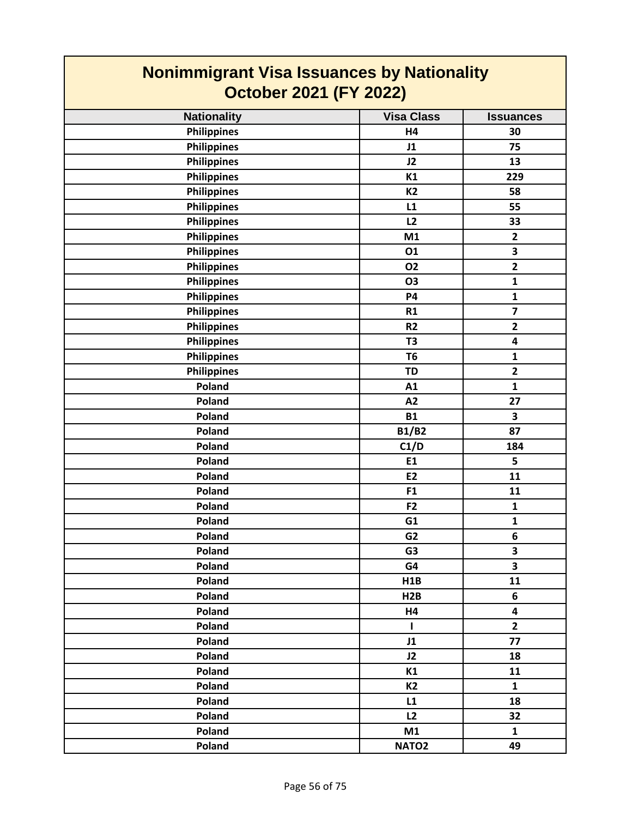| <b>Nonimmigrant Visa Issuances by Nationality</b><br><b>October 2021 (FY 2022)</b> |                   |                         |
|------------------------------------------------------------------------------------|-------------------|-------------------------|
| <b>Nationality</b>                                                                 | <b>Visa Class</b> | <b>Issuances</b>        |
| <b>Philippines</b>                                                                 | H4                | 30                      |
| <b>Philippines</b>                                                                 | J1                | 75                      |
| <b>Philippines</b>                                                                 | J2                | 13                      |
| <b>Philippines</b>                                                                 | K1                | 229                     |
| <b>Philippines</b>                                                                 | <b>K2</b>         | 58                      |
| <b>Philippines</b>                                                                 | L1                | 55                      |
| <b>Philippines</b>                                                                 | L2                | 33                      |
| <b>Philippines</b>                                                                 | M1                | $\overline{2}$          |
| <b>Philippines</b>                                                                 | 01                | 3                       |
| <b>Philippines</b>                                                                 | <b>O2</b>         | $\overline{\mathbf{2}}$ |
| <b>Philippines</b>                                                                 | <b>O3</b>         | $\mathbf{1}$            |
| <b>Philippines</b>                                                                 | <b>P4</b>         | $\mathbf{1}$            |
| Philippines                                                                        | R1                | $\overline{\mathbf{z}}$ |
| <b>Philippines</b>                                                                 | R <sub>2</sub>    | $\mathbf{2}$            |
| <b>Philippines</b>                                                                 | T <sub>3</sub>    | 4                       |
| <b>Philippines</b>                                                                 | T <sub>6</sub>    | $\mathbf{1}$            |
| <b>Philippines</b>                                                                 | <b>TD</b>         | $\mathbf{2}$            |
| Poland                                                                             | A1                | $\mathbf{1}$            |
| Poland                                                                             | A2                | 27                      |
| Poland                                                                             | <b>B1</b>         | 3                       |
| Poland                                                                             | <b>B1/B2</b>      | 87                      |
| Poland                                                                             | C1/D              | 184                     |
| Poland                                                                             | E1                | 5                       |
| Poland                                                                             | E <sub>2</sub>    | 11                      |
| Poland                                                                             | F <sub>1</sub>    | 11                      |
| Poland                                                                             | F <sub>2</sub>    | 1                       |
| Poland                                                                             | G1                | $\mathbf{1}$            |
| Poland                                                                             | G <sub>2</sub>    | 6                       |
| Poland                                                                             | G <sub>3</sub>    | 3                       |
| Poland                                                                             | G4                | 3                       |
| Poland                                                                             | H1B               | 11                      |
| Poland                                                                             | H2B               | 6                       |
| Poland                                                                             | Η4                | $\overline{\mathbf{4}}$ |
| Poland                                                                             | $\mathbf{I}$      | $\overline{2}$          |
| Poland                                                                             | J1                | 77                      |
| Poland                                                                             | J2                | 18                      |
| Poland                                                                             | K1                | 11                      |
| Poland                                                                             | <b>K2</b>         | $\mathbf{1}$            |
| Poland                                                                             | L1                | 18                      |
| Poland                                                                             | L2                | 32                      |
| Poland                                                                             | M1                | $\mathbf{1}$            |
| Poland                                                                             | NATO <sub>2</sub> | 49                      |

 $\Gamma$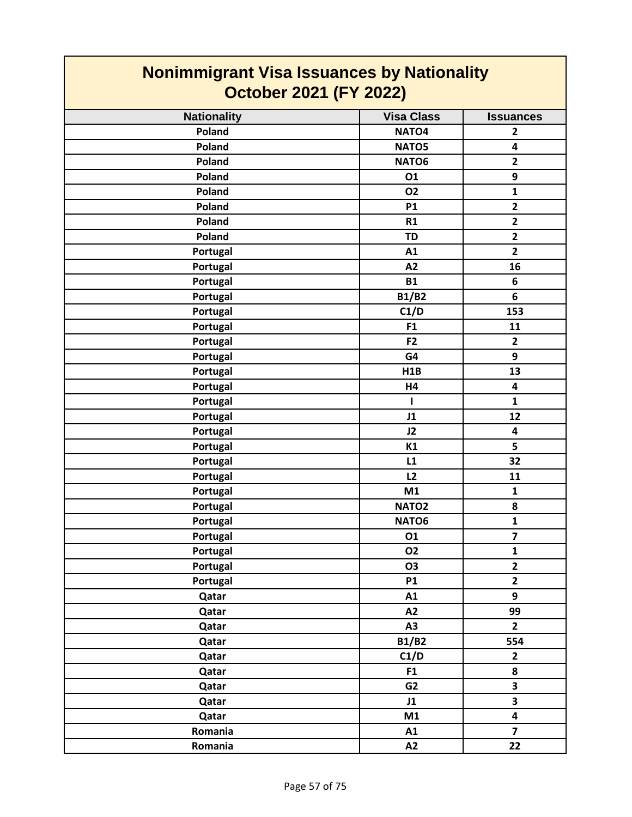| <b>Nonimmigrant Visa Issuances by Nationality</b><br><b>October 2021 (FY 2022)</b> |                   |                         |
|------------------------------------------------------------------------------------|-------------------|-------------------------|
| <b>Nationality</b>                                                                 | <b>Visa Class</b> | <b>Issuances</b>        |
| Poland                                                                             | NATO <sub>4</sub> | $\overline{2}$          |
| Poland                                                                             | NATO5             | 4                       |
| <b>Poland</b>                                                                      | NATO6             | $\overline{\mathbf{2}}$ |
| Poland                                                                             | 01                | 9                       |
| <b>Poland</b>                                                                      | <b>O2</b>         | $\mathbf{1}$            |
| Poland                                                                             | <b>P1</b>         | $\overline{2}$          |
| Poland                                                                             | R1                | $\overline{2}$          |
| Poland                                                                             | <b>TD</b>         | $\overline{\mathbf{2}}$ |
| Portugal                                                                           | A1                | $\overline{2}$          |
| Portugal                                                                           | A2                | 16                      |
| Portugal                                                                           | <b>B1</b>         | 6                       |
| Portugal                                                                           | <b>B1/B2</b>      | 6                       |
| Portugal                                                                           | C1/D              | 153                     |
| Portugal                                                                           | F <sub>1</sub>    | 11                      |
| Portugal                                                                           | F <sub>2</sub>    | $\overline{2}$          |
| Portugal                                                                           | G4                | 9                       |
| Portugal                                                                           | H1B               | 13                      |
| Portugal                                                                           | <b>H4</b>         | $\overline{\mathbf{4}}$ |
| Portugal                                                                           | 1                 | $\mathbf{1}$            |
| Portugal                                                                           | J1                | 12                      |
| Portugal                                                                           | J2                | 4                       |
| Portugal                                                                           | K1                | 5                       |
| Portugal                                                                           | L1                | 32                      |
| Portugal                                                                           | L2                | 11                      |
| Portugal                                                                           | M1                | 1                       |
| Portugal                                                                           | NATO <sub>2</sub> | 8                       |
| Portugal                                                                           | NATO6             | $\mathbf{1}$            |
| Portugal                                                                           | 01                | $\overline{\mathbf{z}}$ |
| Portugal                                                                           | <b>O2</b>         | $\mathbf{1}$            |
| Portugal                                                                           | <b>O3</b>         | $\mathbf{2}$            |
| Portugal                                                                           | <b>P1</b>         | $\mathbf{2}$            |
| Qatar                                                                              | A1                | 9                       |
| Qatar                                                                              | A2                | 99                      |
| Qatar                                                                              | A3                | $\overline{2}$          |
| Qatar                                                                              | <b>B1/B2</b>      | 554                     |
| Qatar                                                                              | C1/D              | $\mathbf{2}$            |
| Qatar                                                                              | F1                | 8                       |
| Qatar                                                                              | G2                | 3                       |
| Qatar                                                                              | J1                | 3                       |
| Qatar                                                                              | M1                | $\overline{\mathbf{4}}$ |
| Romania                                                                            | A1                | $\overline{7}$          |
| Romania                                                                            | A2                | 22                      |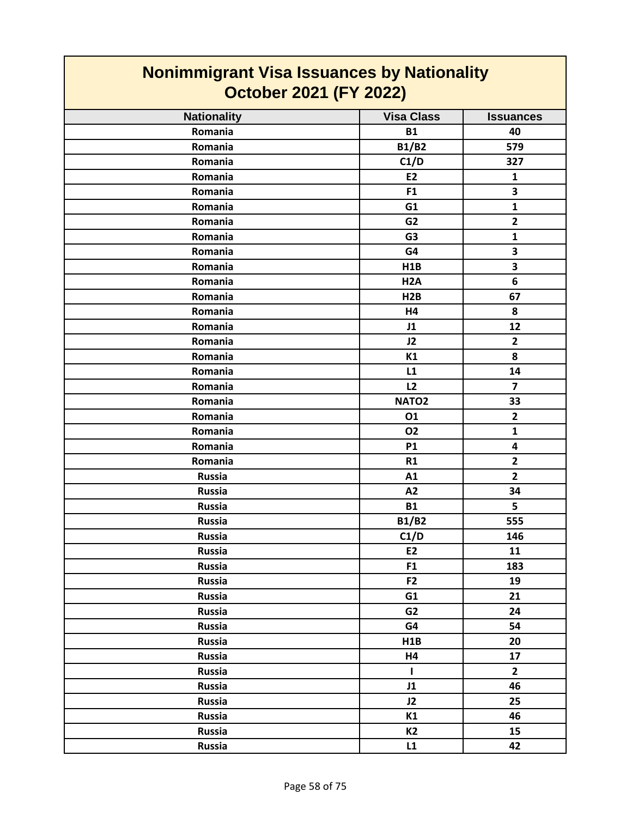| <b>Nonimmigrant Visa Issuances by Nationality</b><br><b>October 2021 (FY 2022)</b> |                   |                         |
|------------------------------------------------------------------------------------|-------------------|-------------------------|
| <b>Nationality</b>                                                                 | <b>Visa Class</b> | <b>Issuances</b>        |
| Romania                                                                            | <b>B1</b>         | 40                      |
| Romania                                                                            | <b>B1/B2</b>      | 579                     |
| Romania                                                                            | C1/D              | 327                     |
| Romania                                                                            | E <sub>2</sub>    | $\mathbf{1}$            |
| Romania                                                                            | F <sub>1</sub>    | 3                       |
| Romania                                                                            | G <sub>1</sub>    | $\mathbf{1}$            |
| Romania                                                                            | G <sub>2</sub>    | $\mathbf{2}$            |
| Romania                                                                            | G <sub>3</sub>    | $\mathbf{1}$            |
| Romania                                                                            | G4                | 3                       |
| Romania                                                                            | H1B               | $\overline{\mathbf{3}}$ |
| Romania                                                                            | H <sub>2</sub> A  | 6                       |
| Romania                                                                            | H2B               | 67                      |
| Romania                                                                            | H4                | 8                       |
| Romania                                                                            | J1                | 12                      |
| Romania                                                                            | J2                | $\overline{2}$          |
| Romania                                                                            | K1                | 8                       |
| Romania                                                                            | L1                | 14                      |
| Romania                                                                            | L2                | $\overline{7}$          |
| Romania                                                                            | NATO <sub>2</sub> | 33                      |
| Romania                                                                            | 01                | $\overline{2}$          |
| Romania                                                                            | 02                | $\mathbf{1}$            |
| Romania                                                                            | <b>P1</b>         | 4                       |
| Romania                                                                            | R1                | $\overline{2}$          |
| <b>Russia</b>                                                                      | A1                | $\mathbf{2}$            |
| <b>Russia</b>                                                                      | A2                | 34                      |
| <b>Russia</b>                                                                      | <b>B1</b>         | 5                       |
| <b>Russia</b>                                                                      | <b>B1/B2</b>      | 555                     |
| <b>Russia</b>                                                                      | C1/D              | 146                     |
| Russia                                                                             | E2                | 11                      |
| <b>Russia</b>                                                                      | F <sub>1</sub>    | 183                     |
| <b>Russia</b>                                                                      | F <sub>2</sub>    | 19                      |
| <b>Russia</b>                                                                      | G1                | 21                      |
| <b>Russia</b>                                                                      | G <sub>2</sub>    | 24                      |
| <b>Russia</b>                                                                      | G4                | 54                      |
| <b>Russia</b>                                                                      | H1B               | 20                      |
| <b>Russia</b>                                                                      | H4                | 17                      |
| <b>Russia</b>                                                                      | $\mathbf{I}$      | $\overline{2}$          |
| <b>Russia</b>                                                                      | J1                | 46                      |
| <b>Russia</b>                                                                      | J2                | 25                      |
| <b>Russia</b>                                                                      | K1                | 46                      |
| <b>Russia</b>                                                                      | <b>K2</b>         | 15                      |
| <b>Russia</b>                                                                      | L1                | 42                      |

 $\mathcal{L}(\mathcal{A})$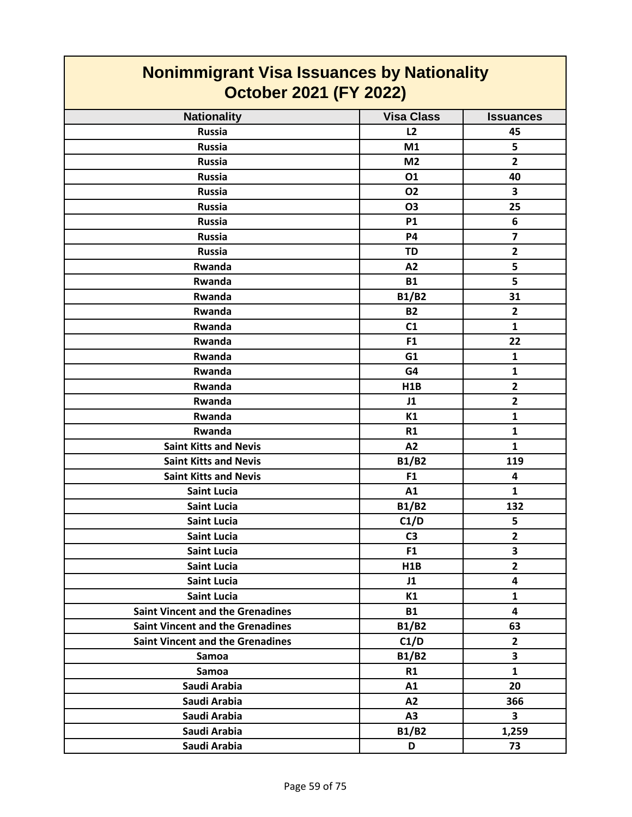| <b>Nonimmigrant Visa Issuances by Nationality</b><br><b>October 2021 (FY 2022)</b> |                   |                         |
|------------------------------------------------------------------------------------|-------------------|-------------------------|
| <b>Nationality</b>                                                                 | <b>Visa Class</b> | <b>Issuances</b>        |
| <b>Russia</b>                                                                      | L2                | 45                      |
| <b>Russia</b>                                                                      | M1                | 5                       |
| <b>Russia</b>                                                                      | M <sub>2</sub>    | $\overline{2}$          |
| <b>Russia</b>                                                                      | 01                | 40                      |
| <b>Russia</b>                                                                      | <b>O2</b>         | 3                       |
| <b>Russia</b>                                                                      | <b>O3</b>         | 25                      |
| <b>Russia</b>                                                                      | <b>P1</b>         | 6                       |
| <b>Russia</b>                                                                      | <b>P4</b>         | $\overline{7}$          |
| <b>Russia</b>                                                                      | <b>TD</b>         | $\overline{2}$          |
| Rwanda                                                                             | A <sub>2</sub>    | 5                       |
| Rwanda                                                                             | <b>B1</b>         | 5                       |
| Rwanda                                                                             | <b>B1/B2</b>      | 31                      |
| Rwanda                                                                             | <b>B2</b>         | $\overline{2}$          |
| <b>Rwanda</b>                                                                      | C1                | 1                       |
| Rwanda                                                                             | F <sub>1</sub>    | 22                      |
| Rwanda                                                                             | G1                | 1                       |
| Rwanda                                                                             | G4                | $\mathbf{1}$            |
| Rwanda                                                                             | H1B               | $\overline{2}$          |
| Rwanda                                                                             | J1                | $\overline{2}$          |
| Rwanda                                                                             | K1                | 1                       |
| Rwanda                                                                             | R1                | 1                       |
| <b>Saint Kitts and Nevis</b>                                                       | A2                | 1                       |
| <b>Saint Kitts and Nevis</b>                                                       | <b>B1/B2</b>      | 119                     |
| <b>Saint Kitts and Nevis</b>                                                       | F <sub>1</sub>    | 4                       |
| <b>Saint Lucia</b>                                                                 | A1                | $\mathbf{1}$            |
| <b>Saint Lucia</b>                                                                 | <b>B1/B2</b>      | 132                     |
| <b>Saint Lucia</b>                                                                 | C1/D              | 5                       |
| <b>Saint Lucia</b>                                                                 | C <sub>3</sub>    | $\overline{2}$          |
| <b>Saint Lucia</b>                                                                 | F <sub>1</sub>    | 3                       |
| <b>Saint Lucia</b>                                                                 | H1B               | $\overline{2}$          |
| <b>Saint Lucia</b>                                                                 | J1                | 4                       |
| <b>Saint Lucia</b>                                                                 | K1                | $\mathbf{1}$            |
| <b>Saint Vincent and the Grenadines</b>                                            | <b>B1</b>         | $\overline{\mathbf{4}}$ |
| <b>Saint Vincent and the Grenadines</b>                                            | <b>B1/B2</b>      | 63                      |
| <b>Saint Vincent and the Grenadines</b>                                            | C1/D              | $\overline{2}$          |
| Samoa                                                                              | B1/B2             | 3                       |
| <b>Samoa</b>                                                                       | R1                | $\mathbf{1}$            |
| Saudi Arabia                                                                       | A1                | 20                      |
| Saudi Arabia                                                                       | A2                | 366                     |
| Saudi Arabia                                                                       | A3                | 3                       |
| Saudi Arabia                                                                       | <b>B1/B2</b>      | 1,259                   |
| Saudi Arabia                                                                       | D                 | 73                      |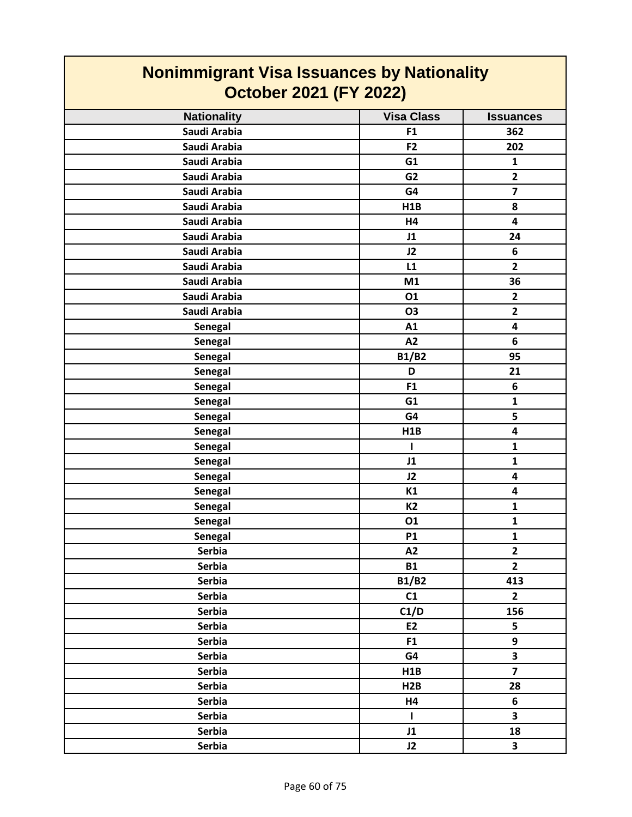| <b>Nonimmigrant Visa Issuances by Nationality</b><br><b>October 2021 (FY 2022)</b> |                   |                         |
|------------------------------------------------------------------------------------|-------------------|-------------------------|
| <b>Nationality</b>                                                                 | <b>Visa Class</b> | <b>Issuances</b>        |
| Saudi Arabia                                                                       | F <sub>1</sub>    | 362                     |
| Saudi Arabia                                                                       | F <sub>2</sub>    | 202                     |
| Saudi Arabia                                                                       | G <sub>1</sub>    | 1                       |
| Saudi Arabia                                                                       | G <sub>2</sub>    | $\overline{2}$          |
| Saudi Arabia                                                                       | G4                | $\overline{\mathbf{z}}$ |
| Saudi Arabia                                                                       | <b>H1B</b>        | 8                       |
| Saudi Arabia                                                                       | H <sub>4</sub>    | $\overline{\mathbf{4}}$ |
| Saudi Arabia                                                                       | J1                | 24                      |
| Saudi Arabia                                                                       | J2                | 6                       |
| Saudi Arabia                                                                       | L1                | $\overline{2}$          |
| Saudi Arabia                                                                       | M1                | 36                      |
| Saudi Arabia                                                                       | 01                | $\mathbf{2}$            |
| Saudi Arabia                                                                       | <b>O3</b>         | $\overline{2}$          |
| Senegal                                                                            | A1                | 4                       |
| <b>Senegal</b>                                                                     | A2                | 6                       |
| <b>Senegal</b>                                                                     | <b>B1/B2</b>      | 95                      |
| Senegal                                                                            | D                 | 21                      |
| <b>Senegal</b>                                                                     | F <sub>1</sub>    | 6                       |
| <b>Senegal</b>                                                                     | G1                | $\mathbf{1}$            |
| <b>Senegal</b>                                                                     | G4                | 5                       |
| Senegal                                                                            | H <sub>1</sub> B  | 4                       |
| <b>Senegal</b>                                                                     | L                 | 1                       |
| Senegal                                                                            | J1                | $\mathbf{1}$            |
| <b>Senegal</b>                                                                     | J2                | $\overline{\mathbf{4}}$ |
| Senegal                                                                            | K1                | 4                       |
| <b>Senegal</b>                                                                     | K <sub>2</sub>    | $\mathbf{1}$            |
| <b>Senegal</b>                                                                     | 01                | 1                       |
| <b>Senegal</b>                                                                     | <b>P1</b>         | $\mathbf{1}$            |
| <b>Serbia</b>                                                                      | A2                | $\mathbf{2}$            |
| <b>Serbia</b>                                                                      | <b>B1</b>         | $\overline{2}$          |
| <b>Serbia</b>                                                                      | <b>B1/B2</b>      | 413                     |
| <b>Serbia</b>                                                                      | C1                | $\overline{2}$          |
| <b>Serbia</b>                                                                      | C1/D              | 156                     |
| <b>Serbia</b>                                                                      | E2                | 5                       |
| <b>Serbia</b>                                                                      | F1                | 9                       |
| <b>Serbia</b>                                                                      | G4                | 3                       |
| <b>Serbia</b>                                                                      | H1B               | $\overline{7}$          |
| <b>Serbia</b>                                                                      | H2B               | 28                      |
| <b>Serbia</b>                                                                      | <b>H4</b>         | 6                       |
| <b>Serbia</b>                                                                      | $\mathbf{I}$      | 3                       |
| <b>Serbia</b>                                                                      | J1                | 18                      |
| <b>Serbia</b>                                                                      | J2                | $\overline{\mathbf{3}}$ |

Г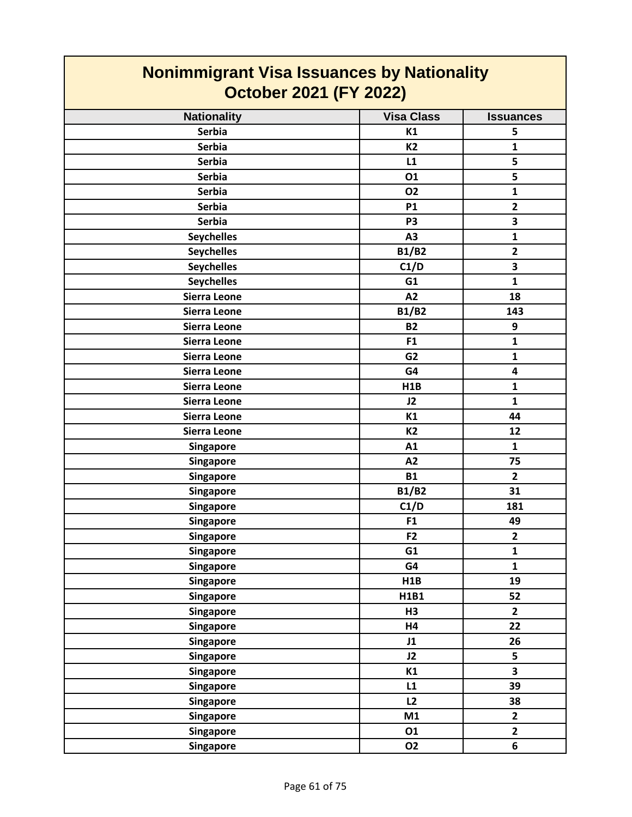| <b>Nonimmigrant Visa Issuances by Nationality</b><br><b>October 2021 (FY 2022)</b> |                   |                         |
|------------------------------------------------------------------------------------|-------------------|-------------------------|
| <b>Nationality</b>                                                                 | <b>Visa Class</b> | <b>Issuances</b>        |
| <b>Serbia</b>                                                                      | K1                | 5                       |
| <b>Serbia</b>                                                                      | K <sub>2</sub>    | $\mathbf{1}$            |
| <b>Serbia</b>                                                                      | L1                | 5                       |
| <b>Serbia</b>                                                                      | 01                | 5                       |
| <b>Serbia</b>                                                                      | <b>O2</b>         | $\mathbf{1}$            |
| <b>Serbia</b>                                                                      | <b>P1</b>         | $\overline{2}$          |
| <b>Serbia</b>                                                                      | P <sub>3</sub>    | $\overline{\mathbf{3}}$ |
| <b>Seychelles</b>                                                                  | A3                | $\mathbf{1}$            |
| <b>Seychelles</b>                                                                  | <b>B1/B2</b>      | $\overline{2}$          |
| <b>Seychelles</b>                                                                  | C1/D              | $\overline{\mathbf{3}}$ |
| <b>Seychelles</b>                                                                  | G1                | $\mathbf{1}$            |
| Sierra Leone                                                                       | A2                | 18                      |
| Sierra Leone                                                                       | <b>B1/B2</b>      | 143                     |
| <b>Sierra Leone</b>                                                                | <b>B2</b>         | 9                       |
| Sierra Leone                                                                       | F1                | $\mathbf{1}$            |
| <b>Sierra Leone</b>                                                                | G <sub>2</sub>    | $\mathbf{1}$            |
| <b>Sierra Leone</b>                                                                | G4                | $\overline{\mathbf{4}}$ |
| <b>Sierra Leone</b>                                                                | H1B               | $\mathbf{1}$            |
| Sierra Leone                                                                       | J2                | $\mathbf{1}$            |
| <b>Sierra Leone</b>                                                                | K1                | 44                      |
| Sierra Leone                                                                       | <b>K2</b>         | 12                      |
| Singapore                                                                          | A1                | $\mathbf{1}$            |
| Singapore                                                                          | A2                | 75                      |
| Singapore                                                                          | <b>B1</b>         | $\mathbf{2}$            |
| Singapore                                                                          | <b>B1/B2</b>      | 31                      |
| Singapore                                                                          | C1/D              | 181                     |
| Singapore                                                                          | F1                | 49                      |
| Singapore                                                                          | F <sub>2</sub>    | $\mathbf{2}$            |
| <b>Singapore</b>                                                                   | G1                | $\mathbf{1}$            |
| <b>Singapore</b>                                                                   | G4                | $\mathbf{1}$            |
| Singapore                                                                          | H1B               | 19                      |
| Singapore                                                                          | H1B1              | 52                      |
| <b>Singapore</b>                                                                   | H <sub>3</sub>    | $\mathbf{2}$            |
| Singapore                                                                          | <b>H4</b>         | 22                      |
| Singapore                                                                          | J1                | 26                      |
| Singapore                                                                          | J2                | 5                       |
| Singapore                                                                          | K1                | $\overline{\mathbf{3}}$ |
| <b>Singapore</b>                                                                   | L1                | 39                      |
| Singapore                                                                          | L2                | 38                      |
| <b>Singapore</b>                                                                   | M1                | $\mathbf{2}$            |
| Singapore                                                                          | 01                | $\overline{2}$          |
| Singapore                                                                          | <b>O2</b>         | 6                       |

 $\mathcal{L}(\mathcal{A})$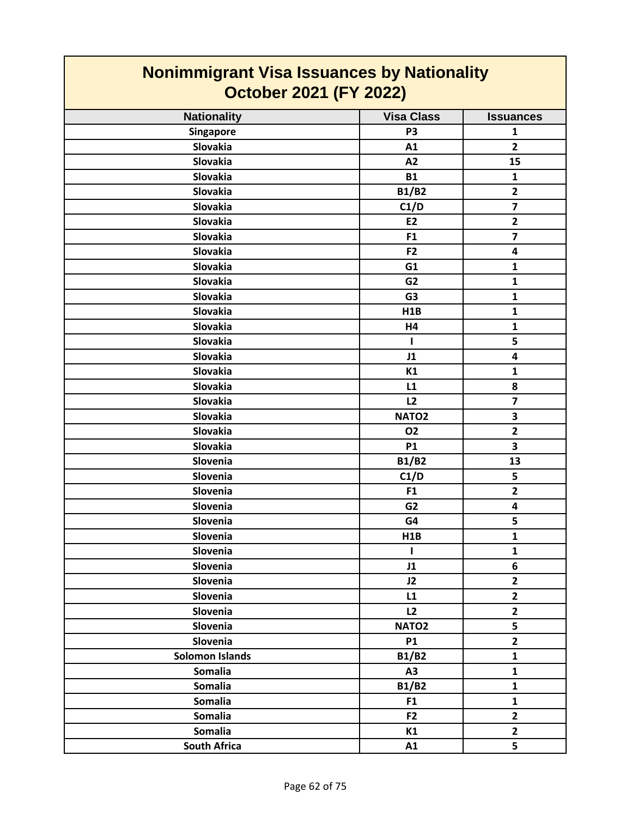| <b>Nonimmigrant Visa Issuances by Nationality</b><br><b>October 2021 (FY 2022)</b> |                   |                         |
|------------------------------------------------------------------------------------|-------------------|-------------------------|
| <b>Nationality</b>                                                                 | <b>Visa Class</b> | <b>Issuances</b>        |
| <b>Singapore</b>                                                                   | P <sub>3</sub>    | 1                       |
| <b>Slovakia</b>                                                                    | A1                | $\mathbf{2}$            |
| <b>Slovakia</b>                                                                    | A2                | 15                      |
| Slovakia                                                                           | <b>B1</b>         | $\mathbf{1}$            |
| Slovakia                                                                           | <b>B1/B2</b>      | $\mathbf{2}$            |
| Slovakia                                                                           | C1/D              | $\overline{\mathbf{z}}$ |
| Slovakia                                                                           | E <sub>2</sub>    | $\mathbf{2}$            |
| Slovakia                                                                           | F <sub>1</sub>    | $\overline{\mathbf{z}}$ |
| <b>Slovakia</b>                                                                    | F <sub>2</sub>    | $\overline{\mathbf{4}}$ |
| Slovakia                                                                           | G1                | 1                       |
| <b>Slovakia</b>                                                                    | G <sub>2</sub>    | $\mathbf{1}$            |
| Slovakia                                                                           | G <sub>3</sub>    | 1                       |
| <b>Slovakia</b>                                                                    | H1B               | $\mathbf{1}$            |
| <b>Slovakia</b>                                                                    | H4                | $\mathbf{1}$            |
| <b>Slovakia</b>                                                                    | $\mathbf{I}$      | 5                       |
| <b>Slovakia</b>                                                                    | J1                | $\overline{\mathbf{4}}$ |
| <b>Slovakia</b>                                                                    | K1                | $\mathbf{1}$            |
| <b>Slovakia</b>                                                                    | L1                | 8                       |
| Slovakia                                                                           | L2                | $\overline{7}$          |
| <b>Slovakia</b>                                                                    | NATO <sub>2</sub> | 3                       |
| Slovakia                                                                           | <b>O2</b>         | $\mathbf{2}$            |
| <b>Slovakia</b>                                                                    | <b>P1</b>         | 3                       |
| Slovenia                                                                           | <b>B1/B2</b>      | 13                      |
| Slovenia                                                                           | C1/D              | 5                       |
| Slovenia                                                                           | F1                | $\overline{2}$          |
| Slovenia                                                                           | G <sub>2</sub>    | 4                       |
| Slovenia                                                                           | G4                | 5                       |
| Slovenia                                                                           | H1B               | $\mathbf 1$             |
| Slovenia                                                                           | I.                | $\mathbf{1}$            |
| Slovenia                                                                           | J1                | 6                       |
| Slovenia                                                                           | J2                | $\mathbf{2}$            |
| Slovenia                                                                           | L1                | $\overline{2}$          |
| Slovenia                                                                           | L2                | $\mathbf{2}$            |
| Slovenia                                                                           | NATO <sub>2</sub> | 5                       |
| Slovenia                                                                           | <b>P1</b>         | $\overline{2}$          |
| <b>Solomon Islands</b>                                                             | <b>B1/B2</b>      | $\mathbf{1}$            |
| <b>Somalia</b>                                                                     | A3                | $\mathbf{1}$            |
| <b>Somalia</b>                                                                     | <b>B1/B2</b>      | $\mathbf{1}$            |
| <b>Somalia</b>                                                                     | F1                | $\mathbf{1}$            |
| <b>Somalia</b>                                                                     | F <sub>2</sub>    | $\mathbf{2}$            |
| <b>Somalia</b>                                                                     | K1                | $\overline{2}$          |
| <b>South Africa</b>                                                                | A1                | 5                       |

 $\mathcal{L}^{\text{max}}$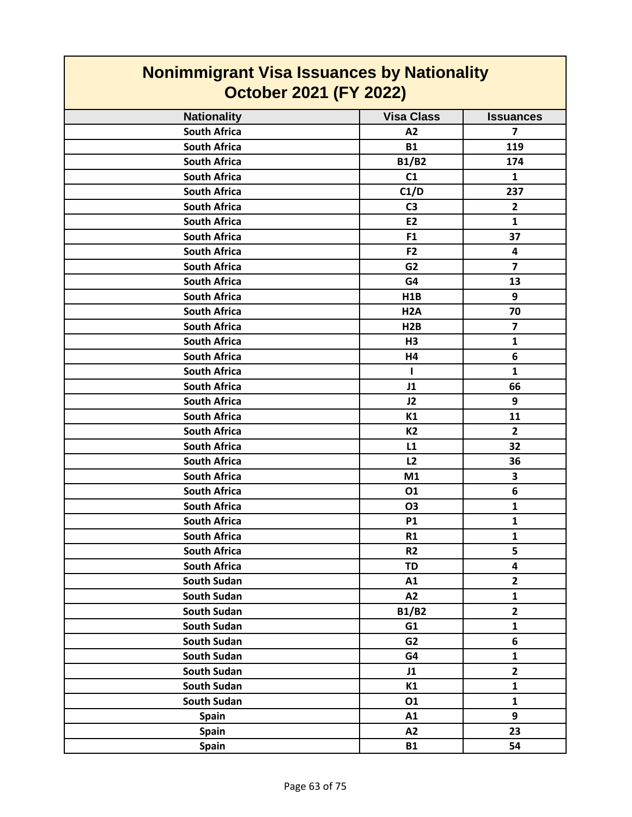| <b>Nonimmigrant Visa Issuances by Nationality</b><br><b>October 2021 (FY 2022)</b> |                   |                         |
|------------------------------------------------------------------------------------|-------------------|-------------------------|
| <b>Nationality</b>                                                                 | <b>Visa Class</b> | <b>Issuances</b>        |
| <b>South Africa</b>                                                                | A2                | $\overline{7}$          |
| <b>South Africa</b>                                                                | <b>B1</b>         | 119                     |
| <b>South Africa</b>                                                                | B1/B2             | 174                     |
| <b>South Africa</b>                                                                | C1                | $\mathbf{1}$            |
| <b>South Africa</b>                                                                | C1/D              | 237                     |
| <b>South Africa</b>                                                                | C <sub>3</sub>    | $\overline{2}$          |
| <b>South Africa</b>                                                                | E <sub>2</sub>    | $\mathbf{1}$            |
| <b>South Africa</b>                                                                | F <sub>1</sub>    | 37                      |
| <b>South Africa</b>                                                                | F <sub>2</sub>    | 4                       |
| <b>South Africa</b>                                                                | G <sub>2</sub>    | $\overline{7}$          |
| <b>South Africa</b>                                                                | G4                | 13                      |
| <b>South Africa</b>                                                                | H1B               | 9                       |
| <b>South Africa</b>                                                                | H <sub>2</sub> A  | 70                      |
| <b>South Africa</b>                                                                | H2B               | $\overline{\mathbf{z}}$ |
| <b>South Africa</b>                                                                | H <sub>3</sub>    | $\mathbf{1}$            |
| <b>South Africa</b>                                                                | H4                | 6                       |
| <b>South Africa</b>                                                                | L.                | $\mathbf{1}$            |
| <b>South Africa</b>                                                                | J1                | 66                      |
| <b>South Africa</b>                                                                | J2                | 9                       |
| <b>South Africa</b>                                                                | K1                | 11                      |
| <b>South Africa</b>                                                                | K2                | $\overline{2}$          |
| <b>South Africa</b>                                                                | L1                | 32                      |
| <b>South Africa</b>                                                                | L2                | 36                      |
| <b>South Africa</b>                                                                | M1                | 3                       |
| <b>South Africa</b>                                                                | 01                | 6                       |
| <b>South Africa</b>                                                                | <b>O3</b>         | $\mathbf{1}$            |
| <b>South Africa</b>                                                                | P1                | 1                       |
| <b>South Africa</b>                                                                | R1                | $\mathbf{1}$            |
| <b>South Africa</b>                                                                | R <sub>2</sub>    | 5                       |
| <b>South Africa</b>                                                                | <b>TD</b>         | $\overline{\mathbf{4}}$ |
| South Sudan                                                                        | A1                | $\mathbf{2}$            |
| <b>South Sudan</b>                                                                 | A2                | $\mathbf{1}$            |
| <b>South Sudan</b>                                                                 | <b>B1/B2</b>      | $\overline{2}$          |
| South Sudan                                                                        | G1                | $\mathbf{1}$            |
| South Sudan                                                                        | G <sub>2</sub>    | 6                       |
| South Sudan                                                                        | G4                | $\mathbf{1}$            |
| South Sudan                                                                        | J1                | $\overline{2}$          |
| South Sudan                                                                        | K1                | $\mathbf{1}$            |
| South Sudan                                                                        | 01                | $\mathbf{1}$            |
| <b>Spain</b>                                                                       | A1                | 9                       |
| <b>Spain</b>                                                                       | A2                | 23                      |
| <b>Spain</b>                                                                       | <b>B1</b>         | 54                      |

Г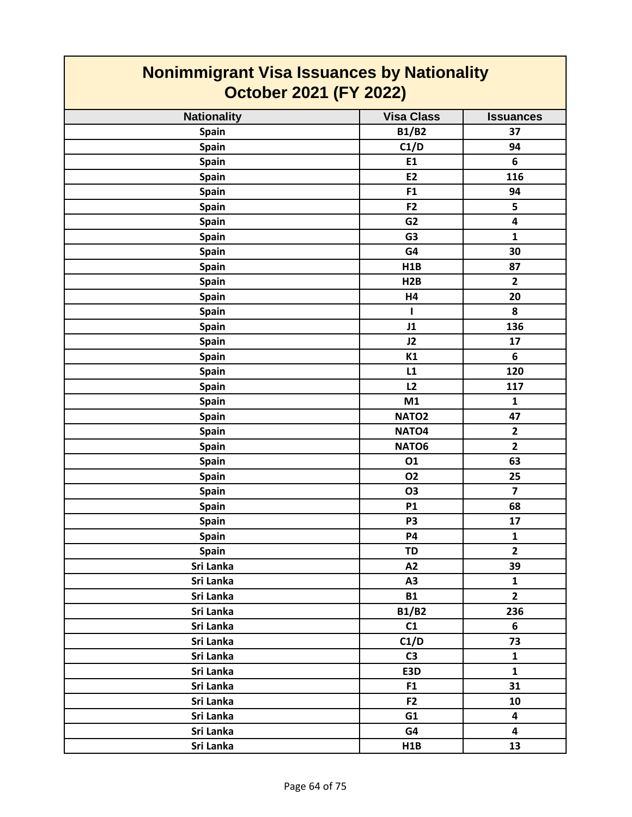| <b>Nonimmigrant Visa Issuances by Nationality</b><br><b>October 2021 (FY 2022)</b> |                   |                         |
|------------------------------------------------------------------------------------|-------------------|-------------------------|
| <b>Nationality</b>                                                                 | <b>Visa Class</b> | <b>Issuances</b>        |
| <b>Spain</b>                                                                       | <b>B1/B2</b>      | 37                      |
| Spain                                                                              | C1/D              | 94                      |
| <b>Spain</b>                                                                       | E1                | 6                       |
| Spain                                                                              | <b>E2</b>         | 116                     |
| Spain                                                                              | F <sub>1</sub>    | 94                      |
| <b>Spain</b>                                                                       | F <sub>2</sub>    | 5                       |
| Spain                                                                              | G <sub>2</sub>    | $\overline{\mathbf{4}}$ |
| <b>Spain</b>                                                                       | G <sub>3</sub>    | 1                       |
| <b>Spain</b>                                                                       | G4                | 30                      |
| <b>Spain</b>                                                                       | H1B               | 87                      |
| <b>Spain</b>                                                                       | H2B               | $\overline{2}$          |
| <b>Spain</b>                                                                       | H <sub>4</sub>    | 20                      |
| <b>Spain</b>                                                                       | L                 | 8                       |
| Spain                                                                              | J1                | 136                     |
| Spain                                                                              | J2                | 17                      |
| <b>Spain</b>                                                                       | K1                | 6                       |
| <b>Spain</b>                                                                       | L1                | 120                     |
| <b>Spain</b>                                                                       | L2                | 117                     |
| <b>Spain</b>                                                                       | M1                | 1                       |
| <b>Spain</b>                                                                       | NATO <sub>2</sub> | 47                      |
| Spain                                                                              | NATO <sub>4</sub> | $\overline{2}$          |
| <b>Spain</b>                                                                       | NATO6             | $\mathbf{2}$            |
| Spain                                                                              | 01                | 63                      |
| <b>Spain</b>                                                                       | <b>O2</b>         | 25                      |
| <b>Spain</b>                                                                       | <b>O3</b>         | $\overline{7}$          |
| Spain                                                                              | <b>P1</b>         | 68                      |
| <b>Spain</b>                                                                       | P <sub>3</sub>    | 17                      |
| Spain                                                                              | <b>P4</b>         | $\mathbf{1}$            |
| Spain                                                                              | TD                | $\overline{2}$          |
| Sri Lanka                                                                          | A2                | 39                      |
| Sri Lanka                                                                          | A3                | $\mathbf{1}$            |
| Sri Lanka                                                                          | <b>B1</b>         | $\overline{2}$          |
| Sri Lanka                                                                          | <b>B1/B2</b>      | 236                     |
| Sri Lanka                                                                          | C1                | 6                       |
| Sri Lanka                                                                          | C1/D              | 73                      |
| Sri Lanka                                                                          | C <sub>3</sub>    | $\mathbf{1}$            |
| Sri Lanka                                                                          | E3D               | $\mathbf{1}$            |
| Sri Lanka                                                                          | F <sub>1</sub>    | 31                      |
| Sri Lanka                                                                          | F <sub>2</sub>    | 10                      |
| Sri Lanka                                                                          | G1                | $\overline{\mathbf{4}}$ |
| Sri Lanka                                                                          | G4                | 4                       |
| Sri Lanka                                                                          | H1B               | 13                      |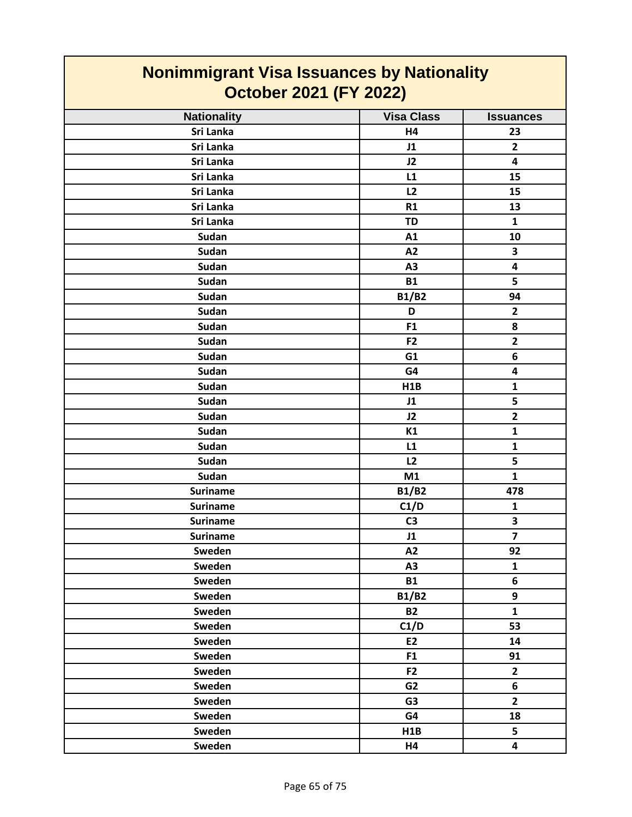| <b>Nonimmigrant Visa Issuances by Nationality</b><br><b>October 2021 (FY 2022)</b> |                   |                         |
|------------------------------------------------------------------------------------|-------------------|-------------------------|
| <b>Nationality</b>                                                                 | <b>Visa Class</b> | <b>Issuances</b>        |
| Sri Lanka                                                                          | H4                | 23                      |
| Sri Lanka                                                                          | J1                | $\overline{2}$          |
| Sri Lanka                                                                          | J2                | 4                       |
| Sri Lanka                                                                          | L1                | 15                      |
| Sri Lanka                                                                          | L2                | 15                      |
| Sri Lanka                                                                          | R1                | 13                      |
| Sri Lanka                                                                          | <b>TD</b>         | $\mathbf{1}$            |
| <b>Sudan</b>                                                                       | A1                | 10                      |
| Sudan                                                                              | A2                | 3                       |
| Sudan                                                                              | A3                | $\overline{\mathbf{4}}$ |
| Sudan                                                                              | <b>B1</b>         | 5                       |
| <b>Sudan</b>                                                                       | <b>B1/B2</b>      | 94                      |
| <b>Sudan</b>                                                                       | D                 | $\overline{2}$          |
| Sudan                                                                              | F <sub>1</sub>    | 8                       |
| <b>Sudan</b>                                                                       | F <sub>2</sub>    | $\overline{2}$          |
| <b>Sudan</b>                                                                       | G1                | 6                       |
| <b>Sudan</b>                                                                       | G4                | 4                       |
| <b>Sudan</b>                                                                       | H1B               | 1                       |
| Sudan                                                                              | J1                | 5                       |
| Sudan                                                                              | J2                | $\mathbf{2}$            |
| Sudan                                                                              | K1                | $\mathbf{1}$            |
| <b>Sudan</b>                                                                       | L1                | 1                       |
| Sudan                                                                              | L2                | 5                       |
| <b>Sudan</b>                                                                       | M1                | $\mathbf{1}$            |
| <b>Suriname</b>                                                                    | <b>B1/B2</b>      | 478                     |
| <b>Suriname</b>                                                                    | C1/D              | $\mathbf{1}$            |
| <b>Suriname</b>                                                                    | C <sub>3</sub>    | 3                       |
| <b>Suriname</b>                                                                    | J1                | $\overline{7}$          |
| Sweden                                                                             | A2                | 92                      |
| Sweden                                                                             | A3                | $\mathbf{1}$            |
| Sweden                                                                             | <b>B1</b>         | 6                       |
| Sweden                                                                             | <b>B1/B2</b>      | 9                       |
| Sweden                                                                             | <b>B2</b>         | $\mathbf{1}$            |
| Sweden                                                                             | C1/D              | 53                      |
| Sweden                                                                             | E2                | 14                      |
| Sweden                                                                             | F1                | 91                      |
| Sweden                                                                             | F <sub>2</sub>    | $\overline{2}$          |
| Sweden                                                                             | G <sub>2</sub>    | 6                       |
| Sweden                                                                             | G <sub>3</sub>    | $2^{\circ}$             |
| Sweden                                                                             | G4                | 18                      |
| Sweden                                                                             | H1B               | 5 <sub>1</sub>          |
| Sweden                                                                             | <b>H4</b>         | $\overline{\mathbf{4}}$ |

Г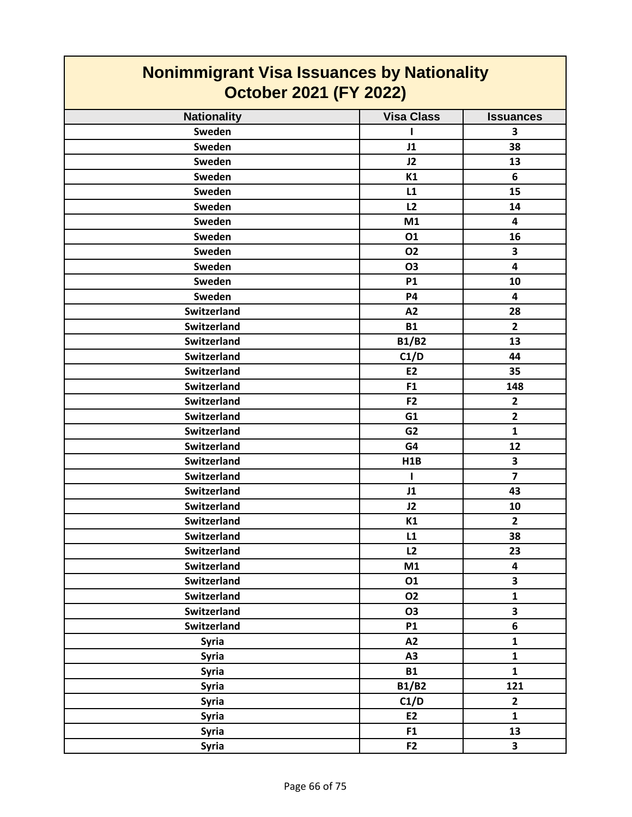| <b>Nonimmigrant Visa Issuances by Nationality</b><br><b>October 2021 (FY 2022)</b> |                   |                         |
|------------------------------------------------------------------------------------|-------------------|-------------------------|
| <b>Nationality</b>                                                                 | <b>Visa Class</b> | <b>Issuances</b>        |
| Sweden                                                                             |                   | 3                       |
| Sweden                                                                             | J1                | 38                      |
| Sweden                                                                             | J2                | 13                      |
| Sweden                                                                             | K1                | 6                       |
| Sweden                                                                             | L1                | 15                      |
| Sweden                                                                             | L2                | 14                      |
| Sweden                                                                             | M1                | 4                       |
| Sweden                                                                             | 01                | 16                      |
| Sweden                                                                             | <b>O2</b>         | 3                       |
| Sweden                                                                             | <b>O3</b>         | $\overline{\mathbf{4}}$ |
| Sweden                                                                             | <b>P1</b>         | 10                      |
| Sweden                                                                             | P4                | 4                       |
| <b>Switzerland</b>                                                                 | A2                | 28                      |
| <b>Switzerland</b>                                                                 | <b>B1</b>         | $\overline{2}$          |
| <b>Switzerland</b>                                                                 | <b>B1/B2</b>      | 13                      |
| <b>Switzerland</b>                                                                 | C1/D              | 44                      |
| <b>Switzerland</b>                                                                 | <b>E2</b>         | 35                      |
| <b>Switzerland</b>                                                                 | F1                | 148                     |
| <b>Switzerland</b>                                                                 | F <sub>2</sub>    | $\mathbf{2}$            |
| <b>Switzerland</b>                                                                 | G1                | $\overline{2}$          |
| <b>Switzerland</b>                                                                 | G <sub>2</sub>    | $\mathbf{1}$            |
| <b>Switzerland</b>                                                                 | G4                | 12                      |
| <b>Switzerland</b>                                                                 | H1B               | 3                       |
| <b>Switzerland</b>                                                                 | 1                 | $\overline{\mathbf{z}}$ |
| <b>Switzerland</b>                                                                 | J1                | 43                      |
| Switzerland                                                                        | J2                | 10                      |
| <b>Switzerland</b>                                                                 | K1                | $\overline{2}$          |
| Switzerland                                                                        | L1                | 38                      |
| <b>Switzerland</b>                                                                 | L2                | 23                      |
| Switzerland                                                                        | M1                | $\overline{\mathbf{4}}$ |
| Switzerland                                                                        | 01                | 3                       |
| Switzerland                                                                        | <b>O2</b>         | $\mathbf{1}$            |
| <b>Switzerland</b>                                                                 | <b>O3</b>         | $\overline{\mathbf{3}}$ |
| <b>Switzerland</b>                                                                 | <b>P1</b>         | $6\phantom{1}$          |
| <b>Syria</b>                                                                       | A2                | $\mathbf{1}$            |
| <b>Syria</b>                                                                       | A <sub>3</sub>    | $\mathbf{1}$            |
| <b>Syria</b>                                                                       | <b>B1</b>         | $\mathbf{1}$            |
| <b>Syria</b>                                                                       | <b>B1/B2</b>      | 121                     |
| <b>Syria</b>                                                                       | C1/D              | $\overline{2}$          |
| <b>Syria</b>                                                                       | E2                | $\mathbf{1}$            |
| <b>Syria</b>                                                                       | F1                | 13                      |
| <b>Syria</b>                                                                       | F <sub>2</sub>    | 3                       |

┑

 $\Gamma$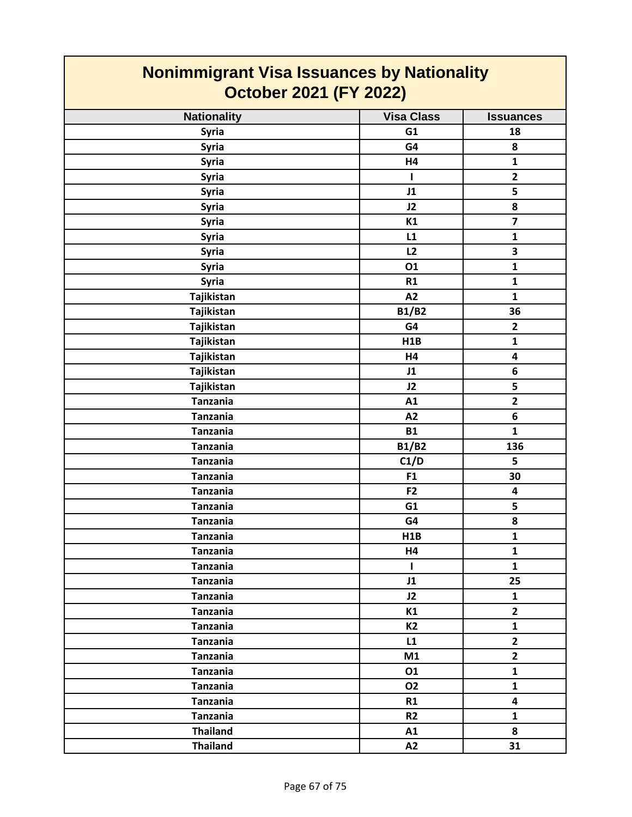| <b>Nonimmigrant Visa Issuances by Nationality</b><br><b>October 2021 (FY 2022)</b> |                   |                         |
|------------------------------------------------------------------------------------|-------------------|-------------------------|
| <b>Nationality</b>                                                                 | <b>Visa Class</b> | <b>Issuances</b>        |
| <b>Syria</b>                                                                       | G1                | 18                      |
| <b>Syria</b>                                                                       | G4                | 8                       |
| <b>Syria</b>                                                                       | H4                | $\mathbf{1}$            |
| <b>Syria</b>                                                                       | L                 | $\mathbf{2}$            |
| <b>Syria</b>                                                                       | J1                | 5                       |
| <b>Syria</b>                                                                       | J2                | 8                       |
| <b>Syria</b>                                                                       | K1                | $\overline{\mathbf{z}}$ |
| <b>Syria</b>                                                                       | L1                | $\mathbf{1}$            |
| Syria                                                                              | L2                | 3                       |
| <b>Syria</b>                                                                       | 01                | $\mathbf{1}$            |
| <b>Syria</b>                                                                       | R1                | $\mathbf{1}$            |
| Tajikistan                                                                         | A2                | 1                       |
| Tajikistan                                                                         | <b>B1/B2</b>      | 36                      |
| Tajikistan                                                                         | G4                | $\mathbf{2}$            |
| Tajikistan                                                                         | H1B               | $\mathbf{1}$            |
| Tajikistan                                                                         | H4                | $\overline{\mathbf{4}}$ |
| Tajikistan                                                                         | J1                | 6                       |
| Tajikistan                                                                         | J2                | 5                       |
| <b>Tanzania</b>                                                                    | A1                | $\overline{2}$          |
| <b>Tanzania</b>                                                                    | A2                | 6                       |
| <b>Tanzania</b>                                                                    | <b>B1</b>         | $\mathbf{1}$            |
| <b>Tanzania</b>                                                                    | <b>B1/B2</b>      | 136                     |
| <b>Tanzania</b>                                                                    | C1/D              | 5                       |
| <b>Tanzania</b>                                                                    | F1                | 30                      |
| <b>Tanzania</b>                                                                    | F <sub>2</sub>    | 4                       |
| Tanzania                                                                           | G <sub>1</sub>    | 5                       |
| <b>Tanzania</b>                                                                    | G4                | 8                       |
| <b>Tanzania</b>                                                                    | H <sub>1</sub> B  | $\mathbf{1}$            |
| <b>Tanzania</b>                                                                    | H4                | $\mathbf{1}$            |
| <b>Tanzania</b>                                                                    | $\mathbf{I}$      | $\mathbf{1}$            |
| <b>Tanzania</b>                                                                    | J1                | 25                      |
| <b>Tanzania</b>                                                                    | J2                | $\mathbf{1}$            |
| <b>Tanzania</b>                                                                    | K1                | $\mathbf{2}$            |
| <b>Tanzania</b>                                                                    | <b>K2</b>         | $\mathbf{1}$            |
| <b>Tanzania</b>                                                                    | L1                | $\overline{2}$          |
| <b>Tanzania</b>                                                                    | M1                | $\overline{2}$          |
| <b>Tanzania</b>                                                                    | 01                | $\mathbf{1}$            |
| <b>Tanzania</b>                                                                    | 02                | $\mathbf{1}$            |
| <b>Tanzania</b>                                                                    | R1                | $\overline{\mathbf{4}}$ |
| <b>Tanzania</b>                                                                    | R <sub>2</sub>    | $\mathbf{1}$            |
| <b>Thailand</b>                                                                    | A1                | 8                       |
| <b>Thailand</b>                                                                    | A2                | 31                      |

 $\mathcal{L}_{\mathcal{A}}$ 

 $\mathcal{L}^{\text{max}}_{\text{max}}$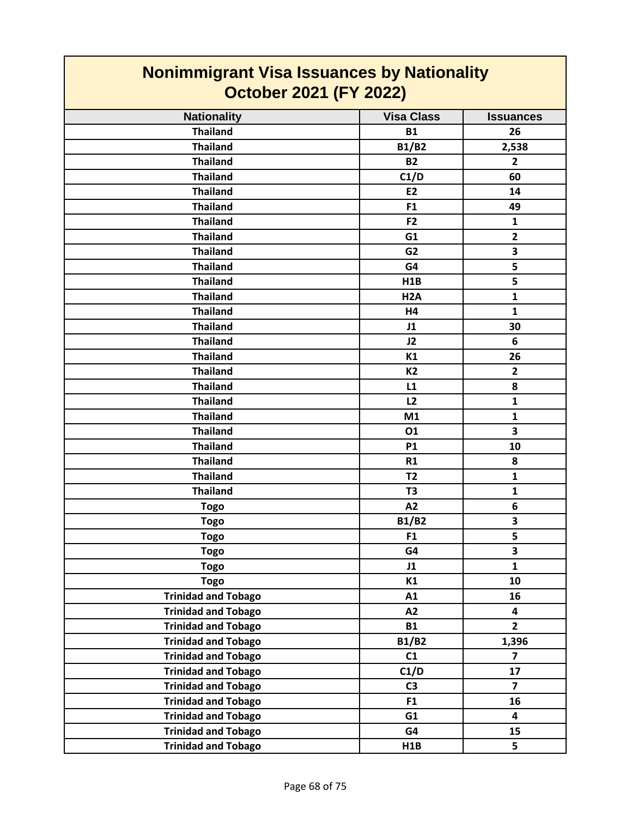| <b>Nonimmigrant Visa Issuances by Nationality</b><br>October 2021 (FY 2022) |                   |                         |
|-----------------------------------------------------------------------------|-------------------|-------------------------|
| <b>Nationality</b>                                                          | <b>Visa Class</b> | <b>Issuances</b>        |
| <b>Thailand</b>                                                             | <b>B1</b>         | 26                      |
| <b>Thailand</b>                                                             | <b>B1/B2</b>      | 2,538                   |
| <b>Thailand</b>                                                             | <b>B2</b>         | $\overline{2}$          |
| <b>Thailand</b>                                                             | C1/D              | 60                      |
| <b>Thailand</b>                                                             | <b>E2</b>         | 14                      |
| <b>Thailand</b>                                                             | F <sub>1</sub>    | 49                      |
| <b>Thailand</b>                                                             | F <sub>2</sub>    | 1                       |
| <b>Thailand</b>                                                             | G1                | $\overline{2}$          |
| <b>Thailand</b>                                                             | G <sub>2</sub>    | 3                       |
| <b>Thailand</b>                                                             | G4                | 5                       |
| <b>Thailand</b>                                                             | H <sub>1</sub> B  | 5                       |
| <b>Thailand</b>                                                             | H <sub>2</sub> A  | $\mathbf{1}$            |
| <b>Thailand</b>                                                             | H4                | $\mathbf{1}$            |
| <b>Thailand</b>                                                             | J1                | 30                      |
| <b>Thailand</b>                                                             | J2                | 6                       |
| <b>Thailand</b>                                                             | K1                | 26                      |
| <b>Thailand</b>                                                             | <b>K2</b>         | $\overline{2}$          |
| <b>Thailand</b>                                                             | L1                | 8                       |
| <b>Thailand</b>                                                             | L <sub>2</sub>    | $\mathbf{1}$            |
| <b>Thailand</b>                                                             | M1                | $\mathbf{1}$            |
| <b>Thailand</b>                                                             | 01                | 3                       |
| <b>Thailand</b>                                                             | <b>P1</b>         | 10                      |
| <b>Thailand</b>                                                             | R1                | 8                       |
| <b>Thailand</b>                                                             | <b>T2</b>         | $\mathbf{1}$            |
| <b>Thailand</b>                                                             | T <sub>3</sub>    | $\mathbf{1}$            |
| <b>Togo</b>                                                                 | A2                | 6                       |
| <b>Togo</b>                                                                 | <b>B1/B2</b>      | 3                       |
| <b>Togo</b>                                                                 | F <sub>1</sub>    | 5                       |
| <b>Togo</b>                                                                 | G4                | 3                       |
| <b>Togo</b>                                                                 | J1                | $\mathbf{1}$            |
| <b>Togo</b>                                                                 | K1                | 10                      |
| <b>Trinidad and Tobago</b>                                                  | A1                | 16                      |
| <b>Trinidad and Tobago</b>                                                  | A2                | 4                       |
| <b>Trinidad and Tobago</b>                                                  | <b>B1</b>         | $\overline{2}$          |
| <b>Trinidad and Tobago</b>                                                  | <b>B1/B2</b>      | 1,396                   |
| <b>Trinidad and Tobago</b>                                                  | C1                | $\overline{\mathbf{z}}$ |
| <b>Trinidad and Tobago</b>                                                  | C1/D              | 17                      |
| <b>Trinidad and Tobago</b>                                                  | C <sub>3</sub>    | $\overline{7}$          |
| <b>Trinidad and Tobago</b>                                                  | F1                | 16                      |
| <b>Trinidad and Tobago</b>                                                  | G1                | 4                       |
| <b>Trinidad and Tobago</b>                                                  | G4                | 15                      |
| <b>Trinidad and Tobago</b>                                                  | H1B               | 5                       |

٦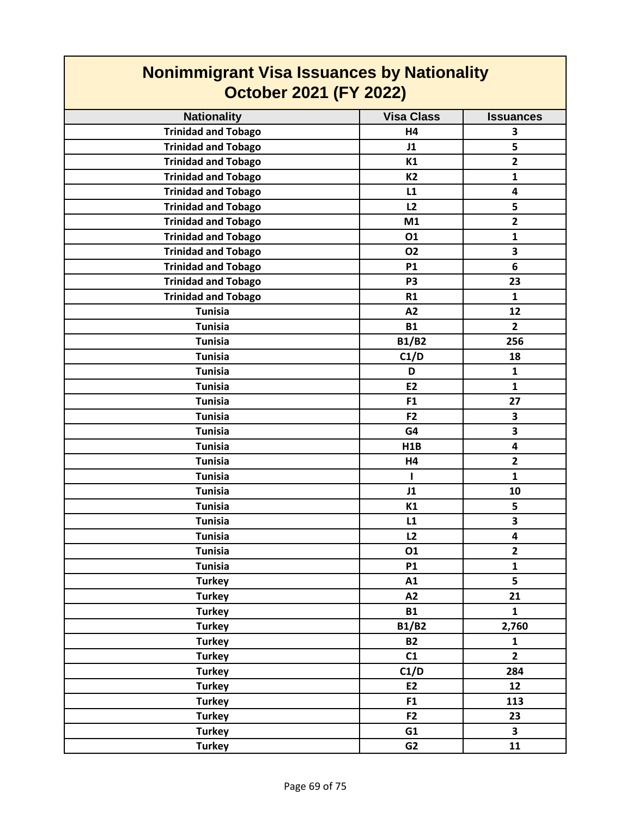| <u>NUMMMHINGHAM VISA ISSAANUCS NY NANOMANTY</u><br><b>October 2021 (FY 2022)</b> |                   |                         |
|----------------------------------------------------------------------------------|-------------------|-------------------------|
| <b>Nationality</b>                                                               | <b>Visa Class</b> | <b>Issuances</b>        |
| <b>Trinidad and Tobago</b>                                                       | <b>H4</b>         | 3                       |
| <b>Trinidad and Tobago</b>                                                       | J1                | 5                       |
| <b>Trinidad and Tobago</b>                                                       | K1                | $\overline{\mathbf{2}}$ |
| <b>Trinidad and Tobago</b>                                                       | <b>K2</b>         | $\mathbf{1}$            |
| <b>Trinidad and Tobago</b>                                                       | L1                | 4                       |
| <b>Trinidad and Tobago</b>                                                       | L2                | 5                       |
| <b>Trinidad and Tobago</b>                                                       | M1                | $\overline{\mathbf{2}}$ |
| <b>Trinidad and Tobago</b>                                                       | 01                | $\mathbf{1}$            |
| <b>Trinidad and Tobago</b>                                                       | <b>O2</b>         | 3                       |
| <b>Trinidad and Tobago</b>                                                       | <b>P1</b>         | 6                       |
| <b>Trinidad and Tobago</b>                                                       | P <sub>3</sub>    | 23                      |
| <b>Trinidad and Tobago</b>                                                       | R1                | $\mathbf{1}$            |
| <b>Tunisia</b>                                                                   | A2                | 12                      |
| <b>Tunisia</b>                                                                   | <b>B1</b>         | $\overline{2}$          |
| <b>Tunisia</b>                                                                   | <b>B1/B2</b>      | 256                     |
| <b>Tunisia</b>                                                                   | C1/D              | 18                      |
| <b>Tunisia</b>                                                                   | D                 | $\mathbf{1}$            |
| <b>Tunisia</b>                                                                   | <b>E2</b>         | $\mathbf{1}$            |
| <b>Tunisia</b>                                                                   | F1                | 27                      |
| <b>Tunisia</b>                                                                   | F2                | 3                       |
| <b>Tunisia</b>                                                                   | G4                | 3                       |
| <b>Tunisia</b>                                                                   | <b>H1B</b>        | 4                       |
| <b>Tunisia</b>                                                                   | H4                | $\overline{2}$          |
| <b>Tunisia</b>                                                                   | L                 | $\mathbf{1}$            |
| <b>Tunisia</b>                                                                   | J1                | 10                      |
| <b>Tunisia</b>                                                                   | K1                | 5                       |
| <b>Tunisia</b>                                                                   | L1                | 3                       |
| <b>Tunisia</b>                                                                   | L <sub>2</sub>    | 4                       |
| <b>Tunisia</b>                                                                   | 01                | $\overline{2}$          |
| <b>Tunisia</b>                                                                   | P1                | $\mathbf{1}$            |
| <b>Turkey</b>                                                                    | A1                | $\overline{\mathbf{5}}$ |
| <b>Turkey</b>                                                                    | A2                | 21                      |
| <b>Turkey</b>                                                                    | <b>B1</b>         | $\mathbf{1}$            |
| <b>Turkey</b>                                                                    | <b>B1/B2</b>      | 2,760                   |
| <b>Turkey</b>                                                                    | <b>B2</b>         | $\mathbf{1}$            |
| <b>Turkey</b>                                                                    | C1                | $\overline{2}$          |
| <b>Turkey</b>                                                                    | C1/D              | 284                     |
| <b>Turkey</b>                                                                    | E2                | 12                      |
| <b>Turkey</b>                                                                    | F1                | 113                     |
| <b>Turkey</b>                                                                    | F <sub>2</sub>    | 23                      |
| <b>Turkey</b>                                                                    | G1                | 3                       |
| <b>Turkey</b>                                                                    | G2                | 11                      |

## **Nonimmigrant Visa Issuances by Nationality**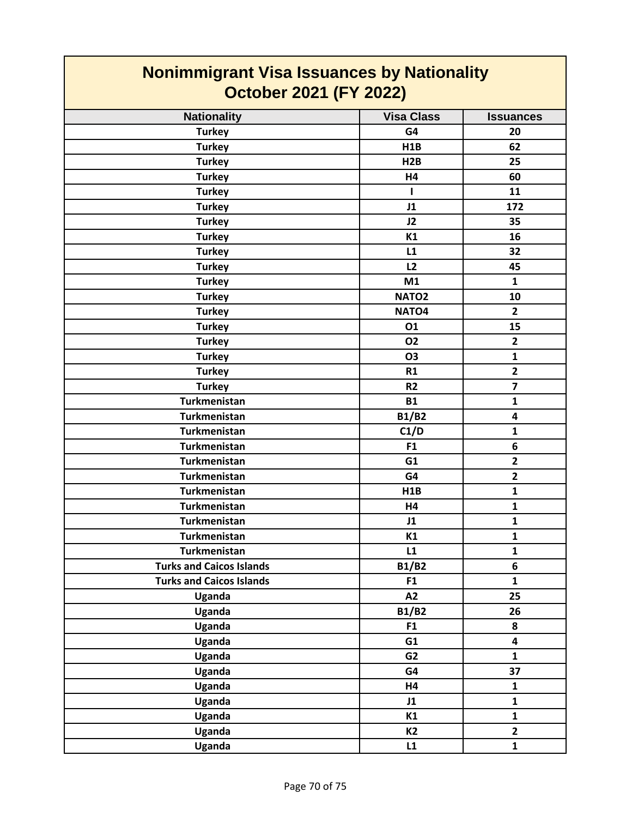| <b>Nonimmigrant Visa Issuances by Nationality</b><br><b>October 2021 (FY 2022)</b> |                   |                  |
|------------------------------------------------------------------------------------|-------------------|------------------|
| <b>Nationality</b>                                                                 | <b>Visa Class</b> | <b>Issuances</b> |
| <b>Turkey</b>                                                                      | G4                | 20               |
| <b>Turkey</b>                                                                      | H1B               | 62               |
| <b>Turkey</b>                                                                      | H2B               | 25               |
| <b>Turkey</b>                                                                      | H4                | 60               |
| <b>Turkey</b>                                                                      | ı                 | 11               |
| <b>Turkey</b>                                                                      | J1                | 172              |
| <b>Turkey</b>                                                                      | J2                | 35               |
| <b>Turkey</b>                                                                      | K1                | 16               |
| <b>Turkey</b>                                                                      | L1                | 32               |
| <b>Turkey</b>                                                                      | L2                | 45               |
| <b>Turkey</b>                                                                      | M1                | $\mathbf{1}$     |
| <b>Turkey</b>                                                                      | NATO <sub>2</sub> | 10               |
| <b>Turkey</b>                                                                      | NATO <sub>4</sub> | $\overline{2}$   |
| <b>Turkey</b>                                                                      | 01                | 15               |
| <b>Turkey</b>                                                                      | 02                | $\mathbf{2}$     |
| <b>Turkey</b>                                                                      | <b>O3</b>         | $\mathbf{1}$     |
| <b>Turkey</b>                                                                      | R1                | $\overline{2}$   |
| <b>Turkey</b>                                                                      | R <sub>2</sub>    | $\overline{7}$   |
| <b>Turkmenistan</b>                                                                | <b>B1</b>         | $\mathbf{1}$     |
| <b>Turkmenistan</b>                                                                | <b>B1/B2</b>      | 4                |
| Turkmenistan                                                                       | C1/D              | $\mathbf{1}$     |
| <b>Turkmenistan</b>                                                                | F1                | 6                |
| <b>Turkmenistan</b>                                                                | G1                | $\overline{2}$   |
| <b>Turkmenistan</b>                                                                | G4                | $\overline{2}$   |
| Turkmenistan                                                                       | H <sub>1</sub> B  | $\mathbf{1}$     |
| Turkmenistan                                                                       | Η4                | 1                |
| Turkmenistan                                                                       | J1                | $\mathbf{1}$     |
| Turkmenistan                                                                       | K1                | $\mathbf{1}$     |
| <b>Turkmenistan</b>                                                                | L1                | $\mathbf{1}$     |
| <b>Turks and Caicos Islands</b>                                                    | <b>B1/B2</b>      | 6                |
| <b>Turks and Caicos Islands</b>                                                    | F <sub>1</sub>    | $\mathbf{1}$     |
| Uganda                                                                             | A2                | 25               |
| Uganda                                                                             | <b>B1/B2</b>      | 26               |
| Uganda                                                                             | F1                | 8                |
| Uganda                                                                             | G1                | 4                |
| Uganda                                                                             | G <sub>2</sub>    | $\mathbf{1}$     |
| Uganda                                                                             | G4                | 37               |
| Uganda                                                                             | H4                | $\mathbf{1}$     |
| Uganda                                                                             | J1                | $\mathbf{1}$     |
| Uganda                                                                             | K1                | $\mathbf{1}$     |
| Uganda                                                                             | <b>K2</b>         | $\overline{2}$   |
| Uganda                                                                             | L1                | $\mathbf{1}$     |

T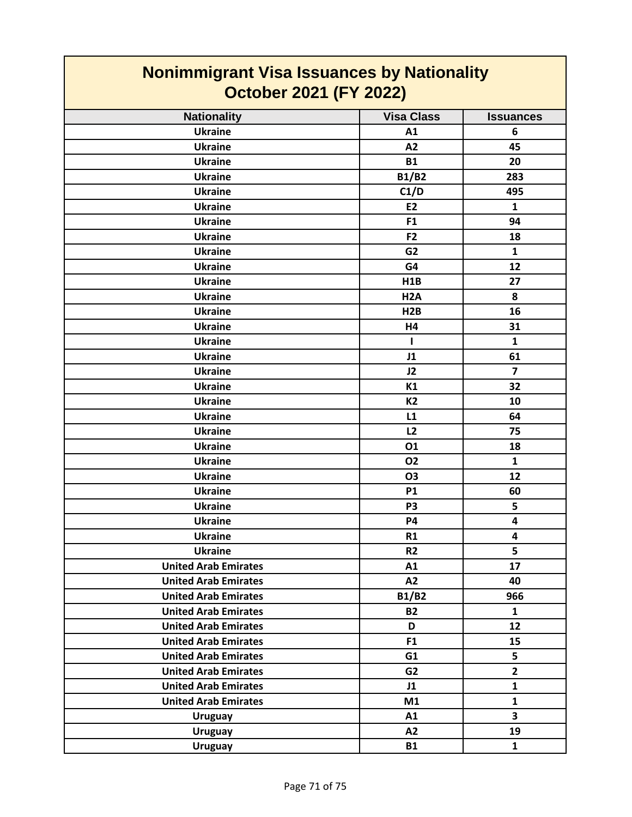| <b>Nonimmigrant Visa Issuances by Nationality</b><br><b>October 2021 (FY 2022)</b> |                   |                  |
|------------------------------------------------------------------------------------|-------------------|------------------|
| <b>Nationality</b>                                                                 | <b>Visa Class</b> | <b>Issuances</b> |
| <b>Ukraine</b>                                                                     | A1                | 6                |
| <b>Ukraine</b>                                                                     | A2                | 45               |
| <b>Ukraine</b>                                                                     | <b>B1</b>         | 20               |
| <b>Ukraine</b>                                                                     | <b>B1/B2</b>      | 283              |
| <b>Ukraine</b>                                                                     | C1/D              | 495              |
| <b>Ukraine</b>                                                                     | E <sub>2</sub>    | $\mathbf{1}$     |
| <b>Ukraine</b>                                                                     | F <sub>1</sub>    | 94               |
| <b>Ukraine</b>                                                                     | F <sub>2</sub>    | 18               |
| <b>Ukraine</b>                                                                     | G <sub>2</sub>    | 1                |
| <b>Ukraine</b>                                                                     | G4                | 12               |
| <b>Ukraine</b>                                                                     | H1B               | 27               |
| <b>Ukraine</b>                                                                     | H <sub>2</sub> A  | 8                |
| <b>Ukraine</b>                                                                     | H <sub>2</sub> B  | 16               |
| <b>Ukraine</b>                                                                     | H4                | 31               |
| <b>Ukraine</b>                                                                     | $\mathbf{I}$      | $\mathbf{1}$     |
| <b>Ukraine</b>                                                                     | J1                | 61               |
| <b>Ukraine</b>                                                                     | J2                | $\overline{7}$   |
| <b>Ukraine</b>                                                                     | K1                | 32               |
| <b>Ukraine</b>                                                                     | <b>K2</b>         | 10               |
| <b>Ukraine</b>                                                                     | L1                | 64               |
| <b>Ukraine</b>                                                                     | L2                | 75               |
| <b>Ukraine</b>                                                                     | 01                | 18               |
| <b>Ukraine</b>                                                                     | <b>O2</b>         | $\mathbf{1}$     |
| <b>Ukraine</b>                                                                     | <b>O3</b>         | 12               |
| <b>Ukraine</b>                                                                     | <b>P1</b>         | 60               |
| <b>Ukraine</b>                                                                     | P <sub>3</sub>    | 5                |
| <b>Ukraine</b>                                                                     | <b>P4</b>         | 4                |
| <b>Ukraine</b>                                                                     | R1                | 4                |
| <b>Ukraine</b>                                                                     | R2                | 5                |
| <b>United Arab Emirates</b>                                                        | A1                | 17               |
| <b>United Arab Emirates</b>                                                        | A2                | 40               |
| <b>United Arab Emirates</b>                                                        | <b>B1/B2</b>      | 966              |
| <b>United Arab Emirates</b>                                                        | <b>B2</b>         | $\mathbf{1}$     |
| <b>United Arab Emirates</b>                                                        | D                 | 12               |
| <b>United Arab Emirates</b>                                                        | F1                | 15               |
| <b>United Arab Emirates</b>                                                        | G1                | 5                |
| <b>United Arab Emirates</b>                                                        | G <sub>2</sub>    | $\overline{2}$   |
| <b>United Arab Emirates</b>                                                        | J1                | $\mathbf{1}$     |
| <b>United Arab Emirates</b>                                                        | M1                | $\mathbf{1}$     |
| <b>Uruguay</b>                                                                     | A1                | 3                |
| <b>Uruguay</b>                                                                     | A2                | 19               |
| <b>Uruguay</b>                                                                     | <b>B1</b>         | $\mathbf{1}$     |

T

 $\mathcal{L}(\mathcal{L})$  and  $\mathcal{L}(\mathcal{L})$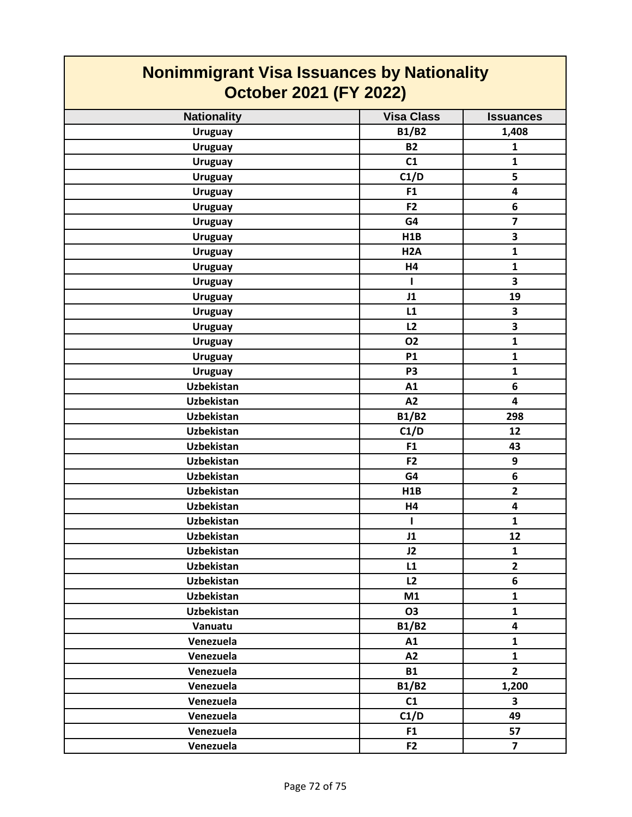| <b>Nonimmigrant Visa Issuances by Nationality</b><br><b>October 2021 (FY 2022)</b> |                   |                         |
|------------------------------------------------------------------------------------|-------------------|-------------------------|
| <b>Nationality</b>                                                                 | <b>Visa Class</b> | <b>Issuances</b>        |
| <b>Uruguay</b>                                                                     | <b>B1/B2</b>      | 1,408                   |
| <b>Uruguay</b>                                                                     | <b>B2</b>         | $\mathbf{1}$            |
| <b>Uruguay</b>                                                                     | C1                | $\mathbf{1}$            |
| <b>Uruguay</b>                                                                     | C1/D              | 5                       |
| <b>Uruguay</b>                                                                     | F <sub>1</sub>    | 4                       |
| <b>Uruguay</b>                                                                     | F <sub>2</sub>    | 6                       |
| <b>Uruguay</b>                                                                     | G4                | $\overline{\mathbf{z}}$ |
| <b>Uruguay</b>                                                                     | H1B               | 3                       |
| <b>Uruguay</b>                                                                     | H <sub>2</sub> A  | $\mathbf{1}$            |
| <b>Uruguay</b>                                                                     | H4                | $\mathbf{1}$            |
| <b>Uruguay</b>                                                                     | ı                 | 3                       |
| <b>Uruguay</b>                                                                     | J1                | 19                      |
| <b>Uruguay</b>                                                                     | L1                | 3                       |
| <b>Uruguay</b>                                                                     | L2                | 3                       |
| <b>Uruguay</b>                                                                     | 02                | $\mathbf{1}$            |
| <b>Uruguay</b>                                                                     | <b>P1</b>         | $\mathbf{1}$            |
| <b>Uruguay</b>                                                                     | P <sub>3</sub>    | $\mathbf{1}$            |
| Uzbekistan                                                                         | A1                | 6                       |
| Uzbekistan                                                                         | A2                | 4                       |
| Uzbekistan                                                                         | <b>B1/B2</b>      | 298                     |
| <b>Uzbekistan</b>                                                                  | C1/D              | 12                      |
| <b>Uzbekistan</b>                                                                  | F <sub>1</sub>    | 43                      |
| Uzbekistan                                                                         | F <sub>2</sub>    | 9                       |
| Uzbekistan                                                                         | G4                | 6                       |
| <b>Uzbekistan</b>                                                                  | H1B               | $\overline{2}$          |
| <b>Uzbekistan</b>                                                                  | H4                | 4                       |
| <b>Uzbekistan</b>                                                                  | $\mathbf{I}$      | $\mathbf{1}$            |
| Uzbekistan                                                                         | J1                | 12                      |
| <b>Uzbekistan</b>                                                                  | J2                | $\mathbf{1}$            |
| Uzbekistan                                                                         | L1                | $\overline{2}$          |
| Uzbekistan                                                                         | L2                | 6                       |
| Uzbekistan                                                                         | M1                | $\mathbf{1}$            |
| Uzbekistan                                                                         | 03                | $\mathbf{1}$            |
| Vanuatu                                                                            | <b>B1/B2</b>      | 4                       |
| Venezuela                                                                          | A1                | $\mathbf{1}$            |
| Venezuela                                                                          | A2                | $\mathbf{1}$            |
| Venezuela                                                                          | <b>B1</b>         | $\overline{2}$          |
| Venezuela                                                                          | <b>B1/B2</b>      | 1,200                   |
| Venezuela                                                                          | C1                | 3                       |
| Venezuela                                                                          | C1/D              | 49                      |
| Venezuela                                                                          | F <sub>1</sub>    | 57                      |
| Venezuela                                                                          | F <sub>2</sub>    | $\overline{7}$          |

## **Nonimmigrant Visa Issuances by Nationality**

ı

 $\mathcal{L}^{\text{max}}_{\text{max}}$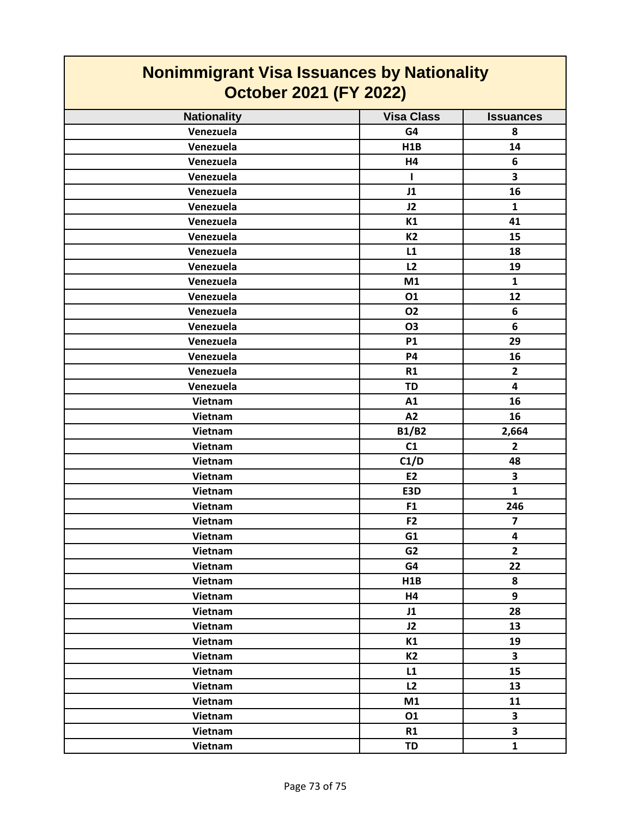| <b>Nonimmigrant Visa Issuances by Nationality</b><br><b>October 2021 (FY 2022)</b> |                   |                         |  |
|------------------------------------------------------------------------------------|-------------------|-------------------------|--|
| <b>Nationality</b>                                                                 | <b>Visa Class</b> | <b>Issuances</b>        |  |
| Venezuela                                                                          | G4                | 8                       |  |
| Venezuela                                                                          | H <sub>1</sub> B  | 14                      |  |
| Venezuela                                                                          | H4                | 6                       |  |
| Venezuela                                                                          | $\mathbf{I}$      | 3                       |  |
| Venezuela                                                                          | J1                | 16                      |  |
| Venezuela                                                                          | J2                | $\mathbf{1}$            |  |
| Venezuela                                                                          | K1                | 41                      |  |
| Venezuela                                                                          | <b>K2</b>         | 15                      |  |
| Venezuela                                                                          | L1                | 18                      |  |
| Venezuela                                                                          | L2                | 19                      |  |
| Venezuela                                                                          | M1                | $\mathbf{1}$            |  |
| Venezuela                                                                          | 01                | 12                      |  |
| Venezuela                                                                          | 02                | 6                       |  |
| Venezuela                                                                          | <b>O3</b>         | 6                       |  |
| Venezuela                                                                          | <b>P1</b>         | 29                      |  |
| Venezuela                                                                          | <b>P4</b>         | 16                      |  |
| Venezuela                                                                          | R1                | $\overline{\mathbf{2}}$ |  |
| Venezuela                                                                          | <b>TD</b>         | 4                       |  |
| Vietnam                                                                            | A1                | 16                      |  |
| Vietnam                                                                            | A2                | 16                      |  |
| Vietnam                                                                            | <b>B1/B2</b>      | 2,664                   |  |
| Vietnam                                                                            | C1                | 2                       |  |
| Vietnam                                                                            | C1/D              | 48                      |  |
| Vietnam                                                                            | <b>E2</b>         | 3                       |  |
| Vietnam                                                                            | E3D               | $\mathbf{1}$            |  |
| Vietnam                                                                            | F <sub>1</sub>    | 246                     |  |
| Vietnam                                                                            | F <sub>2</sub>    | 7                       |  |
| Vietnam                                                                            | G1                | 4                       |  |
| Vietnam                                                                            | G <sub>2</sub>    | $\overline{2}$          |  |
| Vietnam                                                                            | G4                | 22                      |  |
| Vietnam                                                                            | H1B               | 8                       |  |
| Vietnam                                                                            | H4                | 9                       |  |
| Vietnam                                                                            | J1                | 28                      |  |
| Vietnam                                                                            | J2                | 13                      |  |
| Vietnam                                                                            | K1                | 19                      |  |
| Vietnam                                                                            | <b>K2</b>         | 3                       |  |
| Vietnam                                                                            | L1                | 15                      |  |
| Vietnam                                                                            | L2                | 13                      |  |
| Vietnam                                                                            | M1                | 11                      |  |
| Vietnam                                                                            | 01                | $\overline{\mathbf{3}}$ |  |
| Vietnam                                                                            | R1                | 3                       |  |
| Vietnam                                                                            | <b>TD</b>         | $\mathbf{1}$            |  |

Г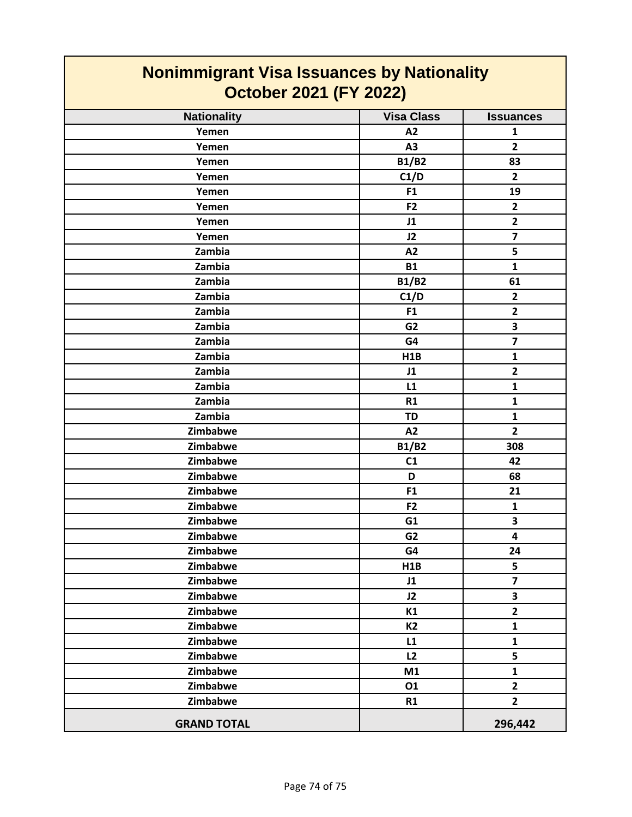| Nonimmigrant Visa Issuances by Nationality<br><b>October 2021 (FY 2022)</b> |                   |                         |  |
|-----------------------------------------------------------------------------|-------------------|-------------------------|--|
| <b>Nationality</b>                                                          | <b>Visa Class</b> | <b>Issuances</b>        |  |
| Yemen                                                                       | A2                | $\mathbf{1}$            |  |
| Yemen                                                                       | A3                | $\overline{2}$          |  |
| Yemen                                                                       | <b>B1/B2</b>      | 83                      |  |
| Yemen                                                                       | C1/D              | $\overline{2}$          |  |
| Yemen                                                                       | F <sub>1</sub>    | 19                      |  |
| Yemen                                                                       | F <sub>2</sub>    | $\mathbf{2}$            |  |
| Yemen                                                                       | J1                | $\overline{\mathbf{2}}$ |  |
| Yemen                                                                       | J2                | $\overline{\mathbf{z}}$ |  |
| Zambia                                                                      | A2                | 5                       |  |
| Zambia                                                                      | <b>B1</b>         | $\mathbf{1}$            |  |
| Zambia                                                                      | <b>B1/B2</b>      | 61                      |  |
| Zambia                                                                      | C1/D              | $\overline{2}$          |  |
| Zambia                                                                      | F <sub>1</sub>    | $\mathbf{2}$            |  |
| Zambia                                                                      | G <sub>2</sub>    | 3                       |  |
| Zambia                                                                      | G4                | $\overline{\mathbf{z}}$ |  |
| Zambia                                                                      | H1B               | $\mathbf{1}$            |  |
| Zambia                                                                      | J1                | $\mathbf{2}$            |  |
| Zambia                                                                      | L1                | $\mathbf{1}$            |  |
| Zambia                                                                      | R1                | $\mathbf{1}$            |  |
| Zambia                                                                      | <b>TD</b>         | $\mathbf{1}$            |  |
| Zimbabwe                                                                    | A2                | $\overline{2}$          |  |
| Zimbabwe                                                                    | <b>B1/B2</b>      | 308                     |  |
| Zimbabwe                                                                    | C1                | 42                      |  |
| Zimbabwe                                                                    | D                 | 68                      |  |
| Zimbabwe                                                                    | F <sub>1</sub>    | 21                      |  |
| Zimbabwe                                                                    | F <sub>2</sub>    | $\mathbf{1}$            |  |
| Zimbabwe                                                                    | G1                | 3                       |  |
| Zimbabwe                                                                    | G <sub>2</sub>    | 4                       |  |
| Zimbabwe                                                                    | G4                | 24                      |  |
| Zimbabwe                                                                    | H1B               | 5                       |  |
| Zimbabwe                                                                    | J1                | $\overline{7}$          |  |
| Zimbabwe                                                                    | J2                | $\overline{\mathbf{3}}$ |  |
| Zimbabwe                                                                    | K1                | $\overline{2}$          |  |
| Zimbabwe                                                                    | <b>K2</b>         | $\mathbf{1}$            |  |
| Zimbabwe                                                                    | L1                | $\mathbf{1}$            |  |
| Zimbabwe                                                                    | L2                | 5                       |  |
| Zimbabwe                                                                    | M1                | $\mathbf{1}$            |  |
| Zimbabwe                                                                    | 01                | $\overline{2}$          |  |
| Zimbabwe                                                                    | R1                | $\overline{2}$          |  |
| <b>GRAND TOTAL</b>                                                          |                   | 296,442                 |  |

## **Nonimmigrant Visa Issuances by Nationality**

Ţ